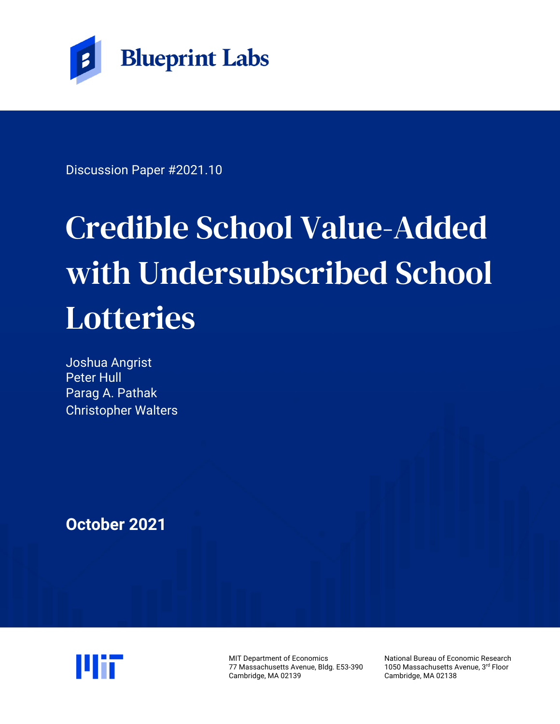

Discussion Paper #2021.10

# Credible School Value-Added with Undersubscribed School Lotteries

Joshua Angrist Peter Hull Parag A. Pathak Christopher Walters

**October 2021** 



MIT Department of Economics 77 Massachusetts Avenue, Bldg. E53-390 Cambridge, MA 02139

National Bureau of Economic Research 1050 Massachusetts Avenue, 3rd Floor Cambridge, MA 02138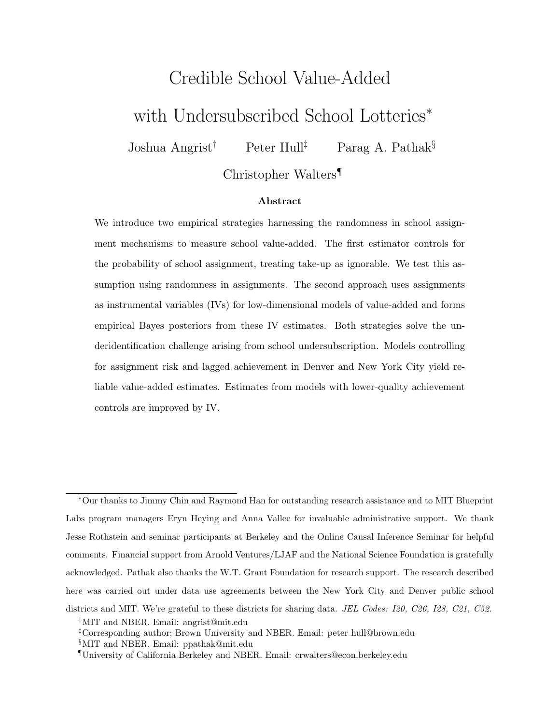# Credible School Value-Added with Undersubscribed School Lotteries<sup>∗</sup>

Joshua Angrist<sup>†</sup> Peter Hull<sup>‡</sup> Parag A. Pathak<sup>§</sup>

Christopher Walters¶

#### Abstract

We introduce two empirical strategies harnessing the randomness in school assignment mechanisms to measure school value-added. The first estimator controls for the probability of school assignment, treating take-up as ignorable. We test this assumption using randomness in assignments. The second approach uses assignments as instrumental variables (IVs) for low-dimensional models of value-added and forms empirical Bayes posteriors from these IV estimates. Both strategies solve the underidentification challenge arising from school undersubscription. Models controlling for assignment risk and lagged achievement in Denver and New York City yield reliable value-added estimates. Estimates from models with lower-quality achievement controls are improved by IV.

<sup>∗</sup>Our thanks to Jimmy Chin and Raymond Han for outstanding research assistance and to MIT Blueprint Labs program managers Eryn Heying and Anna Vallee for invaluable administrative support. We thank Jesse Rothstein and seminar participants at Berkeley and the Online Causal Inference Seminar for helpful comments. Financial support from Arnold Ventures/LJAF and the National Science Foundation is gratefully acknowledged. Pathak also thanks the W.T. Grant Foundation for research support. The research described here was carried out under data use agreements between the New York City and Denver public school districts and MIT. We're grateful to these districts for sharing data. JEL Codes: I20, C26, I28, C21, C52. †MIT and NBER. Email: [angrist@mit.edu](mailto:angrist@mit.edu)

<sup>‡</sup>Corresponding author; Brown University and NBER. Email: peter [hull@brown.edu](mailto:peter_hull@brown.edu) §MIT and NBER. Email: [ppathak@mit.edu](mailto:ppathak@mit.edu)

<sup>¶</sup>University of California Berkeley and NBER. Email: [crwalters@econ.berkeley.edu](mailto:crwalters@econ.berkeley.edu)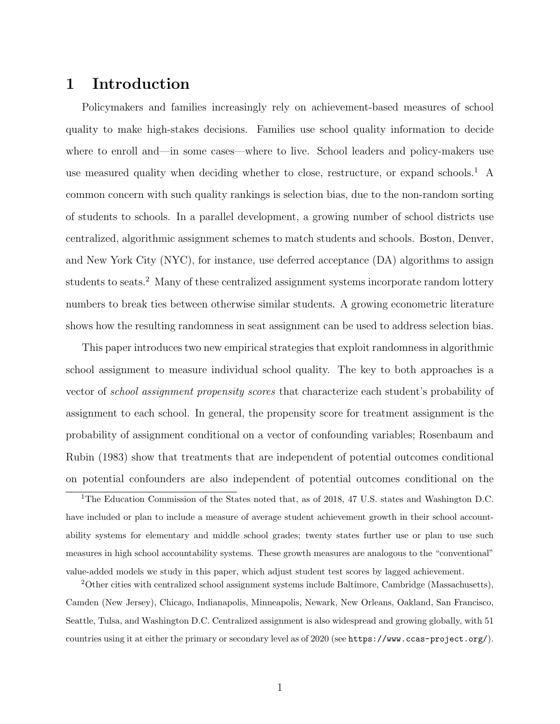# 1 Introduction

Policymakers and families increasingly rely on achievement-based measures of school quality to make high-stakes decisions. Families use school quality information to decide where to enroll and—in some cases—where to live. School leaders and policy-makers use use measured quality when deciding whether to close, restructure, or expand schools.<sup>[1](#page-2-0)</sup> A common concern with such quality rankings is selection bias, due to the non-random sorting of students to schools. In a parallel development, a growing number of school districts use centralized, algorithmic assignment schemes to match students and schools. Boston, Denver, and New York City (NYC), for instance, use deferred acceptance (DA) algorithms to assign students to seats.<sup>[2](#page-2-1)</sup> Many of these centralized assignment systems incorporate random lottery numbers to break ties between otherwise similar students. A growing econometric literature shows how the resulting randomness in seat assignment can be used to address selection bias.

This paper introduces two new empirical strategies that exploit randomness in algorithmic school assignment to measure individual school quality. The key to both approaches is a vector of school assignment propensity scores that characterize each student's probability of assignment to each school. In general, the propensity score for treatment assignment is the probability of assignment conditional on a vector of confounding variables; [Rosenbaum and](#page-38-0) [Rubin \(1983\)](#page-38-0) show that treatments that are independent of potential outcomes conditional on potential confounders are also independent of potential outcomes conditional on the

<span id="page-2-0"></span><sup>1</sup>The Education Commission of the States noted that, as of 2018, 47 U.S. states and Washington D.C. have included or plan to include a measure of average student achievement growth in their school accountability systems for elementary and middle school grades; twenty states further use or plan to use such measures in high school accountability systems. These growth measures are analogous to the "conventional" value-added models we study in this paper, which adjust student test scores by lagged achievement.

<span id="page-2-1"></span><sup>2</sup>Other cities with centralized school assignment systems include Baltimore, Cambridge (Massachusetts), Camden (New Jersey), Chicago, Indianapolis, Minneapolis, Newark, New Orleans, Oakland, San Francisco, Seattle, Tulsa, and Washington D.C. Centralized assignment is also widespread and growing globally, with 51 countries using it at either the primary or secondary level as of 2020 (see <https://www.ccas-project.org/>).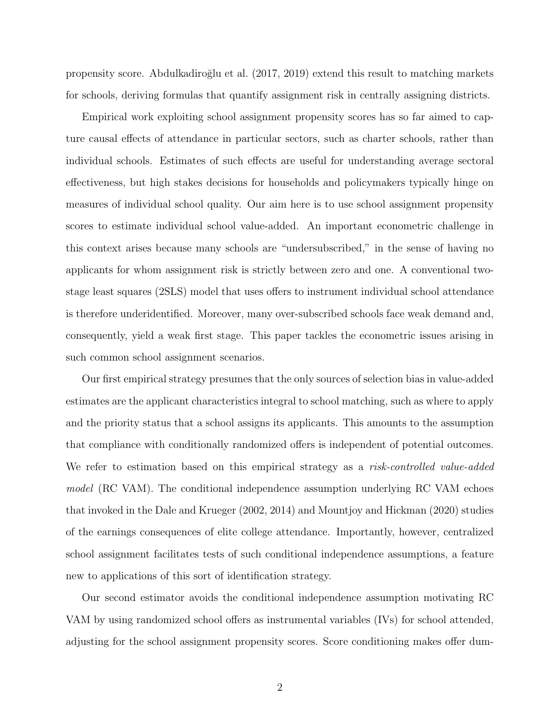propensity score. [Abdulkadiro˘glu et al. \(2017,](#page-35-0) [2019\)](#page-35-1) extend this result to matching markets for schools, deriving formulas that quantify assignment risk in centrally assigning districts.

Empirical work exploiting school assignment propensity scores has so far aimed to capture causal effects of attendance in particular sectors, such as charter schools, rather than individual schools. Estimates of such effects are useful for understanding average sectoral effectiveness, but high stakes decisions for households and policymakers typically hinge on measures of individual school quality. Our aim here is to use school assignment propensity scores to estimate individual school value-added. An important econometric challenge in this context arises because many schools are "undersubscribed," in the sense of having no applicants for whom assignment risk is strictly between zero and one. A conventional twostage least squares (2SLS) model that uses offers to instrument individual school attendance is therefore underidentified. Moreover, many over-subscribed schools face weak demand and, consequently, yield a weak first stage. This paper tackles the econometric issues arising in such common school assignment scenarios.

Our first empirical strategy presumes that the only sources of selection bias in value-added estimates are the applicant characteristics integral to school matching, such as where to apply and the priority status that a school assigns its applicants. This amounts to the assumption that compliance with conditionally randomized offers is independent of potential outcomes. We refer to estimation based on this empirical strategy as a risk-controlled value-added model (RC VAM). The conditional independence assumption underlying RC VAM echoes that invoked in the [Dale and Krueger \(2002,](#page-37-0) [2014\)](#page-37-1) and [Mountjoy and Hickman \(2020\)](#page-38-1) studies of the earnings consequences of elite college attendance. Importantly, however, centralized school assignment facilitates tests of such conditional independence assumptions, a feature new to applications of this sort of identification strategy.

Our second estimator avoids the conditional independence assumption motivating RC VAM by using randomized school offers as instrumental variables (IVs) for school attended, adjusting for the school assignment propensity scores. Score conditioning makes offer dum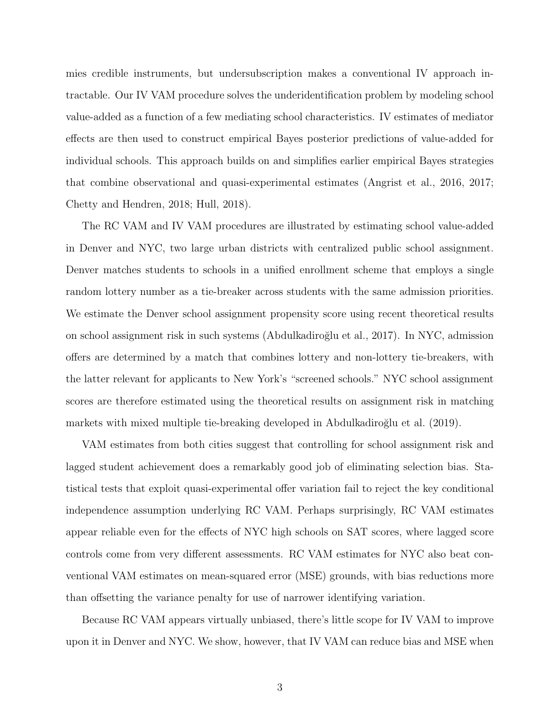mies credible instruments, but undersubscription makes a conventional IV approach intractable. Our IV VAM procedure solves the underidentification problem by modeling school value-added as a function of a few mediating school characteristics. IV estimates of mediator effects are then used to construct empirical Bayes posterior predictions of value-added for individual schools. This approach builds on and simplifies earlier empirical Bayes strategies that combine observational and quasi-experimental estimates [\(Angrist et al., 2016,](#page-35-2) [2017;](#page-36-0) [Chetty and Hendren, 2018;](#page-36-1) [Hull, 2018\)](#page-37-2).

The RC VAM and IV VAM procedures are illustrated by estimating school value-added in Denver and NYC, two large urban districts with centralized public school assignment. Denver matches students to schools in a unified enrollment scheme that employs a single random lottery number as a tie-breaker across students with the same admission priorities. We estimate the Denver school assignment propensity score using recent theoretical results on school assignment risk in such systems [\(Abdulkadiro˘glu et al., 2017\)](#page-35-0). In NYC, admission offers are determined by a match that combines lottery and non-lottery tie-breakers, with the latter relevant for applicants to New York's "screened schools." NYC school assignment scores are therefore estimated using the theoretical results on assignment risk in matching markets with mixed multiple tie-breaking developed in Abdulkadiroğlu et al. (2019).

VAM estimates from both cities suggest that controlling for school assignment risk and lagged student achievement does a remarkably good job of eliminating selection bias. Statistical tests that exploit quasi-experimental offer variation fail to reject the key conditional independence assumption underlying RC VAM. Perhaps surprisingly, RC VAM estimates appear reliable even for the effects of NYC high schools on SAT scores, where lagged score controls come from very different assessments. RC VAM estimates for NYC also beat conventional VAM estimates on mean-squared error (MSE) grounds, with bias reductions more than offsetting the variance penalty for use of narrower identifying variation.

Because RC VAM appears virtually unbiased, there's little scope for IV VAM to improve upon it in Denver and NYC. We show, however, that IV VAM can reduce bias and MSE when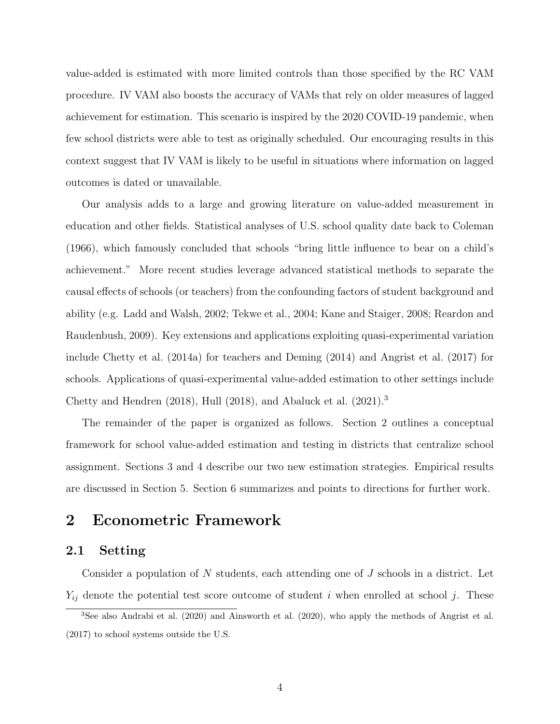value-added is estimated with more limited controls than those specified by the RC VAM procedure. IV VAM also boosts the accuracy of VAMs that rely on older measures of lagged achievement for estimation. This scenario is inspired by the 2020 COVID-19 pandemic, when few school districts were able to test as originally scheduled. Our encouraging results in this context suggest that IV VAM is likely to be useful in situations where information on lagged outcomes is dated or unavailable.

Our analysis adds to a large and growing literature on value-added measurement in education and other fields. Statistical analyses of U.S. school quality date back to [Coleman](#page-36-2) [\(1966\)](#page-36-2), which famously concluded that schools "bring little influence to bear on a child's achievement." More recent studies leverage advanced statistical methods to separate the causal effects of schools (or teachers) from the confounding factors of student background and ability (e.g. [Ladd and Walsh, 2002;](#page-38-2) [Tekwe et al., 2004;](#page-38-3) [Kane and Staiger, 2008;](#page-37-3) [Reardon and](#page-38-4) [Raudenbush, 2009\)](#page-38-4). Key extensions and applications exploiting quasi-experimental variation include [Chetty et al. \(2014a\)](#page-36-3) for teachers and [Deming \(2014\)](#page-37-4) and [Angrist et al. \(2017\)](#page-36-0) for schools. Applications of quasi-experimental value-added estimation to other settings include [Chetty and Hendren \(2018\)](#page-36-1), [Hull \(2018\)](#page-37-2), and [Abaluck et al. \(2021\)](#page-35-3).[3](#page-5-0)

The remainder of the paper is organized as follows. Section [2](#page-5-1) outlines a conceptual framework for school value-added estimation and testing in districts that centralize school assignment. Sections [3](#page-9-0) and [4](#page-16-0) describe our two new estimation strategies. Empirical results are discussed in Section [5.](#page-22-0) Section [6](#page-33-0) summarizes and points to directions for further work.

# <span id="page-5-1"></span>2 Econometric Framework

#### 2.1 Setting

Consider a population of N students, each attending one of  $J$  schools in a district. Let  $Y_{ij}$  denote the potential test score outcome of student i when enrolled at school j. These

<span id="page-5-0"></span><sup>3</sup>See also [Andrabi et al.](#page-35-4) [\(2020\)](#page-35-4) and [Ainsworth et al.](#page-35-5) [\(2020\)](#page-35-5), who apply the methods of [Angrist et al.](#page-36-0) [\(2017\)](#page-36-0) to school systems outside the U.S.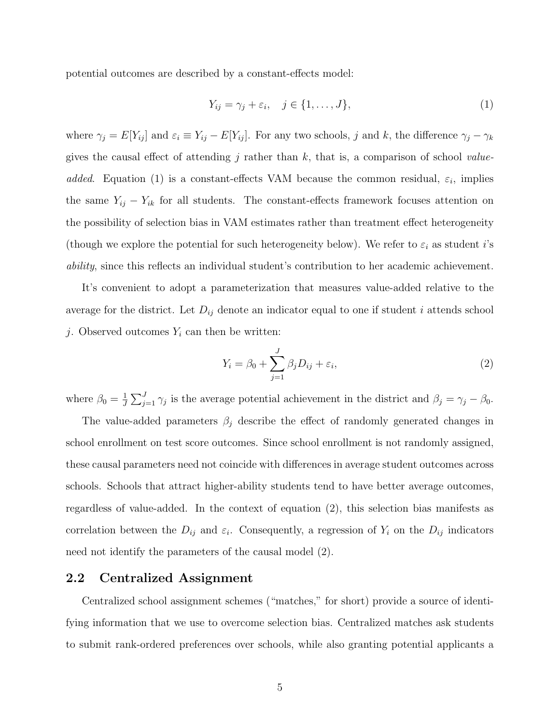potential outcomes are described by a constant-effects model:

<span id="page-6-0"></span>
$$
Y_{ij} = \gamma_j + \varepsilon_i, \quad j \in \{1, \dots, J\},\tag{1}
$$

where  $\gamma_j = E[Y_{ij}]$  and  $\varepsilon_i \equiv Y_{ij} - E[Y_{ij}]$ . For any two schools, j and k, the difference  $\gamma_j - \gamma_k$ gives the causal effect of attending j rather than k, that is, a comparison of school value-added. Equation [\(1\)](#page-6-0) is a constant-effects VAM because the common residual,  $\varepsilon_i$ , implies the same  $Y_{ij} - Y_{ik}$  for all students. The constant-effects framework focuses attention on the possibility of selection bias in VAM estimates rather than treatment effect heterogeneity (though we explore the potential for such heterogeneity below). We refer to  $\varepsilon_i$  as student i's ability, since this reflects an individual student's contribution to her academic achievement.

It's convenient to adopt a parameterization that measures value-added relative to the average for the district. Let  $D_{ij}$  denote an indicator equal to one if student i attends school j. Observed outcomes  $Y_i$  can then be written:

<span id="page-6-1"></span>
$$
Y_i = \beta_0 + \sum_{j=1}^{J} \beta_j D_{ij} + \varepsilon_i,
$$
\n(2)

where  $\beta_0 = \frac{1}{J}$  $\frac{1}{J}\sum_{j=1}^{J}\gamma_j$  is the average potential achievement in the district and  $\beta_j = \gamma_j - \beta_0$ .

The value-added parameters  $\beta_j$  describe the effect of randomly generated changes in school enrollment on test score outcomes. Since school enrollment is not randomly assigned, these causal parameters need not coincide with differences in average student outcomes across schools. Schools that attract higher-ability students tend to have better average outcomes, regardless of value-added. In the context of equation [\(2\)](#page-6-1), this selection bias manifests as correlation between the  $D_{ij}$  and  $\varepsilon_i$ . Consequently, a regression of  $Y_i$  on the  $D_{ij}$  indicators need not identify the parameters of the causal model [\(2\)](#page-6-1).

#### 2.2 Centralized Assignment

Centralized school assignment schemes ("matches," for short) provide a source of identifying information that we use to overcome selection bias. Centralized matches ask students to submit rank-ordered preferences over schools, while also granting potential applicants a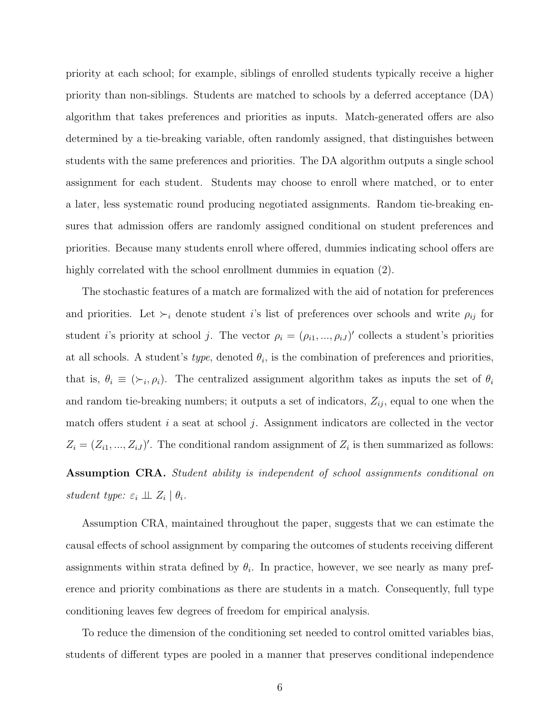priority at each school; for example, siblings of enrolled students typically receive a higher priority than non-siblings. Students are matched to schools by a deferred acceptance (DA) algorithm that takes preferences and priorities as inputs. Match-generated offers are also determined by a tie-breaking variable, often randomly assigned, that distinguishes between students with the same preferences and priorities. The DA algorithm outputs a single school assignment for each student. Students may choose to enroll where matched, or to enter a later, less systematic round producing negotiated assignments. Random tie-breaking ensures that admission offers are randomly assigned conditional on student preferences and priorities. Because many students enroll where offered, dummies indicating school offers are highly correlated with the school enrollment dummies in equation  $(2)$ .

The stochastic features of a match are formalized with the aid of notation for preferences and priorities. Let  $\succ_i$  denote student i's list of preferences over schools and write  $\rho_{ij}$  for student *i*'s priority at school *j*. The vector  $\rho_i = (\rho_{i1}, ..., \rho_{iJ})'$  collects a student's priorities at all schools. A student's *type*, denoted  $\theta_i$ , is the combination of preferences and priorities, that is,  $\theta_i \equiv (\succ_i, \rho_i)$ . The centralized assignment algorithm takes as inputs the set of  $\theta_i$ and random tie-breaking numbers; it outputs a set of indicators,  $Z_{ij}$ , equal to one when the match offers student  $i$  a seat at school  $j$ . Assignment indicators are collected in the vector  $Z_i = (Z_{i1}, ..., Z_{iJ})'$ . The conditional random assignment of  $Z_i$  is then summarized as follows:

<span id="page-7-0"></span>Assumption CRA. Student ability is independent of school assignments conditional on student type:  $\varepsilon_i \perp \!\!\! \perp Z_i \mid \theta_i$ .

Assumption [CRA,](#page-7-0) maintained throughout the paper, suggests that we can estimate the causal effects of school assignment by comparing the outcomes of students receiving different assignments within strata defined by  $\theta_i$ . In practice, however, we see nearly as many preference and priority combinations as there are students in a match. Consequently, full type conditioning leaves few degrees of freedom for empirical analysis.

To reduce the dimension of the conditioning set needed to control omitted variables bias, students of different types are pooled in a manner that preserves conditional independence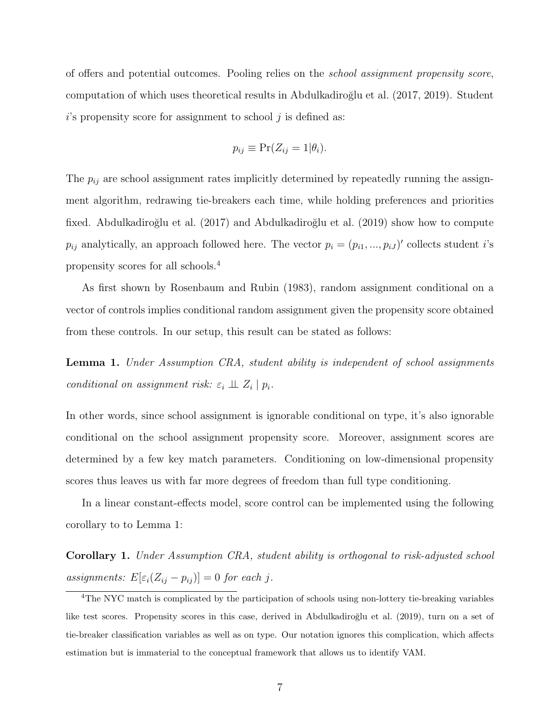of offers and potential outcomes. Pooling relies on the school assignment propensity score, computation of which uses theoretical results in Abdulkadiroğlu et al. (2017, [2019\)](#page-35-1). Student  $i$ 's propensity score for assignment to school  $j$  is defined as:

$$
p_{ij} \equiv \Pr(Z_{ij} = 1 | \theta_i).
$$

The  $p_{ij}$  are school assignment rates implicitly determined by repeatedly running the assignment algorithm, redrawing tie-breakers each time, while holding preferences and priorities fixed. Abdulkadiroğlu et al. (2017) and Abdulkadiroğlu et al. (2019) show how to compute  $p_{ij}$  analytically, an approach followed here. The vector  $p_i = (p_{i1}, ..., p_{iJ})'$  collects student *i*'s propensity scores for all schools.[4](#page-8-0)

As first shown by [Rosenbaum and Rubin \(1983\)](#page-38-0), random assignment conditional on a vector of controls implies conditional random assignment given the propensity score obtained from these controls. In our setup, this result can be stated as follows:

<span id="page-8-1"></span>Lemma 1. Under Assumption [CRA,](#page-7-0) student ability is independent of school assignments conditional on assignment risk:  $\varepsilon_i \perp \!\!\! \perp Z_i | p_i$ .

In other words, since school assignment is ignorable conditional on type, it's also ignorable conditional on the school assignment propensity score. Moreover, assignment scores are determined by a few key match parameters. Conditioning on low-dimensional propensity scores thus leaves us with far more degrees of freedom than full type conditioning.

In a linear constant-effects model, score control can be implemented using the following corollary to to Lemma [1:](#page-8-1)

<span id="page-8-2"></span>Corollary 1. Under Assumption [CRA,](#page-7-0) student ability is orthogonal to risk-adjusted school assignments:  $E[\varepsilon_i(Z_{ij} - p_{ij})] = 0$  for each j.

<span id="page-8-0"></span><sup>&</sup>lt;sup>4</sup>The NYC match is complicated by the participation of schools using non-lottery tie-breaking variables like test scores. Propensity scores in this case, derived in Abdulkadiroğlu et al. [\(2019\)](#page-35-1), turn on a set of tie-breaker classification variables as well as on type. Our notation ignores this complication, which affects estimation but is immaterial to the conceptual framework that allows us to identify VAM.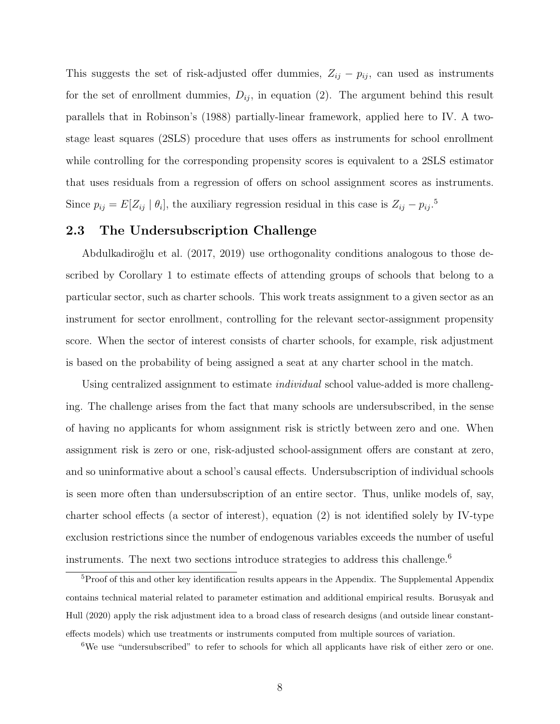This suggests the set of risk-adjusted offer dummies,  $Z_{ij} - p_{ij}$ , can used as instruments for the set of enrollment dummies,  $D_{ij}$ , in equation [\(2\)](#page-6-1). The argument behind this result parallels that in Robinson's [\(1988\)](#page-38-5) partially-linear framework, applied here to IV. A twostage least squares (2SLS) procedure that uses offers as instruments for school enrollment while controlling for the corresponding propensity scores is equivalent to a 2SLS estimator that uses residuals from a regression of offers on school assignment scores as instruments. Since  $p_{ij} = E[Z_{ij} | \theta_i]$ , the auxiliary regression residual in this case is  $Z_{ij} - p_{ij}$ .<sup>[5](#page-9-1)</sup>

# 2.3 The Undersubscription Challenge

[Abdulkadiro˘glu et al. \(2017,](#page-35-0) [2019\)](#page-35-1) use orthogonality conditions analogous to those described by Corollary [1](#page-8-2) to estimate effects of attending groups of schools that belong to a particular sector, such as charter schools. This work treats assignment to a given sector as an instrument for sector enrollment, controlling for the relevant sector-assignment propensity score. When the sector of interest consists of charter schools, for example, risk adjustment is based on the probability of being assigned a seat at any charter school in the match.

Using centralized assignment to estimate *individual* school value-added is more challenging. The challenge arises from the fact that many schools are undersubscribed, in the sense of having no applicants for whom assignment risk is strictly between zero and one. When assignment risk is zero or one, risk-adjusted school-assignment offers are constant at zero, and so uninformative about a school's causal effects. Undersubscription of individual schools is seen more often than undersubscription of an entire sector. Thus, unlike models of, say, charter school effects (a sector of interest), equation [\(2\)](#page-6-1) is not identified solely by IV-type exclusion restrictions since the number of endogenous variables exceeds the number of useful instruments. The next two sections introduce strategies to address this challenge.<sup>[6](#page-9-2)</sup>

<span id="page-9-1"></span><span id="page-9-0"></span><sup>&</sup>lt;sup>5</sup>Proof of this and other key identification results appears in the Appendix. The Supplemental Appendix contains technical material related to parameter estimation and additional empirical results. [Borusyak and](#page-36-4) [Hull](#page-36-4) [\(2020\)](#page-36-4) apply the risk adjustment idea to a broad class of research designs (and outside linear constanteffects models) which use treatments or instruments computed from multiple sources of variation.

<span id="page-9-2"></span><sup>&</sup>lt;sup>6</sup>We use "undersubscribed" to refer to schools for which all applicants have risk of either zero or one.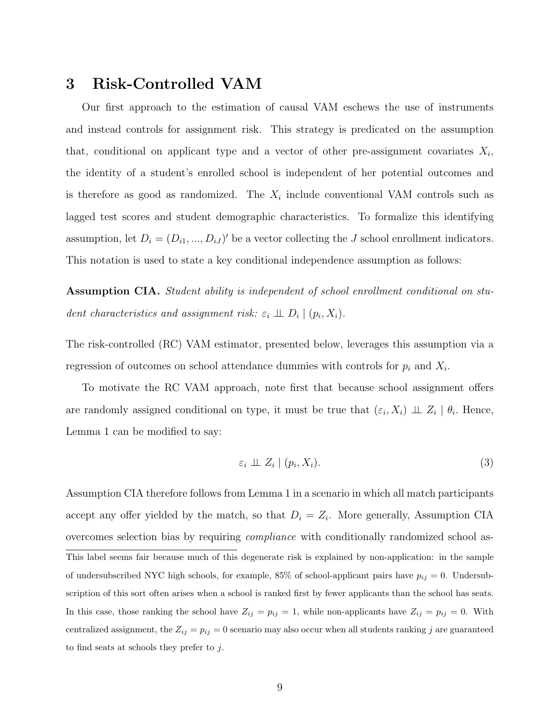# 3 Risk-Controlled VAM

Our first approach to the estimation of causal VAM eschews the use of instruments and instead controls for assignment risk. This strategy is predicated on the assumption that, conditional on applicant type and a vector of other pre-assignment covariates  $X_i$ , the identity of a student's enrolled school is independent of her potential outcomes and is therefore as good as randomized. The  $X_i$  include conventional VAM controls such as lagged test scores and student demographic characteristics. To formalize this identifying assumption, let  $D_i = (D_{i1}, ..., D_{iJ})'$  be a vector collecting the J school enrollment indicators. This notation is used to state a key conditional independence assumption as follows:

<span id="page-10-0"></span>Assumption CIA. Student ability is independent of school enrollment conditional on student characteristics and assignment risk:  $\varepsilon_i \perp \!\!\! \perp D_i | (p_i, X_i)$ .

The risk-controlled (RC) VAM estimator, presented below, leverages this assumption via a regression of outcomes on school attendance dummies with controls for  $p_i$  and  $X_i$ .

To motivate the RC VAM approach, note first that because school assignment offers are randomly assigned conditional on type, it must be true that  $(\varepsilon_i, X_i) \perp \!\!\! \perp Z_i \mid \theta_i$ . Hence, Lemma [1](#page-8-1) can be modified to say:

<span id="page-10-1"></span>
$$
\varepsilon_i \perp \!\!\!\perp Z_i \mid (p_i, X_i). \tag{3}
$$

Assumption [CIA](#page-10-0) therefore follows from Lemma [1](#page-8-1) in a scenario in which all match participants accept any offer yielded by the match, so that  $D_i = Z_i$ . More generally, Assumption [CIA](#page-10-0) overcomes selection bias by requiring compliance with conditionally randomized school as-This label seems fair because much of this degenerate risk is explained by non-application: in the sample of undersubscribed NYC high schools, for example, 85% of school-applicant pairs have  $p_{ij} = 0$ . Undersubscription of this sort often arises when a school is ranked first by fewer applicants than the school has seats. In this case, those ranking the school have  $Z_{ij} = p_{ij} = 1$ , while non-applicants have  $Z_{ij} = p_{ij} = 0$ . With centralized assignment, the  $Z_{ij} = p_{ij} = 0$  scenario may also occur when all students ranking j are guaranteed to find seats at schools they prefer to j.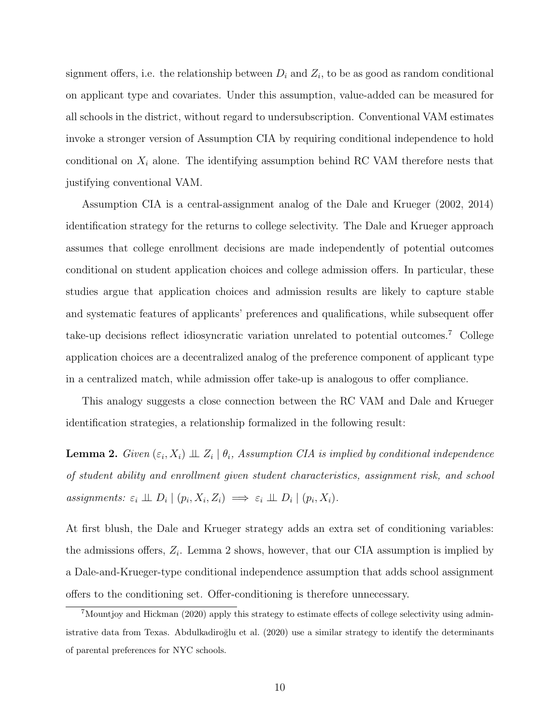signment offers, i.e. the relationship between  $D_i$  and  $Z_i$ , to be as good as random conditional on applicant type and covariates. Under this assumption, value-added can be measured for all schools in the district, without regard to undersubscription. Conventional VAM estimates invoke a stronger version of Assumption [CIA](#page-10-0) by requiring conditional independence to hold conditional on  $X_i$  alone. The identifying assumption behind RC VAM therefore nests that justifying conventional VAM.

Assumption CIA is a central-assignment analog of the [Dale and Krueger \(2002,](#page-37-0) [2014\)](#page-37-1) identification strategy for the returns to college selectivity. The Dale and Krueger approach assumes that college enrollment decisions are made independently of potential outcomes conditional on student application choices and college admission offers. In particular, these studies argue that application choices and admission results are likely to capture stable and systematic features of applicants' preferences and qualifications, while subsequent offer take-up decisions reflect idiosyncratic variation unrelated to potential outcomes.[7](#page-11-0) College application choices are a decentralized analog of the preference component of applicant type in a centralized match, while admission offer take-up is analogous to offer compliance.

This analogy suggests a close connection between the RC VAM and Dale and Krueger identification strategies, a relationship formalized in the following result:

<span id="page-11-1"></span>**Lemma 2.** Given  $(\varepsilon_i, X_i) \perp Z_i | \theta_i$ , Assumption [CIA](#page-10-0) is implied by conditional independence of student ability and enrollment given student characteristics, assignment risk, and school assignments:  $\varepsilon_i \perp \!\!\! \perp D_i | (p_i, X_i, Z_i) \implies \varepsilon_i \perp \!\!\! \perp D_i | (p_i, X_i)$ .

At first blush, the Dale and Krueger strategy adds an extra set of conditioning variables: the admissions offers,  $Z_i$ . Lemma [2](#page-11-1) shows, however, that our CIA assumption is implied by a Dale-and-Krueger-type conditional independence assumption that adds school assignment offers to the conditioning set. Offer-conditioning is therefore unnecessary.

<span id="page-11-0"></span><sup>&</sup>lt;sup>7</sup>[Mountjoy and Hickman](#page-38-1) [\(2020\)](#page-38-1) apply this strategy to estimate effects of college selectivity using admin-istrative data from Texas. Abdulkadiroğlu et al. [\(2020\)](#page-35-6) use a similar strategy to identify the determinants of parental preferences for NYC schools.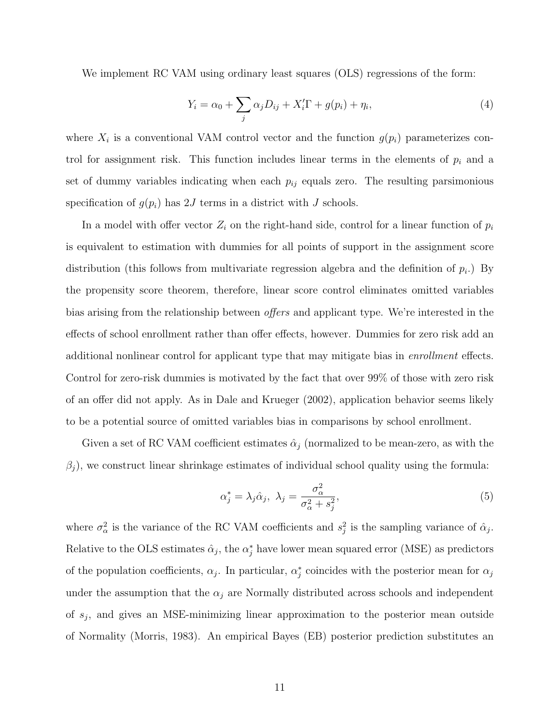We implement RC VAM using ordinary least squares (OLS) regressions of the form:

<span id="page-12-1"></span>
$$
Y_i = \alpha_0 + \sum_j \alpha_j D_{ij} + X'_i \Gamma + g(p_i) + \eta_i,
$$
\n(4)

where  $X_i$  is a conventional VAM control vector and the function  $g(p_i)$  parameterizes control for assignment risk. This function includes linear terms in the elements of  $p_i$  and a set of dummy variables indicating when each  $p_{ij}$  equals zero. The resulting parsimonious specification of  $g(p_i)$  has 2J terms in a district with J schools.

In a model with offer vector  $Z_i$  on the right-hand side, control for a linear function of  $p_i$ is equivalent to estimation with dummies for all points of support in the assignment score distribution (this follows from multivariate regression algebra and the definition of  $p_i$ .) By the propensity score theorem, therefore, linear score control eliminates omitted variables bias arising from the relationship between offers and applicant type. We're interested in the effects of school enrollment rather than offer effects, however. Dummies for zero risk add an additional nonlinear control for applicant type that may mitigate bias in enrollment effects. Control for zero-risk dummies is motivated by the fact that over 99% of those with zero risk of an offer did not apply. As in [Dale and Krueger \(2002\)](#page-37-0), application behavior seems likely to be a potential source of omitted variables bias in comparisons by school enrollment.

Given a set of RC VAM coefficient estimates  $\hat{\alpha}_j$  (normalized to be mean-zero, as with the  $\beta_j$ , we construct linear shrinkage estimates of individual school quality using the formula:

<span id="page-12-0"></span>
$$
\alpha_j^* = \lambda_j \hat{\alpha}_j, \ \lambda_j = \frac{\sigma_\alpha^2}{\sigma_\alpha^2 + s_j^2},\tag{5}
$$

where  $\sigma_{\alpha}^2$  is the variance of the RC VAM coefficients and  $s_j^2$  is the sampling variance of  $\hat{\alpha}_j$ . Relative to the OLS estimates  $\hat{\alpha}_j$ , the  $\alpha_j^*$  have lower mean squared error (MSE) as predictors of the population coefficients,  $\alpha_j$ . In particular,  $\alpha_j^*$  coincides with the posterior mean for  $\alpha_j$ under the assumption that the  $\alpha_i$  are Normally distributed across schools and independent of  $s_j$ , and gives an MSE-minimizing linear approximation to the posterior mean outside of Normality [\(Morris, 1983\)](#page-38-6). An empirical Bayes (EB) posterior prediction substitutes an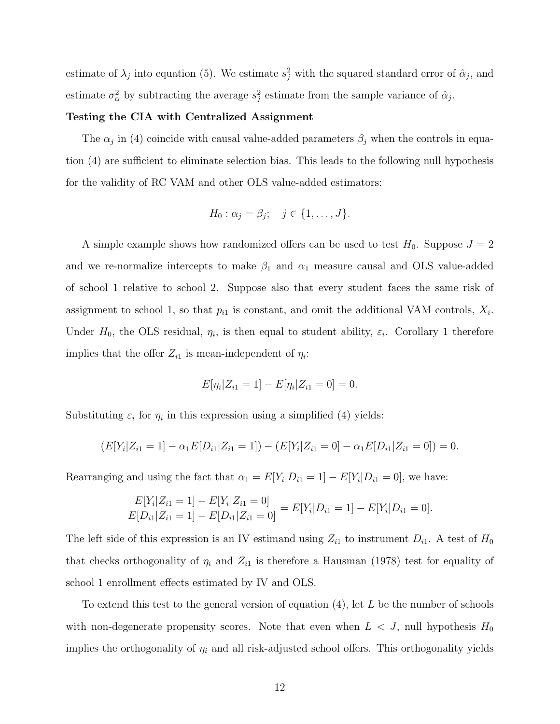estimate of  $\lambda_j$  into equation [\(5\)](#page-12-0). We estimate  $s_j^2$  with the squared standard error of  $\hat{\alpha}_j$ , and estimate  $\sigma_{\alpha}^2$  by subtracting the average  $s_j^2$  estimate from the sample variance of  $\hat{\alpha}_j$ .

#### Testing the CIA with Centralized Assignment

The  $\alpha_j$  in [\(4\)](#page-12-1) coincide with causal value-added parameters  $\beta_j$  when the controls in equation [\(4\)](#page-12-1) are sufficient to eliminate selection bias. This leads to the following null hypothesis for the validity of RC VAM and other OLS value-added estimators:

$$
H_0: \alpha_j = \beta_j; \quad j \in \{1, \ldots, J\}.
$$

A simple example shows how randomized offers can be used to test  $H_0$ . Suppose  $J = 2$ and we re-normalize intercepts to make  $\beta_1$  and  $\alpha_1$  measure causal and OLS value-added of school 1 relative to school 2. Suppose also that every student faces the same risk of assignment to school 1, so that  $p_{i1}$  is constant, and omit the additional VAM controls,  $X_i$ . Under  $H_0$ , the OLS residual,  $\eta_i$ , is then equal to student ability,  $\varepsilon_i$ . Corollary [1](#page-8-2) therefore implies that the offer  $Z_{i1}$  is mean-independent of  $\eta_i$ :

$$
E[\eta_i | Z_{i1} = 1] - E[\eta_i | Z_{i1} = 0] = 0.
$$

Substituting  $\varepsilon_i$  for  $\eta_i$  in this expression using a simplified [\(4\)](#page-12-1) yields:

$$
(E[Y_i|Z_{i1} = 1] - \alpha_1 E[D_{i1}|Z_{i1} = 1]) - (E[Y_i|Z_{i1} = 0] - \alpha_1 E[D_{i1}|Z_{i1} = 0]) = 0.
$$

Rearranging and using the fact that  $\alpha_1 = E[Y_i|D_{i1} = 1] - E[Y_i|D_{i1} = 0]$ , we have:

$$
\frac{E[Y_i|Z_{i1} = 1] - E[Y_i|Z_{i1} = 0]}{E[D_{i1}|Z_{i1} = 1] - E[D_{i1}|Z_{i1} = 0]} = E[Y_i|D_{i1} = 1] - E[Y_i|D_{i1} = 0].
$$

The left side of this expression is an IV estimand using  $Z_{i1}$  to instrument  $D_{i1}$ . A test of  $H_0$ that checks orthogonality of  $\eta_i$  and  $Z_{i1}$  is therefore a [Hausman \(1978\)](#page-37-5) test for equality of school 1 enrollment effects estimated by IV and OLS.

To extend this test to the general version of equation [\(4\)](#page-12-1), let L be the number of schools with non-degenerate propensity scores. Note that even when  $L < J$ , null hypothesis  $H_0$ implies the orthogonality of  $\eta_i$  and all risk-adjusted school offers. This orthogonality yields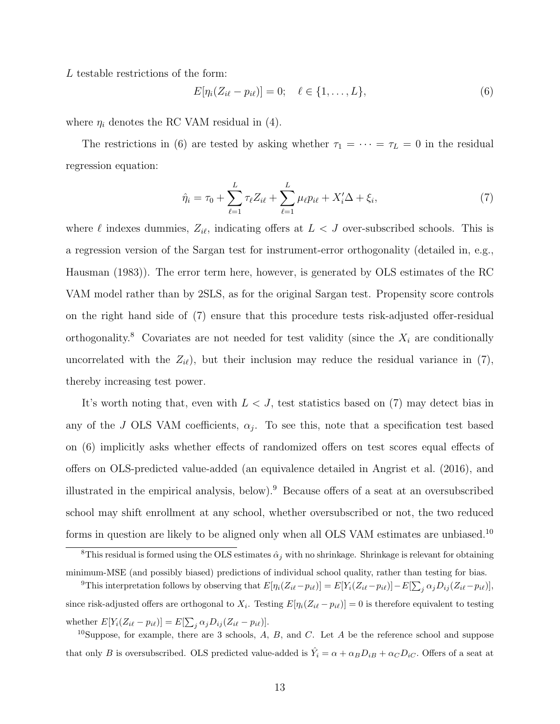L testable restrictions of the form:

<span id="page-14-0"></span>
$$
E[\eta_i(Z_{i\ell} - p_{i\ell})] = 0; \quad \ell \in \{1, ..., L\},
$$
\n(6)

where  $\eta_i$  denotes the RC VAM residual in [\(4\)](#page-12-1).

The restrictions in [\(6\)](#page-14-0) are tested by asking whether  $\tau_1 = \cdots = \tau_L = 0$  in the residual regression equation:

<span id="page-14-1"></span>
$$
\hat{\eta}_i = \tau_0 + \sum_{\ell=1}^L \tau_\ell Z_{i\ell} + \sum_{\ell=1}^L \mu_\ell p_{i\ell} + X_i' \Delta + \xi_i, \tag{7}
$$

where  $\ell$  indexes dummies,  $Z_{i\ell}$ , indicating offers at  $L < J$  over-subscribed schools. This is a regression version of the Sargan test for instrument-error orthogonality (detailed in, e.g., [Hausman \(1983\)](#page-37-6)). The error term here, however, is generated by OLS estimates of the RC VAM model rather than by 2SLS, as for the original Sargan test. Propensity score controls on the right hand side of [\(7\)](#page-14-1) ensure that this procedure tests risk-adjusted offer-residual orthogonality.<sup>[8](#page-14-2)</sup> Covariates are not needed for test validity (since the  $X_i$  are conditionally uncorrelated with the  $Z_{i\ell}$ , but their inclusion may reduce the residual variance in [\(7\)](#page-14-1), thereby increasing test power.

It's worth noting that, even with  $L < J$ , test statistics based on [\(7\)](#page-14-1) may detect bias in any of the J OLS VAM coefficients,  $\alpha_j$ . To see this, note that a specification test based on [\(6\)](#page-14-0) implicitly asks whether effects of randomized offers on test scores equal effects of offers on OLS-predicted value-added (an equivalence detailed in [Angrist et al. \(2016\)](#page-35-2), and illustrated in the empirical analysis, below).<sup>[9](#page-14-3)</sup> Because offers of a seat at an oversubscribed school may shift enrollment at any school, whether oversubscribed or not, the two reduced forms in question are likely to be aligned only when all OLS VAM estimates are unbiased.<sup>[10](#page-14-4)</sup>

<span id="page-14-2"></span><sup>&</sup>lt;sup>8</sup>This residual is formed using the OLS estimates  $\hat{\alpha}_j$  with no shrinkage. Shrinkage is relevant for obtaining minimum-MSE (and possibly biased) predictions of individual school quality, rather than testing for bias.

<span id="page-14-3"></span><sup>&</sup>lt;sup>9</sup>This interpretation follows by observing that  $E[\eta_i(Z_{i\ell}-p_{i\ell})] = E[Y_i(Z_{i\ell}-p_{i\ell})] - E[\sum_j \alpha_j D_{ij}(Z_{i\ell}-p_{i\ell})],$ since risk-adjusted offers are orthogonal to  $X_i$ . Testing  $E[\eta_i(Z_{i\ell} - p_{i\ell})] = 0$  is therefore equivalent to testing whether  $E[Y_i(Z_{i\ell} - p_{i\ell})] = E[\sum_j \alpha_j D_{ij} (Z_{i\ell} - p_{i\ell})].$ 

<span id="page-14-4"></span> $10$ Suppose, for example, there are 3 schools, A, B, and C. Let A be the reference school and suppose that only B is oversubscribed. OLS predicted value-added is  $\hat{Y}_i = \alpha + \alpha_B D_{iB} + \alpha_C D_{iC}$ . Offers of a seat at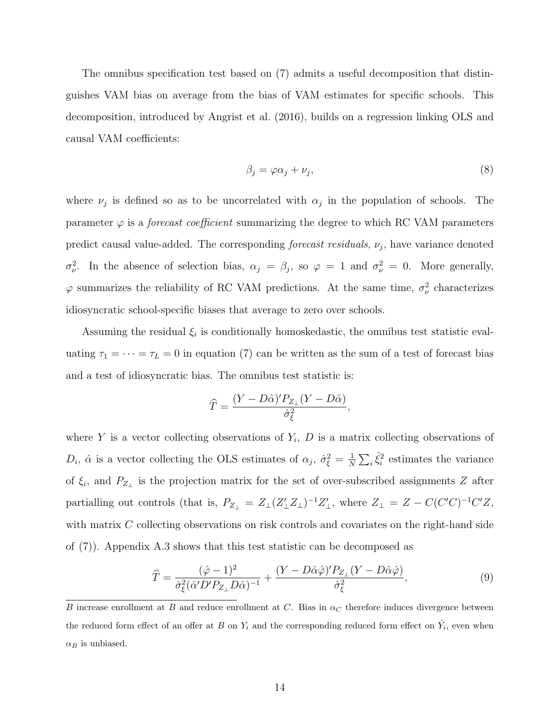The omnibus specification test based on [\(7\)](#page-14-1) admits a useful decomposition that distinguishes VAM bias on average from the bias of VAM estimates for specific schools. This decomposition, introduced by [Angrist et al. \(2016\)](#page-35-2), builds on a regression linking OLS and causal VAM coefficients:

<span id="page-15-0"></span>
$$
\beta_j = \varphi \alpha_j + \nu_j,\tag{8}
$$

where  $\nu_j$  is defined so as to be uncorrelated with  $\alpha_j$  in the population of schools. The parameter  $\varphi$  is a *forecast coefficient* summarizing the degree to which RC VAM parameters predict causal value-added. The corresponding *forecast residuals*,  $\nu_j$ , have variance denoted  $\sigma_{\nu}^2$ . In the absence of selection bias,  $\alpha_j = \beta_j$ , so  $\varphi = 1$  and  $\sigma_{\nu}^2 = 0$ . More generally,  $\varphi$  summarizes the reliability of RC VAM predictions. At the same time,  $\sigma_{\nu}^2$  characterizes idiosyncratic school-specific biases that average to zero over schools.

Assuming the residual  $\xi_i$  is conditionally homoskedastic, the omnibus test statistic evaluating  $\tau_1 = \cdots = \tau_L = 0$  in equation [\(7\)](#page-14-1) can be written as the sum of a test of forecast bias and a test of idiosyncratic bias. The omnibus test statistic is:

<span id="page-15-1"></span>
$$
\widehat{T} = \frac{(Y - D\widehat{\alpha})' P_{Z_{\perp}}(Y - D\widehat{\alpha})}{\widehat{\sigma}_{\xi}^2},
$$

where Y is a vector collecting observations of  $Y_i$ , D is a matrix collecting observations of  $D_i$ ,  $\hat{\alpha}$  is a vector collecting the OLS estimates of  $\alpha_j$ ,  $\hat{\sigma}_{\xi}^2 = \frac{1}{N}$  $\frac{1}{N} \sum_{i} \hat{\xi}_i^2$  estimates the variance of  $\xi_i$ , and  $P_{Z_{\perp}}$  is the projection matrix for the set of over-subscribed assignments Z after partialling out controls (that is,  $P_{Z_{\perp}} = Z_{\perp} (Z_{\perp}' Z_{\perp})^{-1} Z_{\perp}'$ , where  $Z_{\perp} = Z - C (C'C)^{-1} C' Z$ , with matrix C collecting observations on risk controls and covariates on the right-hand side of [\(7\)](#page-14-1)). Appendix [A.3](#page-40-0) shows that this test statistic can be decomposed as

$$
\widehat{T} = \frac{(\hat{\varphi} - 1)^2}{\hat{\sigma}_{\xi}^2 (\hat{\alpha}' D' P_{Z_{\perp}} D \hat{\alpha})^{-1}} + \frac{(Y - D \hat{\alpha} \hat{\varphi})' P_{Z_{\perp}} (Y - D \hat{\alpha} \hat{\varphi})}{\hat{\sigma}_{\xi}^2},\tag{9}
$$

B increase enrollment at B and reduce enrollment at C. Bias in  $\alpha_C$  therefore induces divergence between the reduced form effect of an offer at B on  $Y_i$  and the corresponding reduced form effect on  $\hat{Y}_i$ , even when  $\alpha_B$  is unbiased.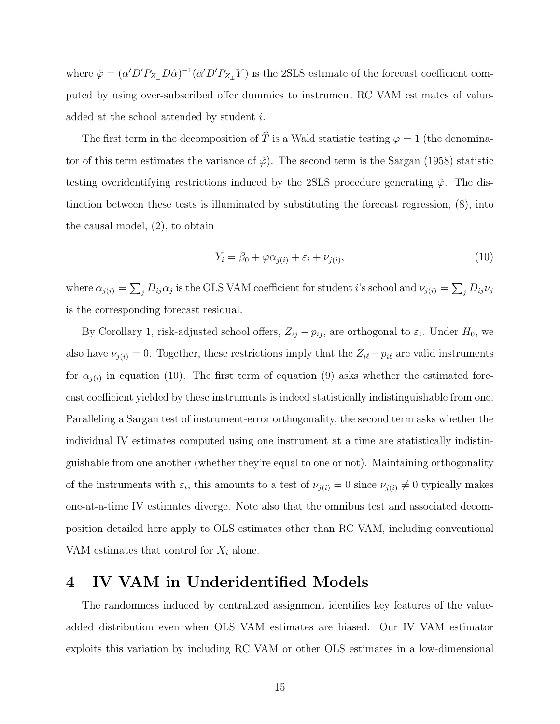where  $\hat{\varphi} = (\hat{\alpha}' D' P_{Z_{\perp}} D \hat{\alpha})^{-1} (\hat{\alpha}' D' P_{Z_{\perp}} Y)$  is the 2SLS estimate of the forecast coefficient computed by using over-subscribed offer dummies to instrument RC VAM estimates of valueadded at the school attended by student i.

The first term in the decomposition of  $\widehat{T}$  is a Wald statistic testing  $\varphi = 1$  (the denominator of this term estimates the variance of  $\hat{\varphi}$ ). The second term is the [Sargan \(1958\)](#page-38-7) statistic testing overidentifying restrictions induced by the 2SLS procedure generating  $\hat{\varphi}$ . The distinction between these tests is illuminated by substituting the forecast regression, [\(8\)](#page-15-0), into the causal model, [\(2\)](#page-6-1), to obtain

<span id="page-16-1"></span>
$$
Y_i = \beta_0 + \varphi \alpha_{j(i)} + \varepsilon_i + \nu_{j(i)},\tag{10}
$$

where  $\alpha_{j(i)} = \sum_j D_{ij} \alpha_j$  is the OLS VAM coefficient for student *i*'s school and  $\nu_{j(i)} = \sum_j D_{ij} \nu_j$ is the corresponding forecast residual.

By Corollary [1,](#page-8-2) risk-adjusted school offers,  $Z_{ij} - p_{ij}$ , are orthogonal to  $\varepsilon_i$ . Under  $H_0$ , we also have  $\nu_{j(i)} = 0$ . Together, these restrictions imply that the  $Z_{i\ell} - p_{i\ell}$  are valid instruments for  $\alpha_{j(i)}$  in equation [\(10\)](#page-16-1). The first term of equation [\(9\)](#page-15-1) asks whether the estimated forecast coefficient yielded by these instruments is indeed statistically indistinguishable from one. Paralleling a Sargan test of instrument-error orthogonality, the second term asks whether the individual IV estimates computed using one instrument at a time are statistically indistinguishable from one another (whether they're equal to one or not). Maintaining orthogonality of the instruments with  $\varepsilon_i$ , this amounts to a test of  $\nu_{j(i)} = 0$  since  $\nu_{j(i)} \neq 0$  typically makes one-at-a-time IV estimates diverge. Note also that the omnibus test and associated decomposition detailed here apply to OLS estimates other than RC VAM, including conventional VAM estimates that control for  $X_i$  alone.

# <span id="page-16-0"></span>4 IV VAM in Underidentified Models

The randomness induced by centralized assignment identifies key features of the valueadded distribution even when OLS VAM estimates are biased. Our IV VAM estimator exploits this variation by including RC VAM or other OLS estimates in a low-dimensional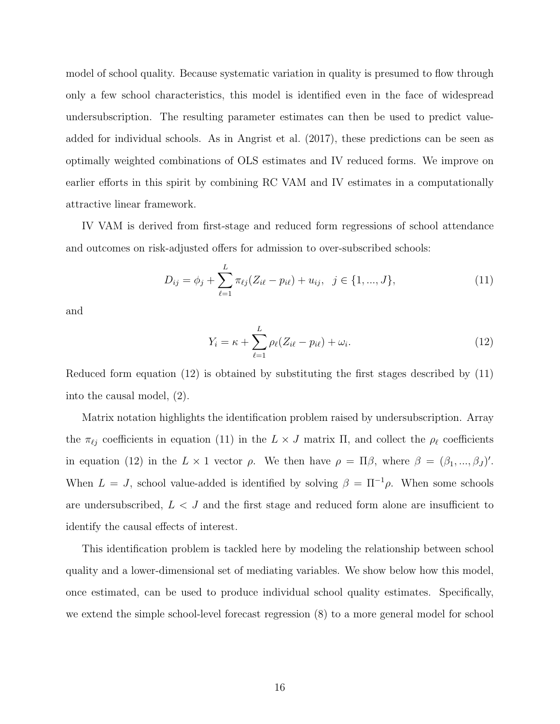model of school quality. Because systematic variation in quality is presumed to flow through only a few school characteristics, this model is identified even in the face of widespread undersubscription. The resulting parameter estimates can then be used to predict valueadded for individual schools. As in [Angrist et al. \(2017\)](#page-36-0), these predictions can be seen as optimally weighted combinations of OLS estimates and IV reduced forms. We improve on earlier efforts in this spirit by combining RC VAM and IV estimates in a computationally attractive linear framework.

IV VAM is derived from first-stage and reduced form regressions of school attendance and outcomes on risk-adjusted offers for admission to over-subscribed schools:

$$
D_{ij} = \phi_j + \sum_{\ell=1}^{L} \pi_{\ell j} (Z_{i\ell} - p_{i\ell}) + u_{ij}, \ \ j \in \{1, ..., J\},
$$
\n(11)

and

<span id="page-17-1"></span><span id="page-17-0"></span>
$$
Y_i = \kappa + \sum_{\ell=1}^L \rho_\ell (Z_{i\ell} - p_{i\ell}) + \omega_i.
$$
 (12)

Reduced form equation [\(12\)](#page-17-0) is obtained by substituting the first stages described by [\(11\)](#page-17-1) into the causal model, [\(2\)](#page-6-1).

Matrix notation highlights the identification problem raised by undersubscription. Array the  $\pi_{\ell j}$  coefficients in equation [\(11\)](#page-17-1) in the  $L \times J$  matrix  $\Pi$ , and collect the  $\rho_{\ell}$  coefficients in equation [\(12\)](#page-17-0) in the  $L \times 1$  vector  $\rho$ . We then have  $\rho = \Pi \beta$ , where  $\beta = (\beta_1, ..., \beta_J)'$ . When  $L = J$ , school value-added is identified by solving  $\beta = \Pi^{-1} \rho$ . When some schools are undersubscribed,  $L < J$  and the first stage and reduced form alone are insufficient to identify the causal effects of interest.

This identification problem is tackled here by modeling the relationship between school quality and a lower-dimensional set of mediating variables. We show below how this model, once estimated, can be used to produce individual school quality estimates. Specifically, we extend the simple school-level forecast regression [\(8\)](#page-15-0) to a more general model for school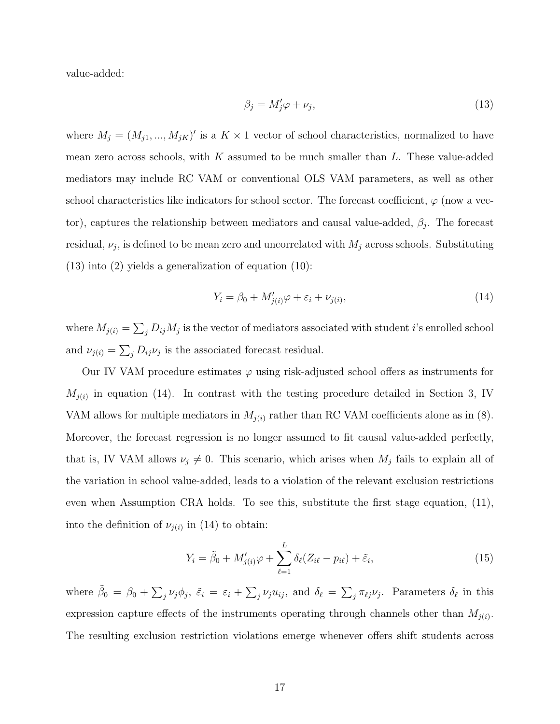value-added:

<span id="page-18-0"></span>
$$
\beta_j = M'_j \varphi + \nu_j,\tag{13}
$$

where  $M_j = (M_{j1}, ..., M_{jK})'$  is a  $K \times 1$  vector of school characteristics, normalized to have mean zero across schools, with  $K$  assumed to be much smaller than  $L$ . These value-added mediators may include RC VAM or conventional OLS VAM parameters, as well as other school characteristics like indicators for school sector. The forecast coefficient,  $\varphi$  (now a vector), captures the relationship between mediators and causal value-added,  $\beta_j$ . The forecast residual,  $\nu_j$ , is defined to be mean zero and uncorrelated with  $M_j$  across schools. Substituting [\(13\)](#page-18-0) into [\(2\)](#page-6-1) yields a generalization of equation [\(10\)](#page-16-1):

<span id="page-18-1"></span>
$$
Y_i = \beta_0 + M'_{j(i)}\varphi + \varepsilon_i + \nu_{j(i)},\tag{14}
$$

where  $M_{j(i)} = \sum_j D_{ij} M_j$  is the vector of mediators associated with student *i*'s enrolled school and  $\nu_{j(i)} = \sum_j D_{ij} \nu_j$  is the associated forecast residual.

Our IV VAM procedure estimates  $\varphi$  using risk-adjusted school offers as instruments for  $M_{j(i)}$  in equation [\(14\)](#page-18-1). In contrast with the testing procedure detailed in Section [3,](#page-9-0) IV VAM allows for multiple mediators in  $M_{j(i)}$  rather than RC VAM coefficients alone as in [\(8\)](#page-15-0). Moreover, the forecast regression is no longer assumed to fit causal value-added perfectly, that is, IV VAM allows  $\nu_j \neq 0$ . This scenario, which arises when  $M_j$  fails to explain all of the variation in school value-added, leads to a violation of the relevant exclusion restrictions even when Assumption [CRA](#page-7-0) holds. To see this, substitute the first stage equation, [\(11\)](#page-17-1), into the definition of  $\nu_{j(i)}$  in [\(14\)](#page-18-1) to obtain:

<span id="page-18-2"></span>
$$
Y_i = \tilde{\beta}_0 + M'_{j(i)}\varphi + \sum_{\ell=1}^L \delta_\ell (Z_{i\ell} - p_{i\ell}) + \tilde{\varepsilon}_i,
$$
\n(15)

where  $\tilde{\beta}_0 = \beta_0 + \sum_j \nu_j \phi_j$ ,  $\tilde{\varepsilon}_i = \varepsilon_i + \sum_j \nu_j u_{ij}$ , and  $\delta_\ell = \sum_j \pi_{\ell j} \nu_j$ . Parameters  $\delta_\ell$  in this expression capture effects of the instruments operating through channels other than  $M_{j(i)}$ . The resulting exclusion restriction violations emerge whenever offers shift students across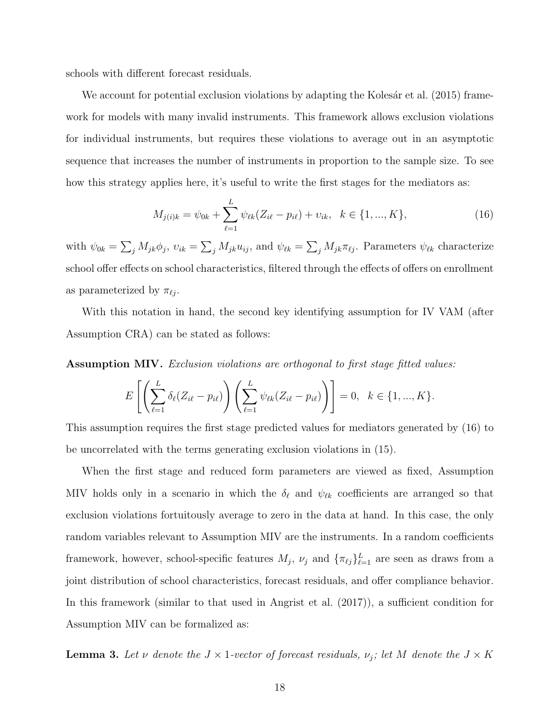schools with different forecast residuals.

We account for potential exclusion violations by adapting the Kolesár et al. (2015) framework for models with many invalid instruments. This framework allows exclusion violations for individual instruments, but requires these violations to average out in an asymptotic sequence that increases the number of instruments in proportion to the sample size. To see how this strategy applies here, it's useful to write the first stages for the mediators as:

<span id="page-19-0"></span>
$$
M_{j(i)k} = \psi_{0k} + \sum_{\ell=1}^{L} \psi_{\ell k} (Z_{i\ell} - p_{i\ell}) + \nu_{ik}, \ \ k \in \{1, ..., K\},
$$
 (16)

with  $\psi_{0k} = \sum_j M_{jk}\phi_j$ ,  $v_{ik} = \sum_j M_{jk}u_{ij}$ , and  $\psi_{\ell k} = \sum_j M_{jk}\pi_{\ell j}$ . Parameters  $\psi_{\ell k}$  characterize school offer effects on school characteristics, filtered through the effects of offers on enrollment as parameterized by  $\pi_{\ell j}$ .

With this notation in hand, the second key identifying assumption for IV VAM (after Assumption [CRA\)](#page-7-0) can be stated as follows:

<span id="page-19-1"></span>Assumption MIV. Exclusion violations are orthogonal to first stage fitted values:

$$
E\left[\left(\sum_{\ell=1}^{L} \delta_{\ell}(Z_{i\ell} - p_{i\ell})\right)\left(\sum_{\ell=1}^{L} \psi_{\ell k}(Z_{i\ell} - p_{i\ell})\right)\right] = 0, \ \ k \in \{1, ..., K\}.
$$

This assumption requires the first stage predicted values for mediators generated by [\(16\)](#page-19-0) to be uncorrelated with the terms generating exclusion violations in [\(15\)](#page-18-2).

When the first stage and reduced form parameters are viewed as fixed, Assumption [MIV](#page-19-1) holds only in a scenario in which the  $\delta_{\ell}$  and  $\psi_{\ell k}$  coefficients are arranged so that exclusion violations fortuitously average to zero in the data at hand. In this case, the only random variables relevant to Assumption [MIV](#page-19-1) are the instruments. In a random coefficients framework, however, school-specific features  $M_j$ ,  $\nu_j$  and  $\{\pi_{\ell j}\}_{\ell=1}^L$  are seen as draws from a joint distribution of school characteristics, forecast residuals, and offer compliance behavior. In this framework (similar to that used in [Angrist et al. \(2017\)](#page-36-0)), a sufficient condition for Assumption [MIV](#page-19-1) can be formalized as:

<span id="page-19-2"></span>**Lemma 3.** Let v denote the  $J \times 1$ -vector of forecast residuals,  $\nu_j$ ; let M denote the  $J \times K$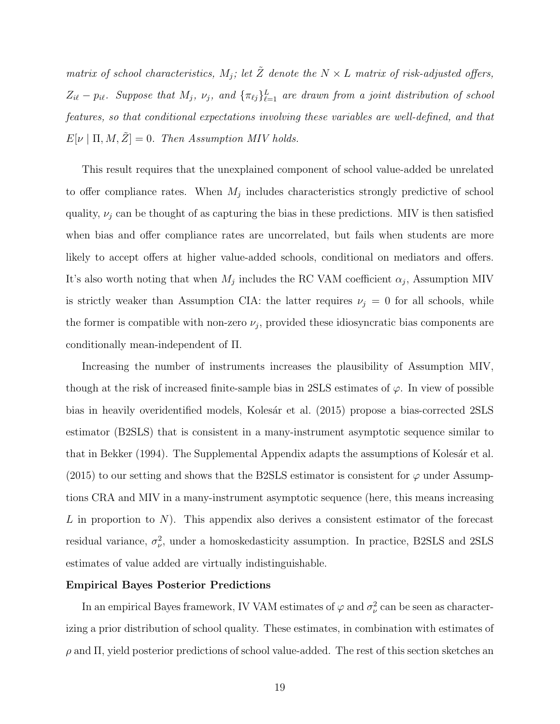matrix of school characteristics,  $M_j$ ; let  $\tilde{Z}$  denote the  $N \times L$  matrix of risk-adjusted offers,  $Z_{i\ell} - p_{i\ell}$ . Suppose that  $M_j$ ,  $\nu_j$ , and  ${\lbrace \pi_{\ell j} \rbrace}_{\ell=1}^L$  are drawn from a joint distribution of school features, so that conditional expectations involving these variables are well-defined, and that  $E[\nu | \Pi, M, \tilde{Z}] = 0$ . Then Assumption [MIV](#page-19-1) holds.

This result requires that the unexplained component of school value-added be unrelated to offer compliance rates. When  $M_j$  includes characteristics strongly predictive of school quality,  $\nu_j$  can be thought of as capturing the bias in these predictions. MIV is then satisfied when bias and offer compliance rates are uncorrelated, but fails when students are more likely to accept offers at higher value-added schools, conditional on mediators and offers. It's also worth noting that when  $M_j$  includes the RC VAM coefficient  $\alpha_j$ , Assumption [MIV](#page-19-1) is strictly weaker than Assumption [CIA:](#page-10-0) the latter requires  $\nu_j = 0$  for all schools, while the former is compatible with non-zero  $\nu_j$ , provided these idiosyncratic bias components are conditionally mean-independent of Π.

Increasing the number of instruments increases the plausibility of Assumption [MIV,](#page-19-1) though at the risk of increased finite-sample bias in 2SLS estimates of  $\varphi$ . In view of possible bias in heavily overidentified models, Kolesár et al. (2015) propose a bias-corrected 2SLS estimator (B2SLS) that is consistent in a many-instrument asymptotic sequence similar to that in [Bekker \(1994\)](#page-36-5). The Supplemental Appendix adapts the assumptions of Kolesár et al. [\(2015\)](#page-37-7) to our setting and shows that the B2SLS estimator is consistent for  $\varphi$  under Assumptions [CRA](#page-7-0) and [MIV](#page-19-1) in a many-instrument asymptotic sequence (here, this means increasing  $L$  in proportion to  $N$ ). This appendix also derives a consistent estimator of the forecast residual variance,  $\sigma_{\nu}^2$ , under a homoskedasticity assumption. In practice, B2SLS and 2SLS estimates of value added are virtually indistinguishable.

#### Empirical Bayes Posterior Predictions

In an empirical Bayes framework, IV VAM estimates of  $\varphi$  and  $\sigma_{\nu}^{2}$  can be seen as characterizing a prior distribution of school quality. These estimates, in combination with estimates of  $ρ$  and Π, yield posterior predictions of school value-added. The rest of this section sketches an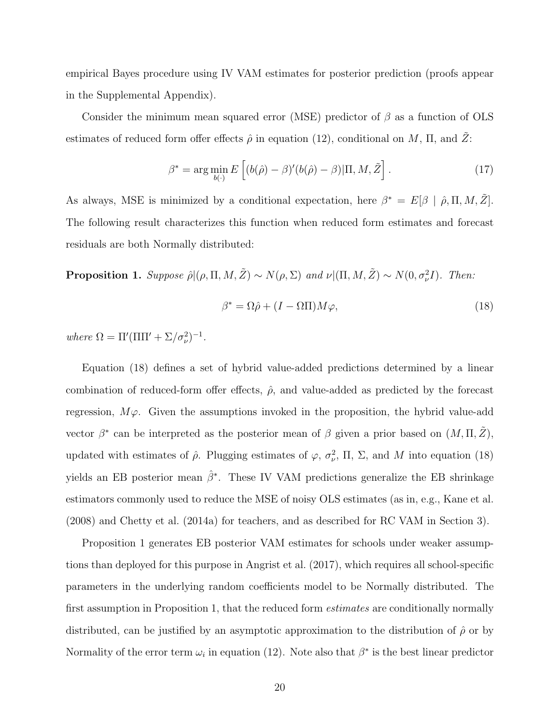empirical Bayes procedure using IV VAM estimates for posterior prediction (proofs appear in the Supplemental Appendix).

Consider the minimum mean squared error (MSE) predictor of  $\beta$  as a function of OLS estimates of reduced form offer effects  $\hat{\rho}$  in equation [\(12\)](#page-17-0), conditional on M, II, and  $\hat{Z}$ :

$$
\beta^* = \arg\min_{b(\cdot)} E\left[ (b(\hat{\rho}) - \beta)'(b(\hat{\rho}) - \beta) | \Pi, M, \tilde{Z} \right]. \tag{17}
$$

As always, MSE is minimized by a conditional expectation, here  $\beta^* = E[\beta | \hat{\rho}, \Pi, M, \tilde{Z}]$ . The following result characterizes this function when reduced form estimates and forecast residuals are both Normally distributed:

<span id="page-21-1"></span>**Proposition 1.** Suppose  $\hat{\rho} | (\rho, \Pi, M, \tilde{Z}) \sim N(\rho, \Sigma)$  and  $\nu | (\Pi, M, \tilde{Z}) \sim N(0, \sigma_{\nu}^2 I)$ . Then:

<span id="page-21-2"></span><span id="page-21-0"></span>
$$
\beta^* = \Omega \hat{\rho} + (I - \Omega \Pi) M \varphi, \tag{18}
$$

where  $\Omega = \Pi'(\Pi\Pi' + \Sigma/\sigma_\nu^2)^{-1}$ .

Equation [\(18\)](#page-21-0) defines a set of hybrid value-added predictions determined by a linear combination of reduced-form offer effects,  $\hat{\rho}$ , and value-added as predicted by the forecast regression,  $M\varphi$ . Given the assumptions invoked in the proposition, the hybrid value-add vector  $\beta^*$  can be interpreted as the posterior mean of  $\beta$  given a prior based on  $(M, \Pi, \tilde{Z}),$ updated with estimates of  $\hat{\rho}$ . Plugging estimates of  $\varphi$ ,  $\sigma_{\nu}^2$ ,  $\Pi$ ,  $\Sigma$ , and M into equation [\(18\)](#page-21-0) yields an EB posterior mean  $\hat{\beta}^*$ . These IV VAM predictions generalize the EB shrinkage estimators commonly used to reduce the MSE of noisy OLS estimates (as in, e.g., [Kane et al.](#page-37-8) [\(2008\)](#page-37-8) and [Chetty et al. \(2014a\)](#page-36-3) for teachers, and as described for RC VAM in Section [3\)](#page-9-0).

Proposition [1](#page-21-1) generates EB posterior VAM estimates for schools under weaker assumptions than deployed for this purpose in [Angrist et al. \(2017\)](#page-36-0), which requires all school-specific parameters in the underlying random coefficients model to be Normally distributed. The first assumption in Proposition [1,](#page-21-1) that the reduced form *estimates* are conditionally normally distributed, can be justified by an asymptotic approximation to the distribution of  $\hat{\rho}$  or by Normality of the error term  $\omega_i$  in equation [\(12\)](#page-17-0). Note also that  $\beta^*$  is the best linear predictor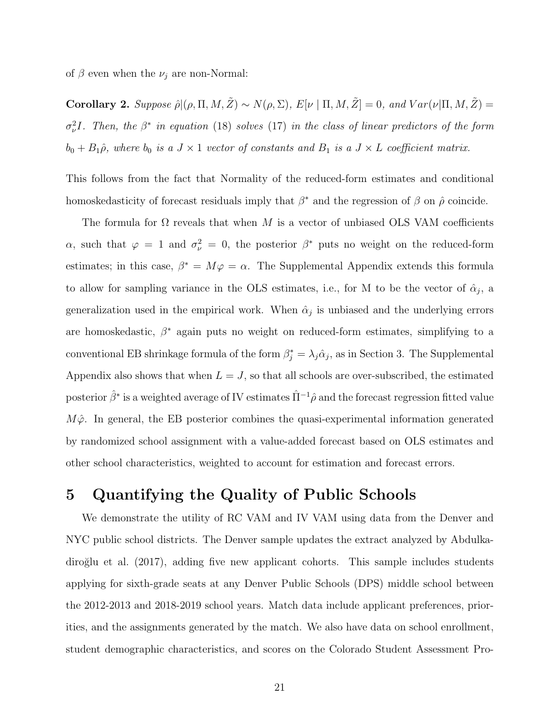of  $\beta$  even when the  $\nu_j$  are non-Normal:

<span id="page-22-1"></span>Corollary 2. Suppose  $\hat{\rho} | (\rho, \Pi, M, \tilde{Z}) \sim N(\rho, \Sigma)$ ,  $E[\nu | \Pi, M, \tilde{Z}] = 0$ , and  $Var(\nu | \Pi, M, \tilde{Z}) =$  $\sigma_{\nu}^2 I$ . Then, the  $\beta^*$  in equation [\(18\)](#page-21-0) solves [\(17\)](#page-21-2) in the class of linear predictors of the form  $b_0 + B_1\hat{\rho}$ , where  $b_0$  is a  $J \times 1$  vector of constants and  $B_1$  is a  $J \times L$  coefficient matrix.

This follows from the fact that Normality of the reduced-form estimates and conditional homoskedasticity of forecast residuals imply that  $\beta^*$  and the regression of  $\beta$  on  $\hat{\rho}$  coincide.

The formula for  $\Omega$  reveals that when M is a vector of unbiased OLS VAM coefficients  $\alpha$ , such that  $\varphi = 1$  and  $\sigma_{\nu}^2 = 0$ , the posterior  $\beta^*$  puts no weight on the reduced-form estimates; in this case,  $\beta^* = M\varphi = \alpha$ . The Supplemental Appendix extends this formula to allow for sampling variance in the OLS estimates, i.e., for M to be the vector of  $\hat{\alpha}_j$ , a generalization used in the empirical work. When  $\hat{\alpha}_j$  is unbiased and the underlying errors are homoskedastic,  $\beta^*$  again puts no weight on reduced-form estimates, simplifying to a conventional EB shrinkage formula of the form  $\beta_j^* = \lambda_j \hat{\alpha}_j$ , as in Section [3.](#page-9-0) The Supplemental Appendix also shows that when  $L = J$ , so that all schools are over-subscribed, the estimated posterior  $\hat{\beta}^*$  is a weighted average of IV estimates  $\hat{\Pi}^{-1}\hat{\rho}$  and the forecast regression fitted value  $M\hat{\varphi}$ . In general, the EB posterior combines the quasi-experimental information generated by randomized school assignment with a value-added forecast based on OLS estimates and other school characteristics, weighted to account for estimation and forecast errors.

# <span id="page-22-0"></span>5 Quantifying the Quality of Public Schools

We demonstrate the utility of RC VAM and IV VAM using data from the Denver and NYC public school districts. The Denver sample updates the extract analyzed by [Abdulka](#page-35-0)diroğlu et al. (2017), adding five new applicant cohorts. This sample includes students applying for sixth-grade seats at any Denver Public Schools (DPS) middle school between the 2012-2013 and 2018-2019 school years. Match data include applicant preferences, priorities, and the assignments generated by the match. We also have data on school enrollment, student demographic characteristics, and scores on the Colorado Student Assessment Pro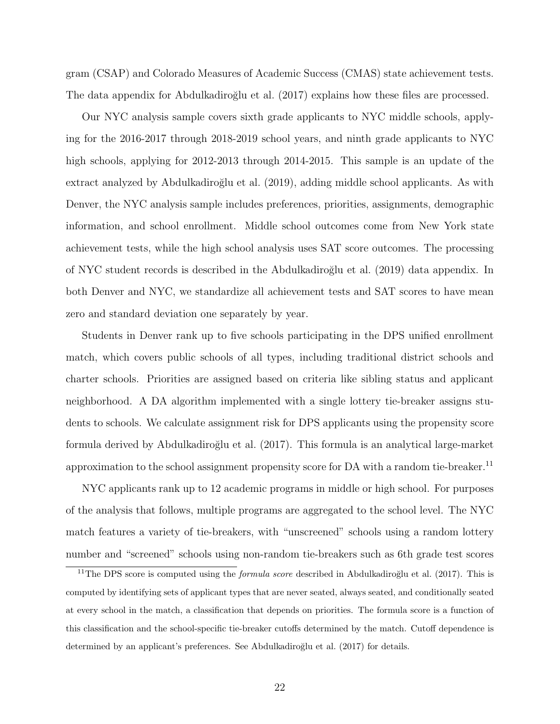gram (CSAP) and Colorado Measures of Academic Success (CMAS) state achievement tests. The data appendix for Abdulkadiroğlu et al. (2017) explains how these files are processed.

Our NYC analysis sample covers sixth grade applicants to NYC middle schools, applying for the 2016-2017 through 2018-2019 school years, and ninth grade applicants to NYC high schools, applying for 2012-2013 through 2014-2015. This sample is an update of the extract analyzed by Abdulkadiroğlu et al. (2019), adding middle school applicants. As with Denver, the NYC analysis sample includes preferences, priorities, assignments, demographic information, and school enrollment. Middle school outcomes come from New York state achievement tests, while the high school analysis uses SAT score outcomes. The processing of NYC student records is described in the Abdulkadiroğlu et al. (2019) data appendix. In both Denver and NYC, we standardize all achievement tests and SAT scores to have mean zero and standard deviation one separately by year.

Students in Denver rank up to five schools participating in the DPS unified enrollment match, which covers public schools of all types, including traditional district schools and charter schools. Priorities are assigned based on criteria like sibling status and applicant neighborhood. A DA algorithm implemented with a single lottery tie-breaker assigns students to schools. We calculate assignment risk for DPS applicants using the propensity score formula derived by Abdulkadiroğlu et al. (2017). This formula is an analytical large-market approximation to the school assignment propensity score for DA with a random tie-breaker.<sup>[11](#page-23-0)</sup>

NYC applicants rank up to 12 academic programs in middle or high school. For purposes of the analysis that follows, multiple programs are aggregated to the school level. The NYC match features a variety of tie-breakers, with "unscreened" schools using a random lottery number and "screened" schools using non-random tie-breakers such as 6th grade test scores

<span id="page-23-0"></span><sup>&</sup>lt;sup>11</sup>The DPS score is computed using the *formula score* described in Abdulkadiroğlu et al. [\(2017\)](#page-35-0). This is computed by identifying sets of applicant types that are never seated, always seated, and conditionally seated at every school in the match, a classification that depends on priorities. The formula score is a function of this classification and the school-specific tie-breaker cutoffs determined by the match. Cutoff dependence is determined by an applicant's preferences. See Abdulkadiroğlu et al. [\(2017\)](#page-35-0) for details.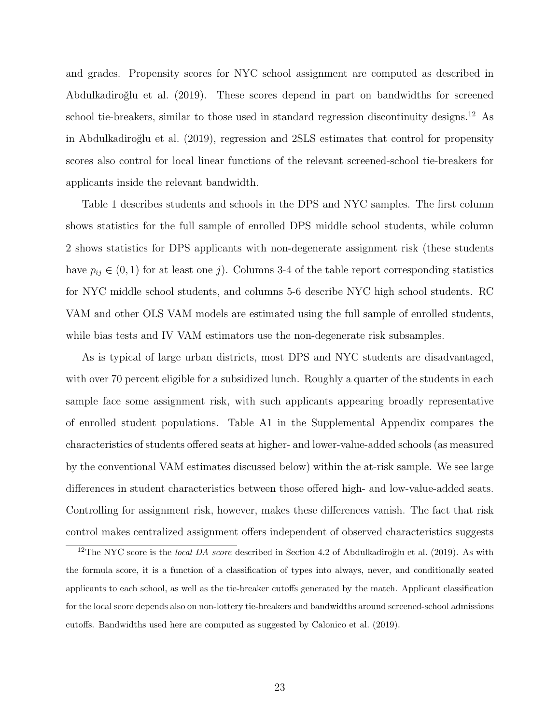and grades. Propensity scores for NYC school assignment are computed as described in [Abdulkadiro˘glu et al. \(2019\)](#page-35-1). These scores depend in part on bandwidths for screened school tie-breakers, similar to those used in standard regression discontinuity designs.<sup>[12](#page-24-0)</sup> As in Abdulkadiroğlu et al. (2019), regression and 2SLS estimates that control for propensity scores also control for local linear functions of the relevant screened-school tie-breakers for applicants inside the relevant bandwidth.

Table [1](#page-43-0) describes students and schools in the DPS and NYC samples. The first column shows statistics for the full sample of enrolled DPS middle school students, while column 2 shows statistics for DPS applicants with non-degenerate assignment risk (these students have  $p_{ij} \in (0,1)$  for at least one j). Columns 3-4 of the table report corresponding statistics for NYC middle school students, and columns 5-6 describe NYC high school students. RC VAM and other OLS VAM models are estimated using the full sample of enrolled students, while bias tests and IV VAM estimators use the non-degenerate risk subsamples.

As is typical of large urban districts, most DPS and NYC students are disadvantaged, with over 70 percent eligible for a subsidized lunch. Roughly a quarter of the students in each sample face some assignment risk, with such applicants appearing broadly representative of enrolled student populations. Table [A1](#page-57-0) in the Supplemental Appendix compares the characteristics of students offered seats at higher- and lower-value-added schools (as measured by the conventional VAM estimates discussed below) within the at-risk sample. We see large differences in student characteristics between those offered high- and low-value-added seats. Controlling for assignment risk, however, makes these differences vanish. The fact that risk control makes centralized assignment offers independent of observed characteristics suggests

<span id="page-24-0"></span><sup>&</sup>lt;sup>12</sup>The NYC score is the *local DA score* described in Section 4.2 of Abdulkadiroğlu et al. [\(2019\)](#page-35-1). As with the formula score, it is a function of a classification of types into always, never, and conditionally seated applicants to each school, as well as the tie-breaker cutoffs generated by the match. Applicant classification for the local score depends also on non-lottery tie-breakers and bandwidths around screened-school admissions cutoffs. Bandwidths used here are computed as suggested by [Calonico et al.](#page-36-6) [\(2019\)](#page-36-6).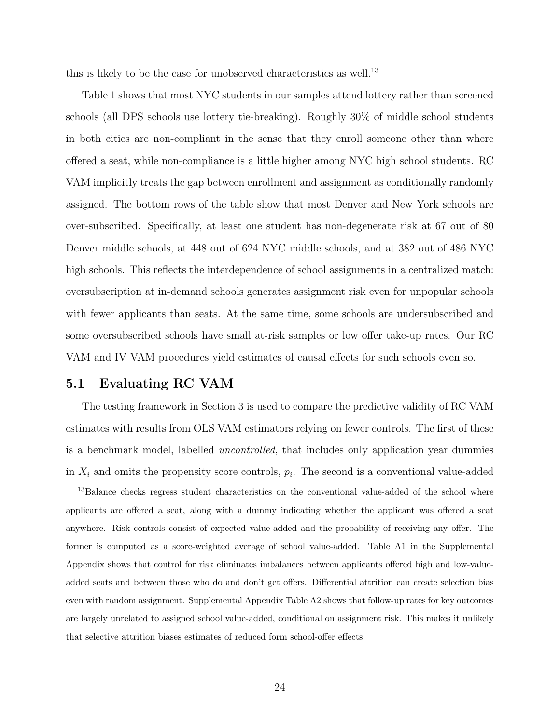this is likely to be the case for unobserved characteristics as well.<sup>[13](#page-25-0)</sup>

Table [1](#page-43-0) shows that most NYC students in our samples attend lottery rather than screened schools (all DPS schools use lottery tie-breaking). Roughly 30% of middle school students in both cities are non-compliant in the sense that they enroll someone other than where offered a seat, while non-compliance is a little higher among NYC high school students. RC VAM implicitly treats the gap between enrollment and assignment as conditionally randomly assigned. The bottom rows of the table show that most Denver and New York schools are over-subscribed. Specifically, at least one student has non-degenerate risk at 67 out of 80 Denver middle schools, at 448 out of 624 NYC middle schools, and at 382 out of 486 NYC high schools. This reflects the interdependence of school assignments in a centralized match: oversubscription at in-demand schools generates assignment risk even for unpopular schools with fewer applicants than seats. At the same time, some schools are undersubscribed and some oversubscribed schools have small at-risk samples or low offer take-up rates. Our RC VAM and IV VAM procedures yield estimates of causal effects for such schools even so.

# 5.1 Evaluating RC VAM

The testing framework in Section [3](#page-9-0) is used to compare the predictive validity of RC VAM estimates with results from OLS VAM estimators relying on fewer controls. The first of these is a benchmark model, labelled *uncontrolled*, that includes only application year dummies in  $X_i$  and omits the propensity score controls,  $p_i$ . The second is a conventional value-added

<span id="page-25-0"></span><sup>&</sup>lt;sup>13</sup>Balance checks regress student characteristics on the conventional value-added of the school where applicants are offered a seat, along with a dummy indicating whether the applicant was offered a seat anywhere. Risk controls consist of expected value-added and the probability of receiving any offer. The former is computed as a score-weighted average of school value-added. Table [A1](#page-57-0) in the Supplemental Appendix shows that control for risk eliminates imbalances between applicants offered high and low-valueadded seats and between those who do and don't get offers. Differential attrition can create selection bias even with random assignment. Supplemental Appendix Table [A2](#page-58-0) shows that follow-up rates for key outcomes are largely unrelated to assigned school value-added, conditional on assignment risk. This makes it unlikely that selective attrition biases estimates of reduced form school-offer effects.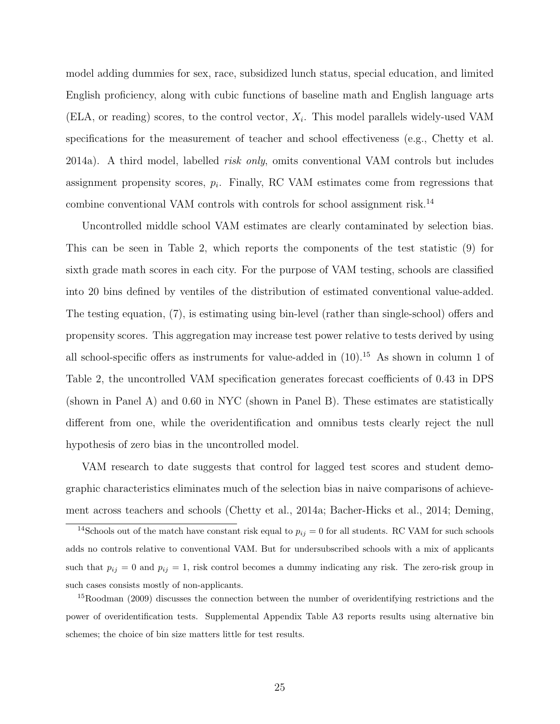model adding dummies for sex, race, subsidized lunch status, special education, and limited English proficiency, along with cubic functions of baseline math and English language arts (ELA, or reading) scores, to the control vector,  $X_i$ . This model parallels widely-used VAM specifications for the measurement of teacher and school effectiveness (e.g., [Chetty et al.](#page-36-3) [2014a\)](#page-36-3). A third model, labelled risk only, omits conventional VAM controls but includes assignment propensity scores,  $p_i$ . Finally, RC VAM estimates come from regressions that combine conventional VAM controls with controls for school assignment risk.[14](#page-26-0)

Uncontrolled middle school VAM estimates are clearly contaminated by selection bias. This can be seen in Table [2,](#page-44-0) which reports the components of the test statistic [\(9\)](#page-15-1) for sixth grade math scores in each city. For the purpose of VAM testing, schools are classified into 20 bins defined by ventiles of the distribution of estimated conventional value-added. The testing equation, [\(7\)](#page-14-1), is estimating using bin-level (rather than single-school) offers and propensity scores. This aggregation may increase test power relative to tests derived by using all school-specific offers as instruments for value-added in  $(10)^{15}$  $(10)^{15}$  $(10)^{15}$ . As shown in column 1 of Table [2,](#page-44-0) the uncontrolled VAM specification generates forecast coefficients of 0.43 in DPS (shown in Panel A) and 0.60 in NYC (shown in Panel B). These estimates are statistically different from one, while the overidentification and omnibus tests clearly reject the null hypothesis of zero bias in the uncontrolled model.

VAM research to date suggests that control for lagged test scores and student demographic characteristics eliminates much of the selection bias in naive comparisons of achievement across teachers and schools [\(Chetty et al., 2014a;](#page-36-3) [Bacher-Hicks et al., 2014;](#page-36-7) [Deming,](#page-37-4)

<span id="page-26-0"></span><sup>&</sup>lt;sup>14</sup>Schools out of the match have constant risk equal to  $p_{ij} = 0$  for all students. RC VAM for such schools adds no controls relative to conventional VAM. But for undersubscribed schools with a mix of applicants such that  $p_{ij} = 0$  and  $p_{ij} = 1$ , risk control becomes a dummy indicating any risk. The zero-risk group in such cases consists mostly of non-applicants.

<span id="page-26-1"></span><sup>15</sup>[Roodman](#page-38-8) [\(2009\)](#page-38-8) discusses the connection between the number of overidentifying restrictions and the power of overidentification tests. Supplemental Appendix Table [A3](#page-59-0) reports results using alternative bin schemes; the choice of bin size matters little for test results.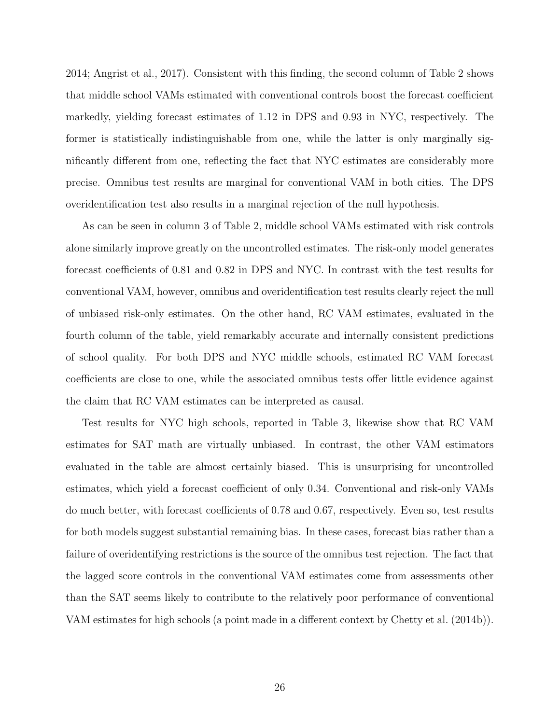[2014;](#page-37-4) [Angrist et al., 2017\)](#page-36-0). Consistent with this finding, the second column of Table [2](#page-44-0) shows that middle school VAMs estimated with conventional controls boost the forecast coefficient markedly, yielding forecast estimates of 1.12 in DPS and 0.93 in NYC, respectively. The former is statistically indistinguishable from one, while the latter is only marginally significantly different from one, reflecting the fact that NYC estimates are considerably more precise. Omnibus test results are marginal for conventional VAM in both cities. The DPS overidentification test also results in a marginal rejection of the null hypothesis.

As can be seen in column 3 of Table [2,](#page-44-0) middle school VAMs estimated with risk controls alone similarly improve greatly on the uncontrolled estimates. The risk-only model generates forecast coefficients of 0.81 and 0.82 in DPS and NYC. In contrast with the test results for conventional VAM, however, omnibus and overidentification test results clearly reject the null of unbiased risk-only estimates. On the other hand, RC VAM estimates, evaluated in the fourth column of the table, yield remarkably accurate and internally consistent predictions of school quality. For both DPS and NYC middle schools, estimated RC VAM forecast coefficients are close to one, while the associated omnibus tests offer little evidence against the claim that RC VAM estimates can be interpreted as causal.

Test results for NYC high schools, reported in Table [3,](#page-45-0) likewise show that RC VAM estimates for SAT math are virtually unbiased. In contrast, the other VAM estimators evaluated in the table are almost certainly biased. This is unsurprising for uncontrolled estimates, which yield a forecast coefficient of only 0.34. Conventional and risk-only VAMs do much better, with forecast coefficients of 0.78 and 0.67, respectively. Even so, test results for both models suggest substantial remaining bias. In these cases, forecast bias rather than a failure of overidentifying restrictions is the source of the omnibus test rejection. The fact that the lagged score controls in the conventional VAM estimates come from assessments other than the SAT seems likely to contribute to the relatively poor performance of conventional VAM estimates for high schools (a point made in a different context by [Chetty et al. \(2014b\)](#page-36-8)).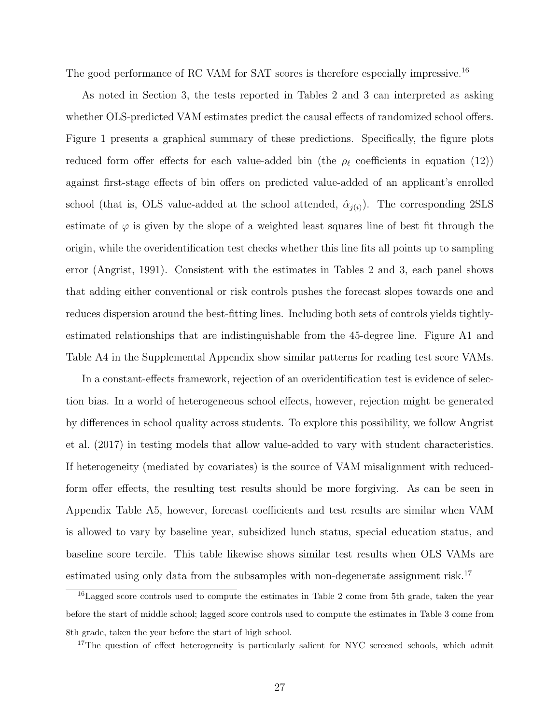The good performance of RC VAM for SAT scores is therefore especially impressive.<sup>[16](#page-28-0)</sup>

As noted in Section [3,](#page-12-0) the tests reported in Tables [2](#page-44-0) and [3](#page-45-0) can interpreted as asking whether OLS-predicted VAM estimates predict the causal effects of randomized school offers. Figure [1](#page-41-0) presents a graphical summary of these predictions. Specifically, the figure plots reduced form offer effects for each value-added bin (the  $\rho_{\ell}$  coefficients in equation [\(12\)](#page-17-0)) against first-stage effects of bin offers on predicted value-added of an applicant's enrolled school (that is, OLS value-added at the school attended,  $\hat{\alpha}_{i(i)}$ ). The corresponding 2SLS estimate of  $\varphi$  is given by the slope of a weighted least squares line of best fit through the origin, while the overidentification test checks whether this line fits all points up to sampling error [\(Angrist, 1991\)](#page-35-7). Consistent with the estimates in Tables [2](#page-44-0) and [3,](#page-45-0) each panel shows that adding either conventional or risk controls pushes the forecast slopes towards one and reduces dispersion around the best-fitting lines. Including both sets of controls yields tightlyestimated relationships that are indistinguishable from the 45-degree line. Figure [A1](#page-56-0) and Table [A4](#page-60-0) in the Supplemental Appendix show similar patterns for reading test score VAMs.

In a constant-effects framework, rejection of an overidentification test is evidence of selection bias. In a world of heterogeneous school effects, however, rejection might be generated by differences in school quality across students. To explore this possibility, we follow [Angrist](#page-36-0) [et al. \(2017\)](#page-36-0) in testing models that allow value-added to vary with student characteristics. If heterogeneity (mediated by covariates) is the source of VAM misalignment with reducedform offer effects, the resulting test results should be more forgiving. As can be seen in Appendix Table [A5,](#page-61-0) however, forecast coefficients and test results are similar when VAM is allowed to vary by baseline year, subsidized lunch status, special education status, and baseline score tercile. This table likewise shows similar test results when OLS VAMs are estimated using only data from the subsamples with non-degenerate assignment risk.<sup>[17](#page-28-1)</sup>

<span id="page-28-0"></span><sup>16</sup>Lagged score controls used to compute the estimates in Table [2](#page-44-0) come from 5th grade, taken the year before the start of middle school; lagged score controls used to compute the estimates in Table [3](#page-45-0) come from 8th grade, taken the year before the start of high school.

<span id="page-28-1"></span><sup>&</sup>lt;sup>17</sup>The question of effect heterogeneity is particularly salient for NYC screened schools, which admit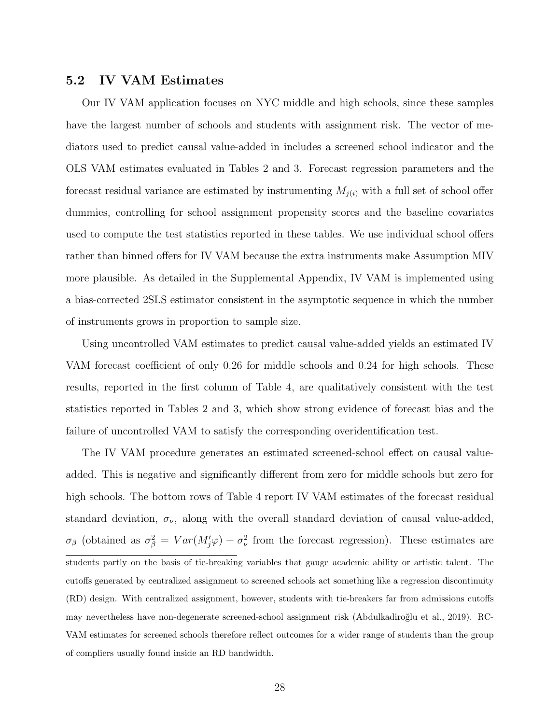# 5.2 IV VAM Estimates

Our IV VAM application focuses on NYC middle and high schools, since these samples have the largest number of schools and students with assignment risk. The vector of mediators used to predict causal value-added in includes a screened school indicator and the OLS VAM estimates evaluated in Tables [2](#page-44-0) and [3.](#page-45-0) Forecast regression parameters and the forecast residual variance are estimated by instrumenting  $M_{i(i)}$  with a full set of school offer dummies, controlling for school assignment propensity scores and the baseline covariates used to compute the test statistics reported in these tables. We use individual school offers rather than binned offers for IV VAM because the extra instruments make Assumption [MIV](#page-19-1) more plausible. As detailed in the Supplemental Appendix, IV VAM is implemented using a bias-corrected 2SLS estimator consistent in the asymptotic sequence in which the number of instruments grows in proportion to sample size.

Using uncontrolled VAM estimates to predict causal value-added yields an estimated IV VAM forecast coefficient of only 0.26 for middle schools and 0.24 for high schools. These results, reported in the first column of Table [4,](#page-46-0) are qualitatively consistent with the test statistics reported in Tables [2](#page-44-0) and [3,](#page-45-0) which show strong evidence of forecast bias and the failure of uncontrolled VAM to satisfy the corresponding overidentification test.

The IV VAM procedure generates an estimated screened-school effect on causal valueadded. This is negative and significantly different from zero for middle schools but zero for high schools. The bottom rows of Table [4](#page-46-0) report IV VAM estimates of the forecast residual standard deviation,  $\sigma_{\nu}$ , along with the overall standard deviation of causal value-added,  $\sigma_{\beta}$  (obtained as  $\sigma_{\beta}^2 = Var(M'_{j}\varphi) + \sigma_{\nu}^2$  from the forecast regression). These estimates are students partly on the basis of tie-breaking variables that gauge academic ability or artistic talent. The cutoffs generated by centralized assignment to screened schools act something like a regression discontinuity (RD) design. With centralized assignment, however, students with tie-breakers far from admissions cutoffs may nevertheless have non-degenerate screened-school assignment risk (Abdulkadiroğlu et al., 2019). RC-VAM estimates for screened schools therefore reflect outcomes for a wider range of students than the group of compliers usually found inside an RD bandwidth.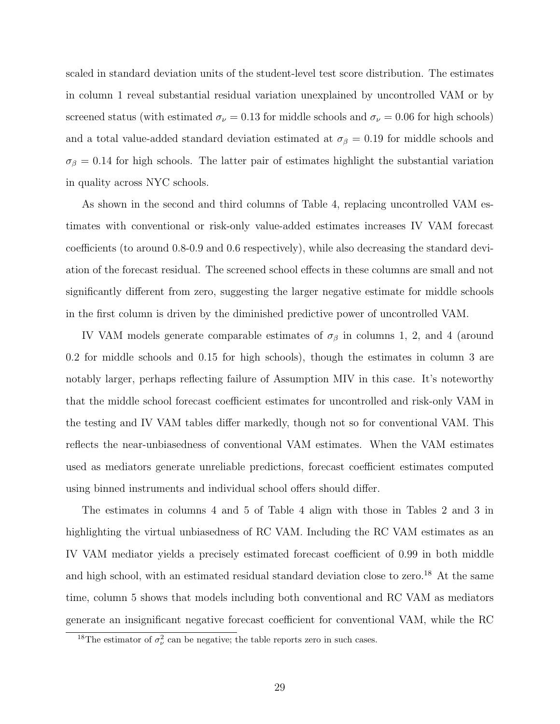scaled in standard deviation units of the student-level test score distribution. The estimates in column 1 reveal substantial residual variation unexplained by uncontrolled VAM or by screened status (with estimated  $\sigma_{\nu} = 0.13$  for middle schools and  $\sigma_{\nu} = 0.06$  for high schools) and a total value-added standard deviation estimated at  $\sigma_{\beta} = 0.19$  for middle schools and  $\sigma_{\beta} = 0.14$  for high schools. The latter pair of estimates highlight the substantial variation in quality across NYC schools.

As shown in the second and third columns of Table [4,](#page-46-0) replacing uncontrolled VAM estimates with conventional or risk-only value-added estimates increases IV VAM forecast coefficients (to around 0.8-0.9 and 0.6 respectively), while also decreasing the standard deviation of the forecast residual. The screened school effects in these columns are small and not significantly different from zero, suggesting the larger negative estimate for middle schools in the first column is driven by the diminished predictive power of uncontrolled VAM.

IV VAM models generate comparable estimates of  $\sigma_{\beta}$  in columns 1, 2, and 4 (around 0.2 for middle schools and 0.15 for high schools), though the estimates in column 3 are notably larger, perhaps reflecting failure of Assumption [MIV](#page-19-1) in this case. It's noteworthy that the middle school forecast coefficient estimates for uncontrolled and risk-only VAM in the testing and IV VAM tables differ markedly, though not so for conventional VAM. This reflects the near-unbiasedness of conventional VAM estimates. When the VAM estimates used as mediators generate unreliable predictions, forecast coefficient estimates computed using binned instruments and individual school offers should differ.

The estimates in columns 4 and 5 of Table [4](#page-46-0) align with those in Tables [2](#page-44-0) and [3](#page-45-0) in highlighting the virtual unbiasedness of RC VAM. Including the RC VAM estimates as an IV VAM mediator yields a precisely estimated forecast coefficient of 0.99 in both middle and high school, with an estimated residual standard deviation close to zero.<sup>[18](#page-30-0)</sup> At the same time, column 5 shows that models including both conventional and RC VAM as mediators generate an insignificant negative forecast coefficient for conventional VAM, while the RC

<span id="page-30-0"></span><sup>&</sup>lt;sup>18</sup>The estimator of  $\sigma_{\nu}^2$  can be negative; the table reports zero in such cases.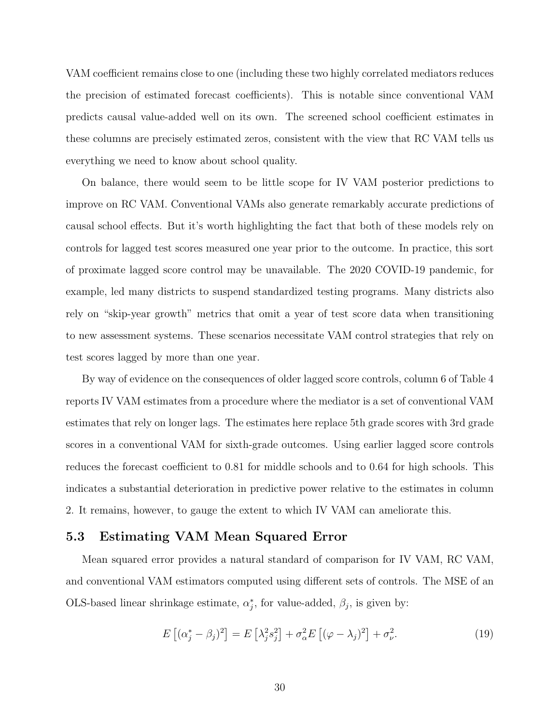VAM coefficient remains close to one (including these two highly correlated mediators reduces the precision of estimated forecast coefficients). This is notable since conventional VAM predicts causal value-added well on its own. The screened school coefficient estimates in these columns are precisely estimated zeros, consistent with the view that RC VAM tells us everything we need to know about school quality.

On balance, there would seem to be little scope for IV VAM posterior predictions to improve on RC VAM. Conventional VAMs also generate remarkably accurate predictions of causal school effects. But it's worth highlighting the fact that both of these models rely on controls for lagged test scores measured one year prior to the outcome. In practice, this sort of proximate lagged score control may be unavailable. The 2020 COVID-19 pandemic, for example, led many districts to suspend standardized testing programs. Many districts also rely on "skip-year growth" metrics that omit a year of test score data when transitioning to new assessment systems. These scenarios necessitate VAM control strategies that rely on test scores lagged by more than one year.

By way of evidence on the consequences of older lagged score controls, column 6 of Table [4](#page-46-0) reports IV VAM estimates from a procedure where the mediator is a set of conventional VAM estimates that rely on longer lags. The estimates here replace 5th grade scores with 3rd grade scores in a conventional VAM for sixth-grade outcomes. Using earlier lagged score controls reduces the forecast coefficient to 0.81 for middle schools and to 0.64 for high schools. This indicates a substantial deterioration in predictive power relative to the estimates in column 2. It remains, however, to gauge the extent to which IV VAM can ameliorate this.

## 5.3 Estimating VAM Mean Squared Error

Mean squared error provides a natural standard of comparison for IV VAM, RC VAM, and conventional VAM estimators computed using different sets of controls. The MSE of an OLS-based linear shrinkage estimate,  $\alpha_j^*$ , for value-added,  $\beta_j$ , is given by:

<span id="page-31-0"></span>
$$
E\left[ (\alpha_j^* - \beta_j)^2 \right] = E\left[ \lambda_j^2 s_j^2 \right] + \sigma_\alpha^2 E\left[ (\varphi - \lambda_j)^2 \right] + \sigma_\nu^2. \tag{19}
$$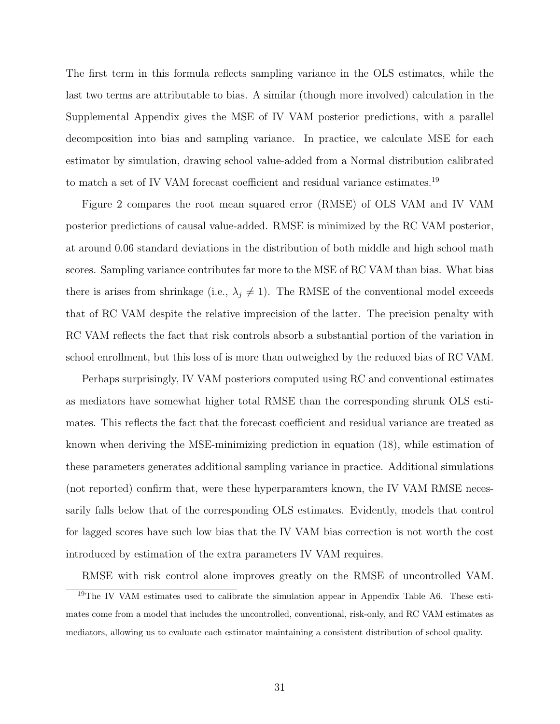The first term in this formula reflects sampling variance in the OLS estimates, while the last two terms are attributable to bias. A similar (though more involved) calculation in the Supplemental Appendix gives the MSE of IV VAM posterior predictions, with a parallel decomposition into bias and sampling variance. In practice, we calculate MSE for each estimator by simulation, drawing school value-added from a Normal distribution calibrated to match a set of IV VAM forecast coefficient and residual variance estimates.<sup>[19](#page-32-0)</sup>

Figure [2](#page-42-0) compares the root mean squared error (RMSE) of OLS VAM and IV VAM posterior predictions of causal value-added. RMSE is minimized by the RC VAM posterior, at around 0.06 standard deviations in the distribution of both middle and high school math scores. Sampling variance contributes far more to the MSE of RC VAM than bias. What bias there is arises from shrinkage (i.e.,  $\lambda_j \neq 1$ ). The RMSE of the conventional model exceeds that of RC VAM despite the relative imprecision of the latter. The precision penalty with RC VAM reflects the fact that risk controls absorb a substantial portion of the variation in school enrollment, but this loss of is more than outweighed by the reduced bias of RC VAM.

Perhaps surprisingly, IV VAM posteriors computed using RC and conventional estimates as mediators have somewhat higher total RMSE than the corresponding shrunk OLS estimates. This reflects the fact that the forecast coefficient and residual variance are treated as known when deriving the MSE-minimizing prediction in equation [\(18\)](#page-21-0), while estimation of these parameters generates additional sampling variance in practice. Additional simulations (not reported) confirm that, were these hyperparamters known, the IV VAM RMSE necessarily falls below that of the corresponding OLS estimates. Evidently, models that control for lagged scores have such low bias that the IV VAM bias correction is not worth the cost introduced by estimation of the extra parameters IV VAM requires.

<span id="page-32-0"></span>RMSE with risk control alone improves greatly on the RMSE of uncontrolled VAM.

<sup>&</sup>lt;sup>19</sup>The IV VAM estimates used to calibrate the simulation appear in Appendix Table [A6.](#page-62-0) These estimates come from a model that includes the uncontrolled, conventional, risk-only, and RC VAM estimates as mediators, allowing us to evaluate each estimator maintaining a consistent distribution of school quality.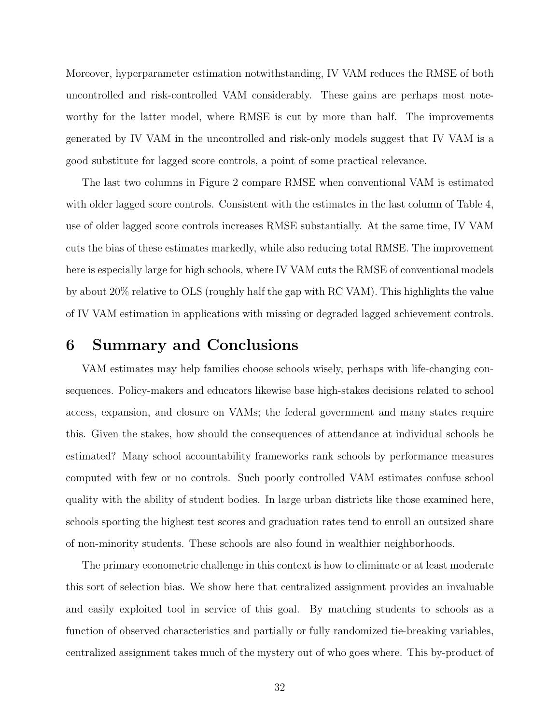Moreover, hyperparameter estimation notwithstanding, IV VAM reduces the RMSE of both uncontrolled and risk-controlled VAM considerably. These gains are perhaps most noteworthy for the latter model, where RMSE is cut by more than half. The improvements generated by IV VAM in the uncontrolled and risk-only models suggest that IV VAM is a good substitute for lagged score controls, a point of some practical relevance.

The last two columns in Figure [2](#page-42-0) compare RMSE when conventional VAM is estimated with older lagged score controls. Consistent with the estimates in the last column of Table [4,](#page-46-0) use of older lagged score controls increases RMSE substantially. At the same time, IV VAM cuts the bias of these estimates markedly, while also reducing total RMSE. The improvement here is especially large for high schools, where IV VAM cuts the RMSE of conventional models by about 20% relative to OLS (roughly half the gap with RC VAM). This highlights the value of IV VAM estimation in applications with missing or degraded lagged achievement controls.

# <span id="page-33-0"></span>6 Summary and Conclusions

VAM estimates may help families choose schools wisely, perhaps with life-changing consequences. Policy-makers and educators likewise base high-stakes decisions related to school access, expansion, and closure on VAMs; the federal government and many states require this. Given the stakes, how should the consequences of attendance at individual schools be estimated? Many school accountability frameworks rank schools by performance measures computed with few or no controls. Such poorly controlled VAM estimates confuse school quality with the ability of student bodies. In large urban districts like those examined here, schools sporting the highest test scores and graduation rates tend to enroll an outsized share of non-minority students. These schools are also found in wealthier neighborhoods.

The primary econometric challenge in this context is how to eliminate or at least moderate this sort of selection bias. We show here that centralized assignment provides an invaluable and easily exploited tool in service of this goal. By matching students to schools as a function of observed characteristics and partially or fully randomized tie-breaking variables, centralized assignment takes much of the mystery out of who goes where. This by-product of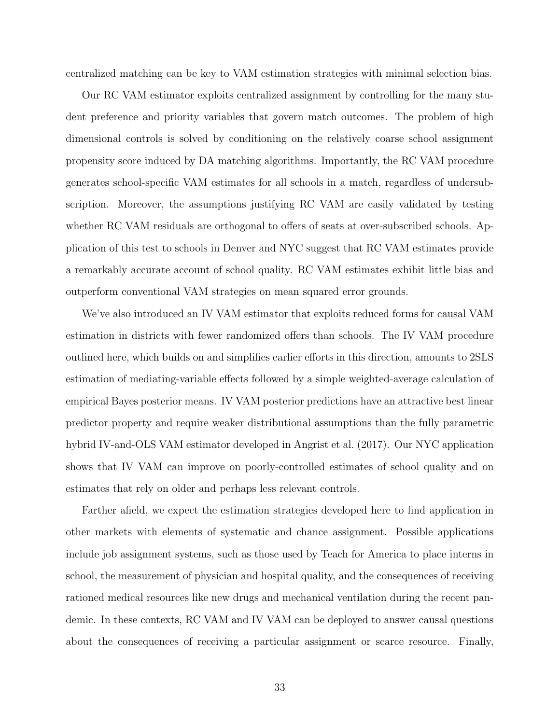centralized matching can be key to VAM estimation strategies with minimal selection bias.

Our RC VAM estimator exploits centralized assignment by controlling for the many student preference and priority variables that govern match outcomes. The problem of high dimensional controls is solved by conditioning on the relatively coarse school assignment propensity score induced by DA matching algorithms. Importantly, the RC VAM procedure generates school-specific VAM estimates for all schools in a match, regardless of undersubscription. Moreover, the assumptions justifying RC VAM are easily validated by testing whether RC VAM residuals are orthogonal to offers of seats at over-subscribed schools. Application of this test to schools in Denver and NYC suggest that RC VAM estimates provide a remarkably accurate account of school quality. RC VAM estimates exhibit little bias and outperform conventional VAM strategies on mean squared error grounds.

We've also introduced an IV VAM estimator that exploits reduced forms for causal VAM estimation in districts with fewer randomized offers than schools. The IV VAM procedure outlined here, which builds on and simplifies earlier efforts in this direction, amounts to 2SLS estimation of mediating-variable effects followed by a simple weighted-average calculation of empirical Bayes posterior means. IV VAM posterior predictions have an attractive best linear predictor property and require weaker distributional assumptions than the fully parametric hybrid IV-and-OLS VAM estimator developed in [Angrist et al. \(2017\)](#page-36-0). Our NYC application shows that IV VAM can improve on poorly-controlled estimates of school quality and on estimates that rely on older and perhaps less relevant controls.

Farther afield, we expect the estimation strategies developed here to find application in other markets with elements of systematic and chance assignment. Possible applications include job assignment systems, such as those used by Teach for America to place interns in school, the measurement of physician and hospital quality, and the consequences of receiving rationed medical resources like new drugs and mechanical ventilation during the recent pandemic. In these contexts, RC VAM and IV VAM can be deployed to answer causal questions about the consequences of receiving a particular assignment or scarce resource. Finally,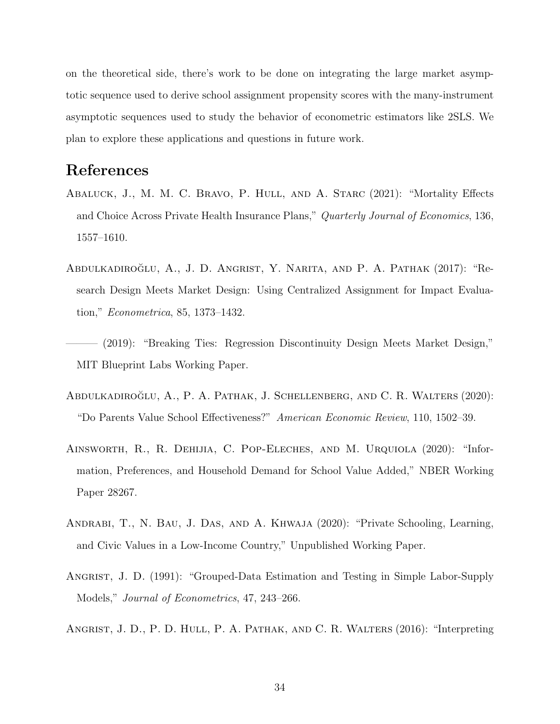on the theoretical side, there's work to be done on integrating the large market asymptotic sequence used to derive school assignment propensity scores with the many-instrument asymptotic sequences used to study the behavior of econometric estimators like 2SLS. We plan to explore these applications and questions in future work.

# <span id="page-35-3"></span>References

- ABALUCK, J., M. M. C. BRAVO, P. HULL, AND A. STARC (2021): "Mortality Effects and Choice Across Private Health Insurance Plans," Quarterly Journal of Economics, 136, 1557–1610.
- <span id="page-35-0"></span>ABDULKADIROĞLU, A., J. D. ANGRIST, Y. NARITA, AND P. A. PATHAK (2017): "Research Design Meets Market Design: Using Centralized Assignment for Impact Evaluation," Econometrica, 85, 1373–1432.
- <span id="page-35-1"></span>– (2019): "Breaking Ties: Regression Discontinuity Design Meets Market Design," MIT Blueprint Labs Working Paper.
- <span id="page-35-6"></span>ABDULKADIROĞLU, A., P. A. PATHAK, J. SCHELLENBERG, AND C. R. WALTERS (2020): "Do Parents Value School Effectiveness?" American Economic Review, 110, 1502–39.
- <span id="page-35-5"></span>Ainsworth, R., R. Dehijia, C. Pop-Eleches, and M. Urquiola (2020): "Information, Preferences, and Household Demand for School Value Added," NBER Working Paper 28267.
- <span id="page-35-4"></span>Andrabi, T., N. Bau, J. Das, and A. Khwaja (2020): "Private Schooling, Learning, and Civic Values in a Low-Income Country," Unpublished Working Paper.
- <span id="page-35-7"></span>ANGRIST, J. D. (1991): "Grouped-Data Estimation and Testing in Simple Labor-Supply Models," Journal of Econometrics, 47, 243–266.
- <span id="page-35-2"></span>ANGRIST, J. D., P. D. HULL, P. A. PATHAK, AND C. R. WALTERS (2016): "Interpreting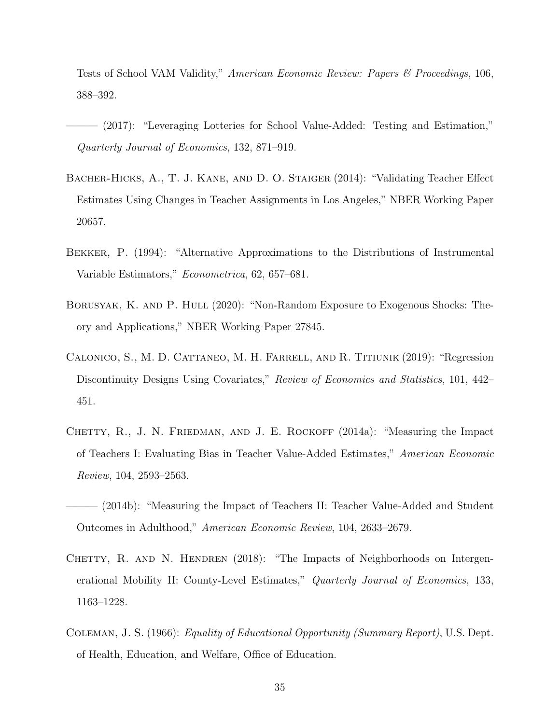Tests of School VAM Validity," American Economic Review: Papers & Proceedings, 106, 388–392.

- <span id="page-36-0"></span>——— (2017): "Leveraging Lotteries for School Value-Added: Testing and Estimation," Quarterly Journal of Economics, 132, 871–919.
- <span id="page-36-7"></span>Bacher-Hicks, A., T. J. Kane, and D. O. Staiger (2014): "Validating Teacher Effect Estimates Using Changes in Teacher Assignments in Los Angeles," NBER Working Paper 20657.
- <span id="page-36-5"></span>Bekker, P. (1994): "Alternative Approximations to the Distributions of Instrumental Variable Estimators," Econometrica, 62, 657–681.
- <span id="page-36-4"></span>BORUSYAK, K. AND P. HULL (2020): "Non-Random Exposure to Exogenous Shocks: Theory and Applications," NBER Working Paper 27845.
- <span id="page-36-6"></span>Calonico, S., M. D. Cattaneo, M. H. Farrell, and R. Titiunik (2019): "Regression Discontinuity Designs Using Covariates," Review of Economics and Statistics, 101, 442– 451.
- <span id="page-36-3"></span>CHETTY, R., J. N. FRIEDMAN, AND J. E. ROCKOFF (2014a): "Measuring the Impact of Teachers I: Evaluating Bias in Teacher Value-Added Estimates," American Economic Review, 104, 2593–2563.
- <span id="page-36-8"></span>(2014b): "Measuring the Impact of Teachers II: Teacher Value-Added and Student Outcomes in Adulthood," American Economic Review, 104, 2633–2679.
- <span id="page-36-1"></span>CHETTY, R. AND N. HENDREN (2018): "The Impacts of Neighborhoods on Intergenerational Mobility II: County-Level Estimates," Quarterly Journal of Economics, 133, 1163–1228.
- <span id="page-36-2"></span>Coleman, J. S. (1966): Equality of Educational Opportunity (Summary Report), U.S. Dept. of Health, Education, and Welfare, Office of Education.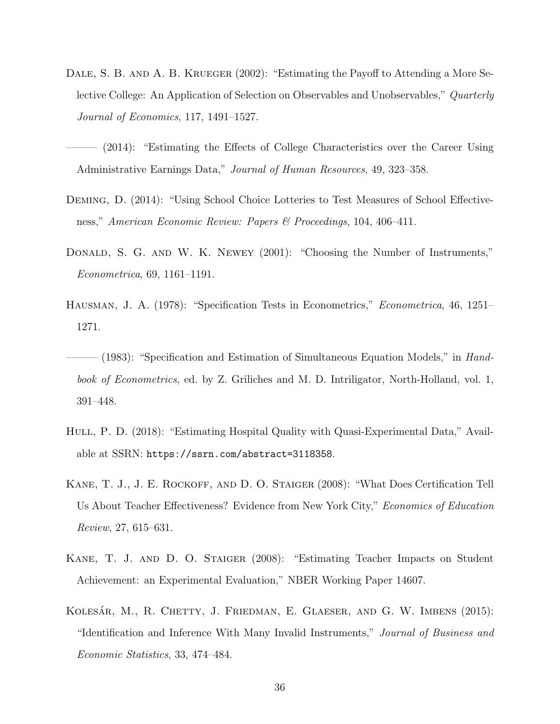- <span id="page-37-0"></span>DALE, S. B. AND A. B. KRUEGER (2002): "Estimating the Payoff to Attending a More Selective College: An Application of Selection on Observables and Unobservables," Quarterly Journal of Economics, 117, 1491–1527.
- <span id="page-37-1"></span> $(2014)$ : "Estimating the Effects of College Characteristics over the Career Using Administrative Earnings Data," Journal of Human Resources, 49, 323–358.
- <span id="page-37-4"></span>Deming, D. (2014): "Using School Choice Lotteries to Test Measures of School Effectiveness," American Economic Review: Papers & Proceedings, 104, 406–411.
- <span id="page-37-9"></span>DONALD, S. G. AND W. K. NEWEY (2001): "Choosing the Number of Instruments," Econometrica, 69, 1161–1191.
- <span id="page-37-5"></span>Hausman, J. A. (1978): "Specification Tests in Econometrics," Econometrica, 46, 1251– 1271.
- <span id="page-37-6"></span> $-$  (1983): "Specification and Estimation of Simultaneous Equation Models," in Handbook of Econometrics, ed. by Z. Griliches and M. D. Intriligator, North-Holland, vol. 1, 391–448.
- <span id="page-37-2"></span>HULL, P. D. (2018): "Estimating Hospital Quality with Quasi-Experimental Data," Available at SSRN: <https://ssrn.com/abstract=3118358>.
- <span id="page-37-8"></span>Kane, T. J., J. E. Rockoff, and D. O. Staiger (2008): "What Does Certification Tell Us About Teacher Effectiveness? Evidence from New York City," Economics of Education Review, 27, 615–631.
- <span id="page-37-3"></span>Kane, T. J. and D. O. Staiger (2008): "Estimating Teacher Impacts on Student Achievement: an Experimental Evaluation," NBER Working Paper 14607.
- <span id="page-37-7"></span>KOLESÁR, M., R. CHETTY, J. FRIEDMAN, E. GLAESER, AND G. W. IMBENS (2015): "Identification and Inference With Many Invalid Instruments," Journal of Business and Economic Statistics, 33, 474–484.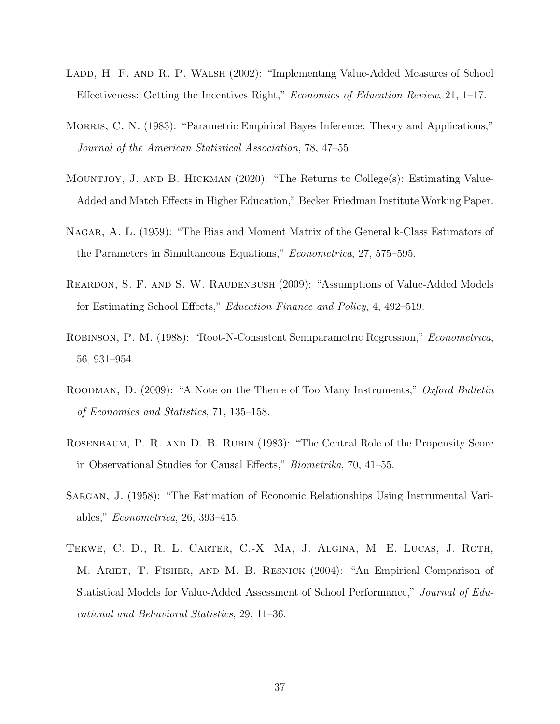- <span id="page-38-2"></span>LADD, H. F. AND R. P. WALSH (2002): "Implementing Value-Added Measures of School Effectiveness: Getting the Incentives Right," Economics of Education Review, 21, 1–17.
- <span id="page-38-6"></span>MORRIS, C. N. (1983): "Parametric Empirical Bayes Inference: Theory and Applications," Journal of the American Statistical Association, 78, 47–55.
- <span id="page-38-1"></span>Mountjoy, J. and B. Hickman (2020): "The Returns to College(s): Estimating Value-Added and Match Effects in Higher Education," Becker Friedman Institute Working Paper.
- <span id="page-38-9"></span>Nagar, A. L. (1959): "The Bias and Moment Matrix of the General k-Class Estimators of the Parameters in Simultaneous Equations," Econometrica, 27, 575–595.
- <span id="page-38-4"></span>REARDON, S. F. AND S. W. RAUDENBUSH (2009): "Assumptions of Value-Added Models for Estimating School Effects," Education Finance and Policy, 4, 492–519.
- <span id="page-38-5"></span>Robinson, P. M. (1988): "Root-N-Consistent Semiparametric Regression," Econometrica, 56, 931–954.
- <span id="page-38-8"></span>ROODMAN, D. (2009): "A Note on the Theme of Too Many Instruments," Oxford Bulletin of Economics and Statistics, 71, 135–158.
- <span id="page-38-0"></span>Rosenbaum, P. R. and D. B. Rubin (1983): "The Central Role of the Propensity Score in Observational Studies for Causal Effects," Biometrika, 70, 41–55.
- <span id="page-38-7"></span>Sargan, J. (1958): "The Estimation of Economic Relationships Using Instrumental Variables," Econometrica, 26, 393–415.
- <span id="page-38-3"></span>Tekwe, C. D., R. L. Carter, C.-X. Ma, J. Algina, M. E. Lucas, J. Roth, M. Ariet, T. Fisher, and M. B. Resnick (2004): "An Empirical Comparison of Statistical Models for Value-Added Assessment of School Performance," Journal of Educational and Behavioral Statistics, 29, 11–36.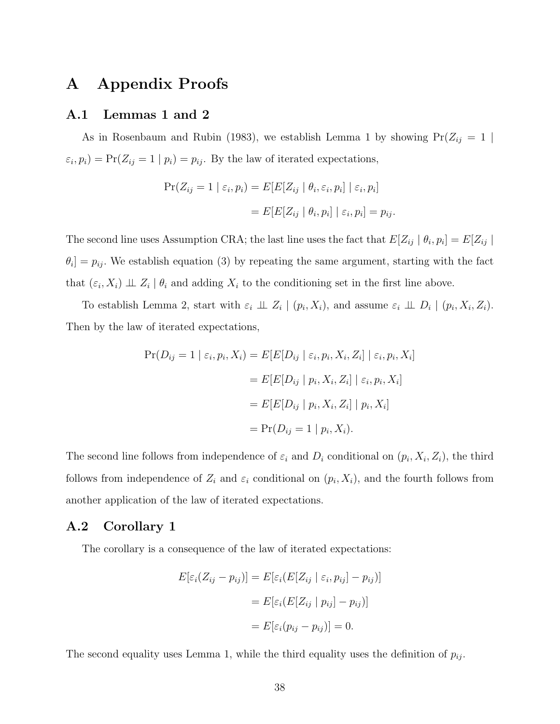# A Appendix Proofs

### A.1 Lemmas [1](#page-8-1) and [2](#page-11-1)

As in [Rosenbaum and Rubin \(1983\)](#page-38-0), we establish Lemma [1](#page-8-1) by showing  $Pr(Z_{ij} = 1 |$  $\varepsilon_i, p_i$ ) = Pr( $Z_{ij} = 1 | p_i$ ) =  $p_{ij}$ . By the law of iterated expectations,

$$
Pr(Z_{ij} = 1 | \varepsilon_i, p_i) = E[E[Z_{ij} | \theta_i, \varepsilon_i, p_i] | \varepsilon_i, p_i]
$$

$$
= E[E[Z_{ij} | \theta_i, p_i] | \varepsilon_i, p_i] = p_{ij}.
$$

The second line uses Assumption [CRA;](#page-7-0) the last line uses the fact that  $E[Z_{ij} | \theta_i, p_i] = E[Z_{ij} |$  $\theta_i$  =  $p_{ij}$ . We establish equation [\(3\)](#page-10-1) by repeating the same argument, starting with the fact that  $(\varepsilon_i, X_i) \perp \!\!\! \perp Z_i \mid \theta_i$  and adding  $X_i$  to the conditioning set in the first line above.

To establish Lemma [2,](#page-11-1) start with  $\varepsilon_i \perp \!\!\! \perp Z_i \mid (p_i, X_i)$ , and assume  $\varepsilon_i \perp \!\!\! \perp D_i \mid (p_i, X_i, Z_i)$ . Then by the law of iterated expectations,

$$
Pr(D_{ij} = 1 | \varepsilon_i, p_i, X_i) = E[E[D_{ij} | \varepsilon_i, p_i, X_i, Z_i] | \varepsilon_i, p_i, X_i]
$$
  
= 
$$
E[E[D_{ij} | p_i, X_i, Z_i] | \varepsilon_i, p_i, X_i]
$$
  
= 
$$
E[E[D_{ij} | p_i, X_i, Z_i] | p_i, X_i]
$$
  
= 
$$
Pr(D_{ij} = 1 | p_i, X_i).
$$

The second line follows from independence of  $\varepsilon_i$  and  $D_i$  conditional on  $(p_i, X_i, Z_i)$ , the third follows from independence of  $Z_i$  and  $\varepsilon_i$  conditional on  $(p_i, X_i)$ , and the fourth follows from another application of the law of iterated expectations.

# A.2 Corollary [1](#page-8-2)

The corollary is a consequence of the law of iterated expectations:

$$
E[\varepsilon_i(Z_{ij} - p_{ij})] = E[\varepsilon_i(E[Z_{ij} | \varepsilon_i, p_{ij}] - p_{ij})]
$$

$$
= E[\varepsilon_i(E[Z_{ij} | p_{ij}] - p_{ij})]
$$

$$
= E[\varepsilon_i(p_{ij} - p_{ij})] = 0.
$$

The second equality uses Lemma [1,](#page-8-1) while the third equality uses the definition of  $p_{ij}$ .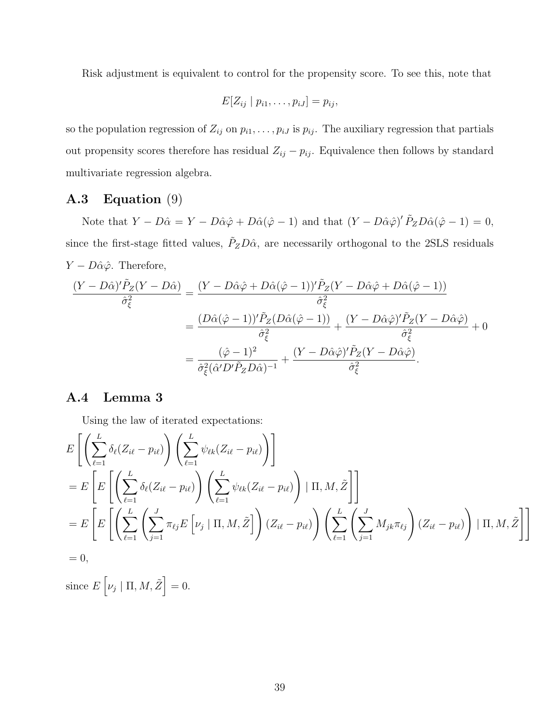Risk adjustment is equivalent to control for the propensity score. To see this, note that

$$
E[Z_{ij} | p_{i1}, \ldots, p_{iJ}] = p_{ij},
$$

so the population regression of  $Z_{ij}$  on  $p_{i1}, \ldots, p_{iJ}$  is  $p_{ij}$ . The auxiliary regression that partials out propensity scores therefore has residual  $Z_{ij} - p_{ij}$ . Equivalence then follows by standard multivariate regression algebra.

# <span id="page-40-0"></span>A.3 Equation [\(9\)](#page-15-1)

Note that  $Y - D\hat{\alpha} = Y - D\hat{\alpha}\hat{\varphi} + D\hat{\alpha}(\hat{\varphi} - 1)$  and that  $(Y - D\hat{\alpha}\hat{\varphi})' \tilde{P}_Z D\hat{\alpha}(\hat{\varphi} - 1) = 0$ , since the first-stage fitted values,  $\tilde{P}_Z D \hat{\alpha}$ , are necessarily orthogonal to the 2SLS residuals  $Y - D\hat{\alpha}\hat{\varphi}$ . Therefore,

$$
\frac{(Y - D\hat{\alpha})'\tilde{P}_Z(Y - D\hat{\alpha})}{\hat{\sigma}_{\xi}^2} = \frac{(Y - D\hat{\alpha}\hat{\varphi} + D\hat{\alpha}(\hat{\varphi} - 1))'\tilde{P}_Z(Y - D\hat{\alpha}\hat{\varphi} + D\hat{\alpha}(\hat{\varphi} - 1))}{\hat{\sigma}_{\xi}^2}
$$

$$
= \frac{(D\hat{\alpha}(\hat{\varphi} - 1))'\tilde{P}_Z(D\hat{\alpha}(\hat{\varphi} - 1))}{\hat{\sigma}_{\xi}^2} + \frac{(Y - D\hat{\alpha}\hat{\varphi})'\tilde{P}_Z(Y - D\hat{\alpha}\hat{\varphi})}{\hat{\sigma}_{\xi}^2} + 0
$$

$$
= \frac{(\hat{\varphi} - 1)^2}{\hat{\sigma}_{\xi}^2(\hat{\alpha}'D'\tilde{P}_ZD\hat{\alpha})^{-1}} + \frac{(Y - D\hat{\alpha}\hat{\varphi})'\tilde{P}_Z(Y - D\hat{\alpha}\hat{\varphi})}{\hat{\sigma}_{\xi}^2}.
$$

# A.4 Lemma [3](#page-19-2)

Using the law of iterated expectations:

$$
E\left[\left(\sum_{\ell=1}^{L} \delta_{\ell}(Z_{i\ell} - p_{i\ell})\right) \left(\sum_{\ell=1}^{L} \psi_{\ell k}(Z_{i\ell} - p_{i\ell})\right)\right]
$$
  
\n
$$
= E\left[E\left[\left(\sum_{\ell=1}^{L} \delta_{\ell}(Z_{i\ell} - p_{i\ell})\right) \left(\sum_{\ell=1}^{L} \psi_{\ell k}(Z_{i\ell} - p_{i\ell})\right) | \Pi, M, \tilde{Z}\right]\right]
$$
  
\n
$$
= E\left[E\left[\left(\sum_{\ell=1}^{L} \left(\sum_{j=1}^{J} \pi_{\ell j} E\left[\nu_j | \Pi, M, \tilde{Z}\right]\right) (Z_{i\ell} - p_{i\ell})\right) \left(\sum_{\ell=1}^{L} \left(\sum_{j=1}^{J} M_{jk} \pi_{\ell j}\right) (Z_{i\ell} - p_{i\ell})\right) | \Pi, M, \tilde{Z}\right]\right]
$$
  
\n
$$
= 0,
$$

since  $E[\nu_j | \Pi, M, \tilde{Z}] = 0$ .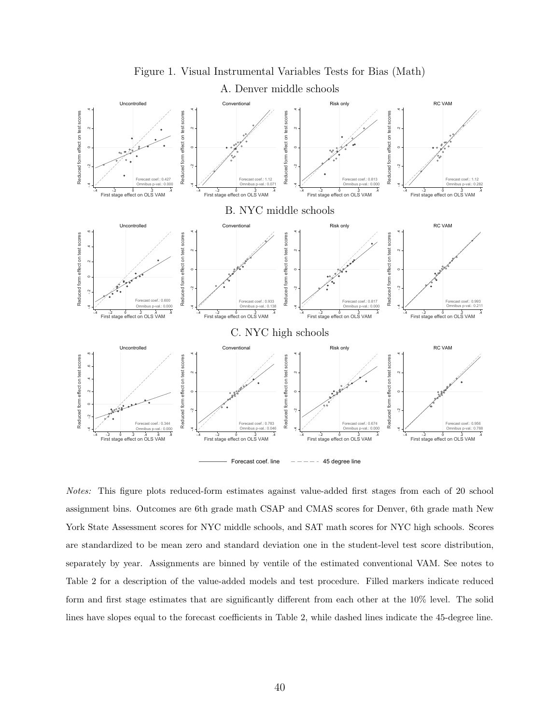<span id="page-41-0"></span>

Figure 1. Visual Instrumental Variables Tests for Bias (Math)

Notes: This figure plots reduced-form estimates against value-added first stages from each of 20 school assignment bins. Outcomes are 6th grade math CSAP and CMAS scores for Denver, 6th grade math New York State Assessment scores for NYC middle schools, and SAT math scores for NYC high schools. Scores are standardized to be mean zero and standard deviation one in the student-level test score distribution, separately by year. Assignments are binned by ventile of the estimated conventional VAM. See notes to Table [2](#page-44-0) for a description of the value-added models and test procedure. Filled markers indicate reduced form and first stage estimates that are significantly different from each other at the 10% level. The solid lines have slopes equal to the forecast coefficients in Table [2,](#page-44-0) while dashed lines indicate the 45-degree line.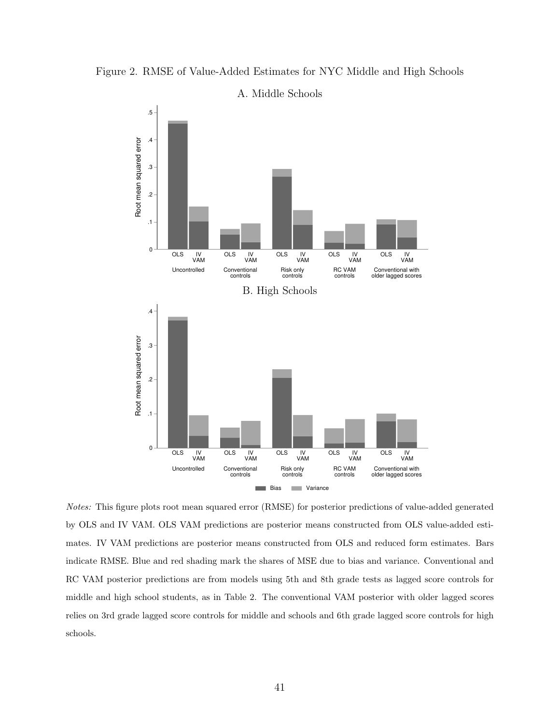<span id="page-42-0"></span>



A. Middle Schools

Notes: This figure plots root mean squared error (RMSE) for posterior predictions of value-added generated by OLS and IV VAM. OLS VAM predictions are posterior means constructed from OLS value-added estimates. IV VAM predictions are posterior means constructed from OLS and reduced form estimates. Bars indicate RMSE. Blue and red shading mark the shares of MSE due to bias and variance. Conventional and RC VAM posterior predictions are from models using 5th and 8th grade tests as lagged score controls for middle and high school students, as in Table [2.](#page-44-0) The conventional VAM posterior with older lagged scores relies on 3rd grade lagged score controls for middle and schools and 6th grade lagged score controls for high schools.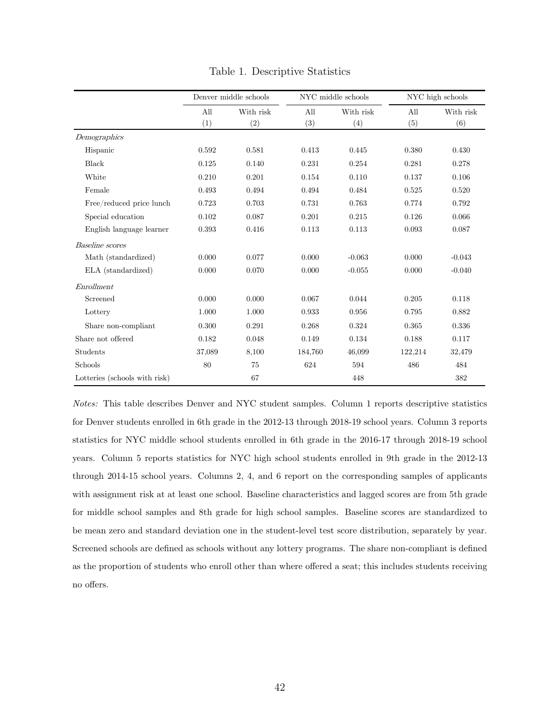<span id="page-43-0"></span>

|                               | Denver middle schools |           |         | NYC middle schools | NYC high schools |           |  |  |
|-------------------------------|-----------------------|-----------|---------|--------------------|------------------|-----------|--|--|
|                               | All                   | With risk | All     | With risk          | All              | With risk |  |  |
|                               | (1)                   | (2)       | (3)     | (4)                | (5)              | (6)       |  |  |
| Demographics                  |                       |           |         |                    |                  |           |  |  |
| Hispanic                      | 0.592                 | 0.581     | 0.413   | 0.445              | 0.380            | 0.430     |  |  |
| Black                         | 0.125                 | 0.140     | 0.231   | 0.254              | 0.281            | 0.278     |  |  |
| White                         | 0.210                 | 0.201     | 0.154   | 0.110              | 0.137            | 0.106     |  |  |
| Female                        | 0.493                 | 0.494     | 0.494   | 0.484              | 0.525            | 0.520     |  |  |
| Free/reduced price lunch      | 0.723                 | 0.703     | 0.731   | 0.763              | 0.774            | 0.792     |  |  |
| Special education             | 0.102                 | 0.087     | 0.201   | 0.215              | 0.126            | 0.066     |  |  |
| English language learner      | 0.393                 | 0.416     | 0.113   | 0.113              | 0.093            | 0.087     |  |  |
| <b>Baseline</b> scores        |                       |           |         |                    |                  |           |  |  |
| Math (standardized)           | 0.000                 | 0.077     | 0.000   | $-0.063$           | 0.000            | $-0.043$  |  |  |
| ELA (standardized)            | 0.000                 | 0.070     | 0.000   | $-0.055$           | 0.000            | $-0.040$  |  |  |
| Enrollment                    |                       |           |         |                    |                  |           |  |  |
| Screened                      | 0.000                 | 0.000     | 0.067   | 0.044              | 0.205            | 0.118     |  |  |
| Lottery                       | 1.000                 | 1.000     | 0.933   | 0.956              | 0.795            | 0.882     |  |  |
| Share non-compliant           | 0.300                 | 0.291     | 0.268   | 0.324              | 0.365            | 0.336     |  |  |
| Share not offered             | 0.182                 | 0.048     | 0.149   | 0.134              | 0.188            | 0.117     |  |  |
| Students                      | 37,089                | 8,100     | 184,760 | 46,099             | 122,214          | 32,479    |  |  |
| Schools                       | 80                    | 75        | 624     | 594                | 486              | 484       |  |  |
| Lotteries (schools with risk) |                       | 67        |         | 448                |                  | 382       |  |  |

Table 1. Descriptive Statistics

Notes: This table describes Denver and NYC student samples. Column 1 reports descriptive statistics for Denver students enrolled in 6th grade in the 2012-13 through 2018-19 school years. Column 3 reports applies with assignment risk at least one school. Baseline characteristics and lagged scores are from  $\alpha$ statistics for NYC middle school students enrolled in 6th grade in the 2016-17 through 2018-19 school one in the student-level test score distribution, separately by year. Screened schools are defined as schools without any lottery years. Column 5 reports statistics for NYC high school students enrolled in 9th grade in the 2012-13 through 2014-15 school years. Columns 2, 4, and 6 report on the corresponding samples of applicants with assignment risk at at least one school. Baseline characteristics and lagged scores are from 5th grade for middle school samples and 8th grade for high school samples. Baseline scores are standardized to be mean zero and standard deviation one in the student-level test score distribution, separately by year. Screened schools are defined as schools without any lottery programs. The share non-compliant is defined as the proportion of students who enroll other than where offered a seat; this includes students receiving no offers.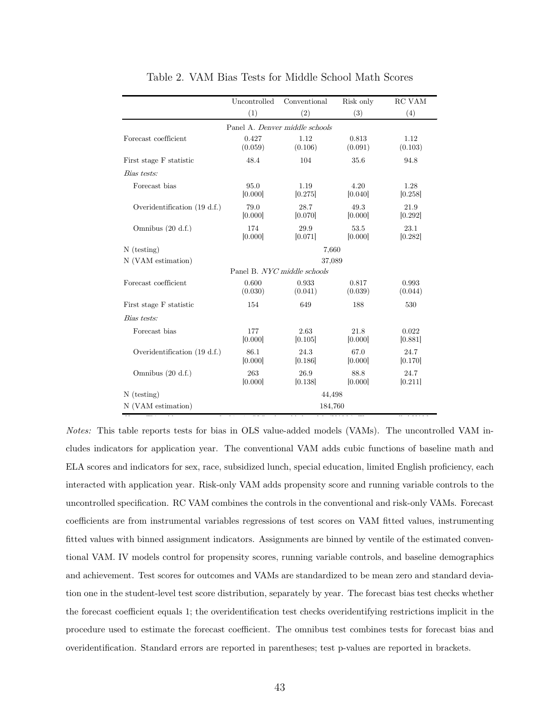<span id="page-44-0"></span>

|                                | Uncontrolled     | Conventional                   | Risk only        | RC VAM           |  |  |  |  |  |
|--------------------------------|------------------|--------------------------------|------------------|------------------|--|--|--|--|--|
|                                | (1)              | (2)                            | (3)              | (4)              |  |  |  |  |  |
|                                |                  | Panel A. Denver middle schools |                  |                  |  |  |  |  |  |
| Forecast coefficient           | 0.427<br>(0.059) | 1.12<br>(0.106)                | 0.813<br>(0.091) | 1.12<br>(0.103)  |  |  |  |  |  |
| First stage F statistic        | 48.4             | 104                            | 35.6             | 94.8             |  |  |  |  |  |
| Bias tests:                    |                  |                                |                  |                  |  |  |  |  |  |
| Forecast bias                  | 95.0<br>[0.000]  | 1.19<br>[0.275]                | 4.20<br>[0.040]  | 1.28<br>[0.258]  |  |  |  |  |  |
| Overidentification (19 d.f.)   | 79.0<br>[0.000]  | 28.7<br>[0.070]                | 49.3<br>[0.000]  | 21.9<br>[0.292]  |  |  |  |  |  |
| Omnibus $(20 d.f.)$            | 174<br>[0.000]   | 29.9<br>[0.071]                | 53.5<br>[0.000]  | 23.1<br>[0.282]  |  |  |  |  |  |
| $N$ (testing)                  |                  | 7,660                          |                  |                  |  |  |  |  |  |
| N (VAM estimation)             | 37,089           |                                |                  |                  |  |  |  |  |  |
|                                |                  | Panel B. NYC middle schools    |                  |                  |  |  |  |  |  |
| Forecast coefficient           | 0.600<br>(0.030) | 0.933<br>(0.041)               | 0.817<br>(0.039) | 0.993<br>(0.044) |  |  |  |  |  |
| First stage F statistic        | 154              | 649                            | 188              | 530              |  |  |  |  |  |
| Bias tests:                    |                  |                                |                  |                  |  |  |  |  |  |
| Forecast bias                  | 177<br>[0.000]   | 2.63<br>[0.105]                | 21.8<br>[0.000]  | 0.022<br>[0.881] |  |  |  |  |  |
| Overidentification $(19 d.f.)$ | 86.1<br>[0.000]  | 24.3<br>[0.186]                | 67.0<br>[0.000]  | 24.7<br>[0.170]  |  |  |  |  |  |
| Omnibus $(20 d.f.)$            | 263<br>[0.000]   | 26.9<br>[0.138]                | 88.8<br>[0.000]  | 24.7<br>[0.211]  |  |  |  |  |  |
| $N$ (testing)                  |                  | 44,498                         |                  |                  |  |  |  |  |  |
| N (VAM estimation)             |                  | 184,760                        |                  |                  |  |  |  |  |  |

<span id="page-44-1"></span>Table 2. VAM Bias Tests for Middle School Math Scores

able reports tests for bias in  $OLS$  value-added models  $(VAMs)$ . The uncontrol Notes: This table reports tests for bias in OLS value-added models (VAMs). The uncontrolled VAM includes indicators for application year. The conventional VAM adds cubic functions of baseline math and ELA scores and indicators for sex, race, subsidized lunch, special education, limited English proficiency, each interacted with application year. Risk-only VAM adds propensity score and running variable controls to the conventional VAM. IV models control for propensity scores, running variable controls, and baseline uncontrolled specification. RC VAM combines the controls in the conventional and risk-only VAMs. Forecast  $\alpha$  in the standard deviation one in the student-level test score distribution, separately by year. The separately by year. The separately by year. The separately by year. The separately by year. The separately by year. coefficients are from instrumental variables regressions of test scores on VAM fitted values, instrumenting overidentifying restrictions implicit in the procedure used to estimate the forecast coefficient. The fitted values with binned assignment indicators. Assignments are binned by ventile of the estimated conventional VAM. IV models control for propensity scores, running variable controls, and baseline demographics and achievement. Test scores for outcomes and VAMs are standardized to be mean zero and standard deviation one in the student-level test score distribution, separately by year. The forecast bias test checks whether the forecast coefficient equals 1; the overidentification test checks overidentifying restrictions implicit in the procedure used to estimate the forecast coefficient. The omnibus test combines tests for forecast bias and overidentification. Standard errors are reported in parentheses; test p-values are reported in brackets.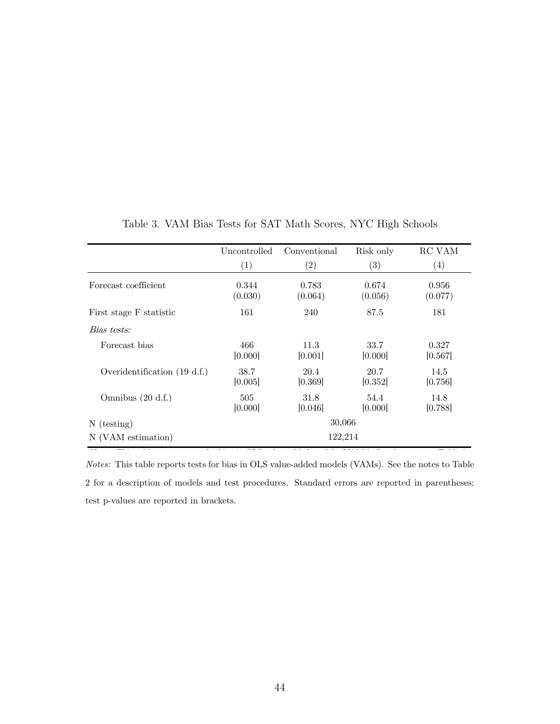<span id="page-45-0"></span>

|                                | Uncontrolled     | Conventional      | Risk only         | RC VAM           |
|--------------------------------|------------------|-------------------|-------------------|------------------|
|                                | (1)              | $\left( 2\right)$ | $\left( 3\right)$ | (4)              |
| Forecast coefficient           | 0.344<br>(0.030) | 0.783<br>(0.064)  | 0.674<br>(0.056)  | 0.956<br>(0.077) |
| First stage F statistic        | 161              | 240               | 87.5              | 181              |
| Bias tests:                    |                  |                   |                   |                  |
| Forecast bias                  | 466<br>[0.000]   | 11.3<br>[0.001]   | 33.7<br>[0.000]   | 0.327<br>[0.567] |
| Overidentification $(19 d.f.)$ | 38.7<br>[0.005]  | 20.4<br>[0.369]   | 20.7<br>[0.352]   | 14.5<br>[0.756]  |
| Omnibus $(20 d.f.)$            | 505<br>[0.000]   | 31.8<br>[0.046]   | 54.4<br>[0.000]   | 14.8<br>[0.788]  |
| $N$ (testing)                  |                  | 30,066            |                   |                  |
| N (VAM estimation)             |                  | 122,214           |                   |                  |

<span id="page-45-1"></span>Table 3. VAM Bias Tests for SAT Math Scores, NYC High Schools Table 3. VAM Bias Tests for SAT Math Scores, NYC High Schools

Notes: This table reports tests for bias in OLS value-added models (VAMs). See the notes to Table [2](#page-44-0) for a description of models and test procedures. Standard errors are reported in parentheses; test p-values are reported in brackets.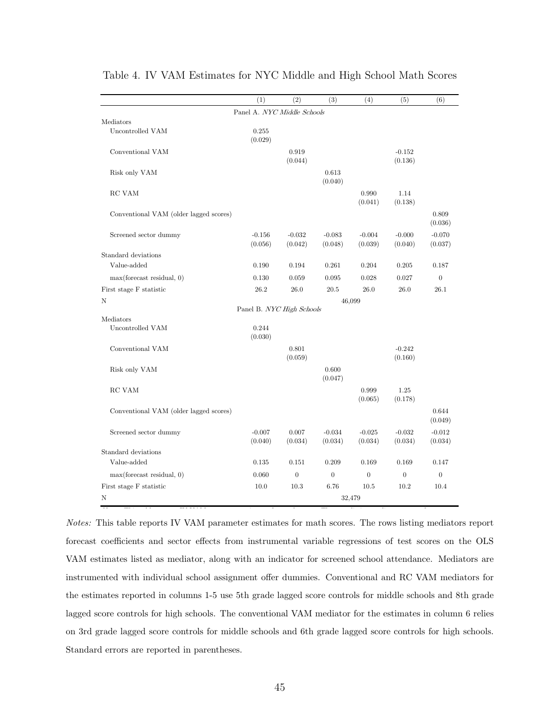|                                        | (1)                         | (2)                 | (3)                 | (4)                 | (5)                 | (6)                 |
|----------------------------------------|-----------------------------|---------------------|---------------------|---------------------|---------------------|---------------------|
|                                        | Panel A. NYC Middle Schools |                     |                     |                     |                     |                     |
| Mediators                              |                             |                     |                     |                     |                     |                     |
| Uncontrolled VAM                       | 0.255<br>(0.029)            |                     |                     |                     |                     |                     |
| Conventional VAM                       |                             | 0.919<br>(0.044)    |                     |                     | $-0.152$<br>(0.136) |                     |
| Risk only VAM                          |                             |                     | 0.613<br>(0.040)    |                     |                     |                     |
| RC VAM                                 |                             |                     |                     | 0.990<br>(0.041)    | 1.14<br>(0.138)     |                     |
| Conventional VAM (older lagged scores) |                             |                     |                     |                     |                     | 0.809<br>(0.036)    |
| Screened sector dummy                  | $-0.156$<br>(0.056)         | $-0.032$<br>(0.042) | $-0.083$<br>(0.048) | $-0.004$<br>(0.039) | $-0.000$<br>(0.040) | $-0.070$<br>(0.037) |
| Standard deviations                    |                             |                     |                     |                     |                     |                     |
| Value-added                            | 0.190                       | 0.194               | 0.261               | 0.204               | 0.205               | 0.187               |
| max(forecast residual, 0)              | 0.130                       | 0.059               | 0.095               | 0.028               | 0.027               | $\boldsymbol{0}$    |
| First stage F statistic                | 26.2                        | 26.0                | 20.5                | 26.0                | 26.0                | 26.1                |
| N                                      |                             |                     |                     | 46,099              |                     |                     |
|                                        | Panel B. NYC High Schools   |                     |                     |                     |                     |                     |
| Mediators<br>Uncontrolled VAM          | 0.244<br>(0.030)            |                     |                     |                     |                     |                     |
| Conventional VAM                       |                             | 0.801<br>(0.059)    |                     |                     | $-0.242$<br>(0.160) |                     |
| Risk only VAM                          |                             |                     | 0.600<br>(0.047)    |                     |                     |                     |
| RC VAM                                 |                             |                     |                     | 0.999<br>(0.065)    | 1.25<br>(0.178)     |                     |
| Conventional VAM (older lagged scores) |                             |                     |                     |                     |                     | 0.644<br>(0.049)    |
| Screened sector dummy                  | $-0.007$<br>(0.040)         | 0.007<br>(0.034)    | $-0.034$<br>(0.034) | $-0.025$<br>(0.034) | $-0.032$<br>(0.034) | $-0.012$<br>(0.034) |
| Standard deviations                    |                             |                     |                     |                     |                     |                     |
| Value-added                            | 0.135                       | 0.151               | 0.209               | 0.169               | 0.169               | 0.147               |
| max(forecast residual, 0)              | 0.060                       | $\overline{0}$      | $\overline{0}$      | $\overline{0}$      | $\overline{0}$      | $\overline{0}$      |
| First stage F statistic                | 10.0                        | 10.3                | 6.76                | 10.5                | 10.2                | 10.4                |
| Ν                                      |                             |                     |                     | 32,479              |                     |                     |

<span id="page-46-0"></span>Table 4. IV VAM Estimates for NYC Middle and High School Math Scores

corresponding to the sector effects from the sector effects from  $\frac{1}{\sqrt{2}}$  the OLS VAM estimates for the Corresponding mediator of the OLS VAM estimates for the OLS VAM estimates listed as  $\frac{1}{\sqrt{2}}$ Notes: This table reports IV VAM parameter estimates for math scores. The rows listing mediators report forecast coefficients and sector effects from instrumental variable regressions of test scores on the OLS grade score controls for middle schools and 8th grade lagged schools for high schools. The controls for high schools for high schools. The controls for high schools. The conventional controls for high schools. The convent VAM estimates listed as mediator, along with an indicator for screened school attendance. Mediators are instrumented with individual school assignment offer dummies. Conventional and RC VAM mediators for the estimates reported in columns 1-5 use 5th grade lagged score controls for middle schools and 8th grade lagged score controls for high schools. The conventional VAM mediator for the estimates in column 6 relies on 3rd grade lagged score controls for middle schools and 6th grade lagged score controls for high schools. Standard errors are reported in parentheses.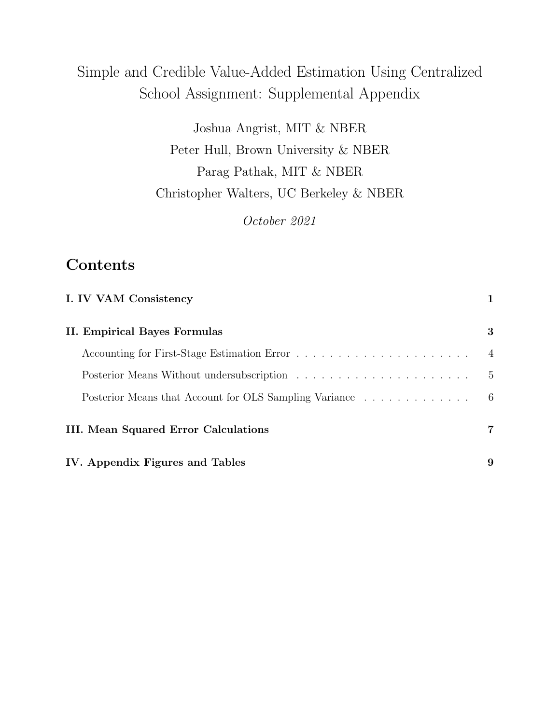# Simple and Credible Value-Added Estimation Using Centralized School Assignment: Supplemental Appendix

Joshua Angrist, MIT & NBER Peter Hull, Brown University & NBER Parag Pathak, MIT & NBER Christopher Walters, UC Berkeley & NBER

October 2021

# Contents

| I. IV VAM Consistency                                  |                |
|--------------------------------------------------------|----------------|
| II. Empirical Bayes Formulas                           | 3              |
|                                                        | $\overline{4}$ |
|                                                        | - 5            |
| Posterior Means that Account for OLS Sampling Variance | - 6            |
| III. Mean Squared Error Calculations                   | 7              |
| IV. Appendix Figures and Tables                        | 9              |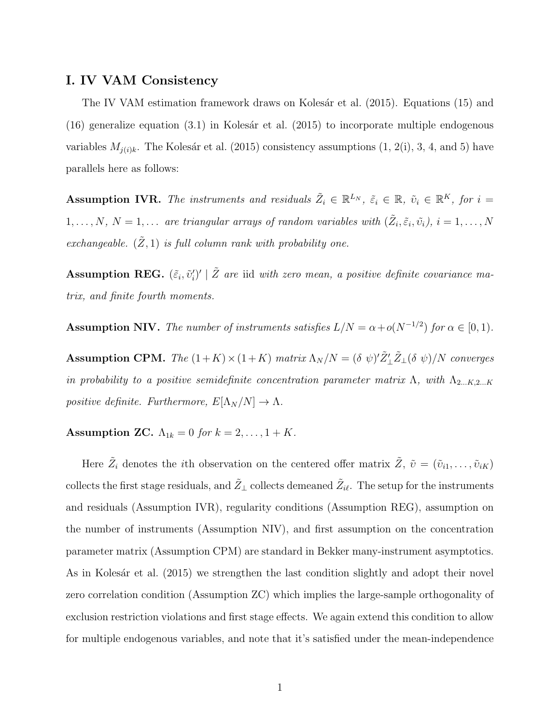## I. IV VAM Consistency

The IV VAM estimation framework draws on Kolesár et al. (2015). Equations [\(15\)](#page-18-2) and [\(16\)](#page-19-0) generalize equation  $(3.1)$  in Kolesár et al.  $(2015)$  to incorporate multiple endogenous variables  $M_{j(i)k}$ . The Kolesár et al. (2015) consistency assumptions  $(1, 2(i), 3, 4, \text{ and } 5)$  have parallels here as follows:

<span id="page-48-1"></span>**Assumption IVR.** The instruments and residuals  $\tilde{Z}_i \in \mathbb{R}^{L_N}$ ,  $\tilde{\varepsilon}_i \in \mathbb{R}$ ,  $\tilde{v}_i \in \mathbb{R}^{K}$ , for  $i =$  $1, \ldots, N, N = 1, \ldots$  are triangular arrays of random variables with  $(\tilde{Z}_i, \tilde{\varepsilon}_i, \tilde{v}_i), i = 1, \ldots, N$ exchangeable.  $(\tilde{Z}, 1)$  is full column rank with probability one.

<span id="page-48-2"></span>**Assumption REG.**  $(\tilde{\varepsilon}_i, \tilde{v}'_i)' \mid \tilde{Z}$  are iid with zero mean, a positive definite covariance matrix, and finite fourth moments.

<span id="page-48-3"></span>**Assumption NIV.** The number of instruments satisfies  $L/N = \alpha + o(N^{-1/2})$  for  $\alpha \in [0,1)$ .

<span id="page-48-4"></span>Assumption CPM. The  $(1+K) \times (1+K)$  matrix  $\Lambda_N/N = (\delta \psi)' \tilde{Z}'_L \tilde{Z}_L (\delta \psi) /N$  converges in probability to a positive semidefinite concentration parameter matrix Λ, with  $\Lambda_{2...K,2...K}$ positive definite. Furthermore,  $E[\Lambda_N/N] \to \Lambda$ .

<span id="page-48-0"></span>Assumption ZC.  $\Lambda_{1k} = 0$  for  $k = 2, ..., 1 + K$ .

Here  $\tilde{Z}_i$  denotes the *i*th observation on the centered offer matrix  $\tilde{Z}$ ,  $\tilde{v} = (\tilde{v}_{i1}, \ldots, \tilde{v}_{iK})$ collects the first stage residuals, and  $\tilde{Z}_\perp$  collects demeaned  $\tilde{Z}_{i\ell}$ . The setup for the instruments and residuals (Assumption [IVR\)](#page-48-1), regularity conditions (Assumption [REG\)](#page-48-2), assumption on the number of instruments (Assumption [NIV\)](#page-48-3), and first assumption on the concentration parameter matrix (Assumption [CPM\)](#page-48-4) are standard in Bekker many-instrument asymptotics. As in Kolesár et al. (2015) we strengthen the last condition slightly and adopt their novel zero correlation condition (Assumption [ZC\)](#page-48-0) which implies the large-sample orthogonality of exclusion restriction violations and first stage effects. We again extend this condition to allow for multiple endogenous variables, and note that it's satisfied under the mean-independence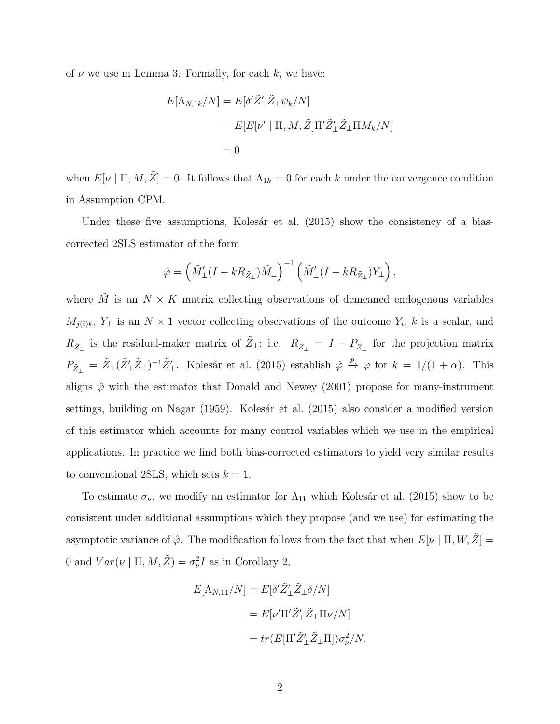of  $\nu$  we use in Lemma [3.](#page-19-2) Formally, for each k, we have:

$$
E[\Lambda_{N,1k}/N] = E[\delta' \tilde{Z}'_{\perp} \tilde{Z}_{\perp} \psi_k/N]
$$
  
= 
$$
E[E[\nu' | \Pi, M, \tilde{Z}] \Pi' \tilde{Z}'_{\perp} \tilde{Z}_{\perp} \Pi M_k/N]
$$
  
= 0

when  $E[\nu | \Pi, M, \tilde{Z}] = 0$ . It follows that  $\Lambda_{1k} = 0$  for each k under the convergence condition in Assumption [CPM.](#page-48-4)

Under these five assumptions, Kolesár et al.  $(2015)$  show the consistency of a biascorrected 2SLS estimator of the form

$$
\hat{\varphi} = \left(\tilde{M}'_{\perp}(I - kR_{\tilde{Z}_{\perp}})\tilde{M}_{\perp}\right)^{-1} \left(\tilde{M}'_{\perp}(I - kR_{\tilde{Z}_{\perp}})Y_{\perp}\right),
$$

where  $\tilde{M}$  is an  $N \times K$  matrix collecting observations of demeaned endogenous variables  $M_{j(i)k}$ ,  $Y_{\perp}$  is an  $N \times 1$  vector collecting observations of the outcome  $Y_i$ , k is a scalar, and  $R_{\tilde{Z}_\perp}$  is the residual-maker matrix of  $\tilde{Z}_\perp$ ; i.e.  $R_{\tilde{Z}_\perp} = I - P_{\tilde{Z}_\perp}$  for the projection matrix  $P_{\tilde{Z}_{\perp}} = \tilde{Z}_{\perp}(\tilde{Z}_{\perp}'\tilde{Z}_{\perp})^{-1}\tilde{Z}_{\perp}'$ . Kolesár et al. (2015) establish  $\hat{\varphi} \stackrel{p}{\rightarrow} \varphi$  for  $k = 1/(1 + \alpha)$ . This aligns  $\hat{\varphi}$  with the estimator that [Donald and Newey \(2001\)](#page-37-9) propose for many-instrument settings, building on [Nagar \(1959\)](#page-38-9). Kolesár et al. (2015) also consider a modified version of this estimator which accounts for many control variables which we use in the empirical applications. In practice we find both bias-corrected estimators to yield very similar results to conventional 2SLS, which sets  $k = 1$ .

To estimate  $\sigma_{\nu}$ , we modify an estimator for  $\Lambda_{11}$  which Kolesár et al. (2015) show to be consistent under additional assumptions which they propose (and we use) for estimating the asymptotic variance of  $\hat{\varphi}$ . The modification follows from the fact that when  $E[\nu | \Pi, W, \tilde{Z}] =$ 0 and  $Var(\nu \mid \Pi, M, \tilde{Z}) = \sigma_{\nu}^2 I$  as in Corollary [2,](#page-22-1)

$$
E[\Lambda_{N,11}/N] = E[\delta' \tilde{Z}'_{\perp} \tilde{Z}_{\perp} \delta/N]
$$
  
= 
$$
E[\nu' \Pi' \tilde{Z}'_{\perp} \tilde{Z}_{\perp} \Pi \nu/N]
$$
  
= 
$$
tr(E[\Pi' \tilde{Z}'_{\perp} \tilde{Z}_{\perp} \Pi]) \sigma_{\nu}^2/N.
$$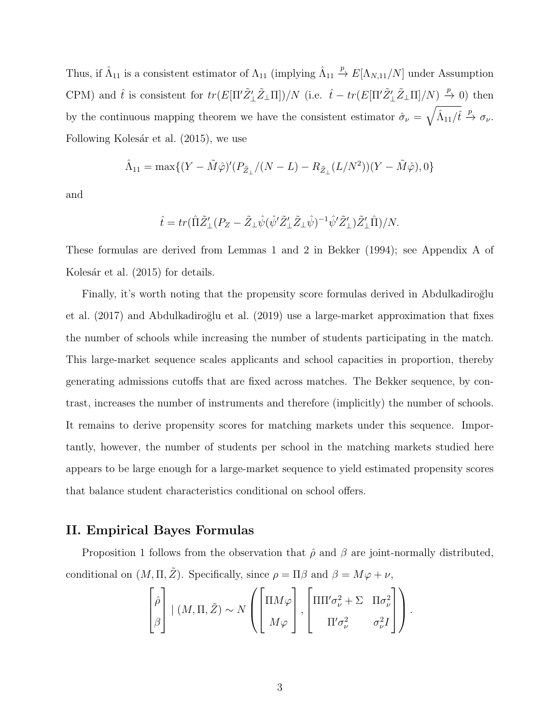Thus, if  $\hat{\Lambda}_{11}$  is a consistent estimator of  $\Lambda_{11}$  (implying  $\hat{\Lambda}_{11}$  $\stackrel{p}{\rightarrow} E[\Lambda_{N,11}/N]$  under Assumption [CPM\)](#page-48-4) and  $\hat{t}$  is consistent for  $tr(E[\Pi'\tilde{Z}'_{\perp}\tilde{Z}_{\perp}\Pi])/N$  (i.e.  $\hat{t} - tr(E[\Pi'\tilde{Z}'_{\perp}\tilde{Z}_{\perp}\Pi]/N) \stackrel{p}{\to} 0$ ) then by the continuous mapping theorem we have the consistent estimator  $\hat{\sigma}_{\nu} = \sqrt{\hat{\Lambda}_{11}/\hat{t}} \stackrel{p}{\rightarrow} \sigma_{\nu}$ . Following Kolesár et al. (2015), we use

$$
\hat{\Lambda}_{11} = \max\{(Y - \tilde{M}\hat{\varphi})'(P_{\tilde{Z}_{\perp}}/(N - L) - R_{\tilde{Z}_{\perp}}(L/N^2))(Y - \tilde{M}\hat{\varphi}), 0\}
$$

and

$$
\hat{t} = tr(\hat{\Pi}\tilde{Z}'_{\perp}(P_Z - \tilde{Z}_{\perp}\hat{\psi}(\hat{\psi}'\tilde{Z}'_{\perp}\tilde{Z}_{\perp}\hat{\psi})^{-1}\hat{\psi}'\tilde{Z}'_{\perp})\tilde{Z}'_{\perp}\hat{\Pi})/N.
$$

These formulas are derived from Lemmas 1 and 2 in [Bekker \(1994\)](#page-36-5); see Appendix A of Kolesár et al. (2015) for details.

Finally, it's worth noting that the propensity score formulas derived in Abdulkadiroğlu et al.  $(2017)$  and Abdulkadiroğlu et al.  $(2019)$  use a large-market approximation that fixes the number of schools while increasing the number of students participating in the match. This large-market sequence scales applicants and school capacities in proportion, thereby generating admissions cutoffs that are fixed across matches. The Bekker sequence, by contrast, increases the number of instruments and therefore (implicitly) the number of schools. It remains to derive propensity scores for matching markets under this sequence. Importantly, however, the number of students per school in the matching markets studied here appears to be large enough for a large-market sequence to yield estimated propensity scores that balance student characteristics conditional on school offers.

## II. Empirical Bayes Formulas

Proposition [1](#page-21-1) follows from the observation that  $\hat{\rho}$  and  $\beta$  are joint-normally distributed, conditional on  $(M, \Pi, \tilde{Z})$ . Specifically, since  $\rho = \Pi \beta$  and  $\beta = M\varphi + \nu$ ,

$$
\begin{bmatrix} \hat{\rho} \\ \beta \end{bmatrix} \mid (M, \Pi, \tilde{Z}) \sim N \left( \begin{bmatrix} \Pi M \varphi \\ M \varphi \end{bmatrix}, \begin{bmatrix} \Pi \Pi' \sigma_{\nu}^2 + \Sigma & \Pi \sigma_{\nu}^2 \\ \Pi' \sigma_{\nu}^2 & \sigma_{\nu}^2 I \end{bmatrix} \right).
$$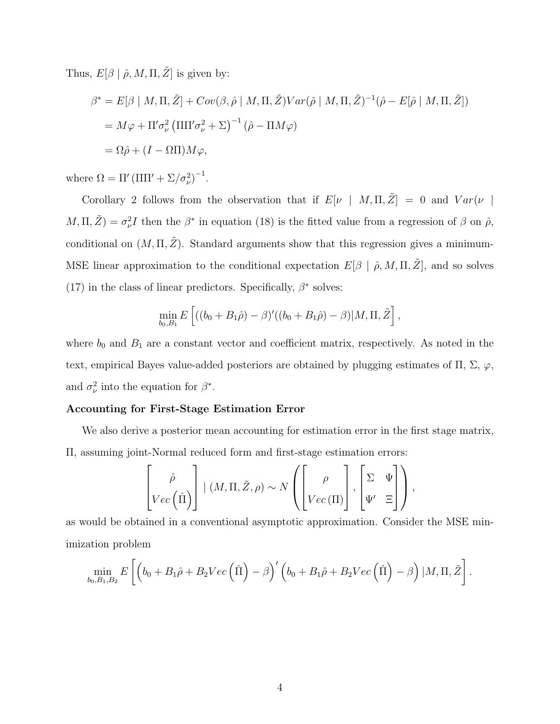Thus,  $E[\beta | \hat{\rho}, M, \Pi, \tilde{Z}]$  is given by:

$$
\beta^* = E[\beta | M, \Pi, \tilde{Z}] + Cov(\beta, \hat{\rho} | M, \Pi, \tilde{Z}) Var(\hat{\rho} | M, \Pi, \tilde{Z})^{-1} (\hat{\rho} - E[\hat{\rho} | M, \Pi, \tilde{Z}])
$$
  
=  $M\varphi + \Pi'\sigma_\nu^2 (\Pi\Pi'\sigma_\nu^2 + \Sigma)^{-1} (\hat{\rho} - \Pi M\varphi)$   
=  $\Omega\hat{\rho} + (I - \Omega\Pi)M\varphi$ ,

where  $\Omega = \Pi' (\Pi \Pi' + \Sigma / \sigma_\nu^2)^{-1}$ .

Corollary [2](#page-22-1) follows from the observation that if  $E[\nu \mid M, \Pi, \tilde{Z}] = 0$  and  $Var(\nu \mid N)$  $M, \Pi, \tilde{Z}$  =  $\sigma_{\nu}^2 I$  then the  $\beta^*$  in equation [\(18\)](#page-21-0) is the fitted value from a regression of  $\beta$  on  $\hat{\rho}$ , conditional on  $(M, \Pi, \tilde{Z})$ . Standard arguments show that this regression gives a minimum-MSE linear approximation to the conditional expectation  $E[\beta | \hat{\rho}, M, \Pi, \tilde{Z}]$ , and so solves [\(17\)](#page-21-2) in the class of linear predictors. Specifically,  $\beta^*$  solves:

$$
\min_{b_0, B_1} E \left[ ((b_0 + B_1 \hat{\rho}) - \beta)'((b_0 + B_1 \hat{\rho}) - \beta) | M, \Pi, \tilde{Z} \right],
$$

where  $b_0$  and  $B_1$  are a constant vector and coefficient matrix, respectively. As noted in the text, empirical Bayes value-added posteriors are obtained by plugging estimates of  $\Pi$ ,  $\Sigma$ ,  $\varphi$ , and  $\sigma_{\nu}^2$  into the equation for  $\beta^*$ .

#### Accounting for First-Stage Estimation Error

<span id="page-51-0"></span>We also derive a posterior mean accounting for estimation error in the first stage matrix, Π, assuming joint-Normal reduced form and first-stage estimation errors:

$$
\left[\begin{matrix} \hat{\rho} \\ Vec(\hat{\Pi}) \end{matrix}\right] | (M, \Pi, \tilde{Z}, \rho) \sim N \left(\begin{bmatrix} \rho \\ Vec(\Pi) \end{bmatrix}, \begin{bmatrix} \Sigma & \Psi \\ \Psi' & \Xi \end{bmatrix}\right),
$$

as would be obtained in a conventional asymptotic approximation. Consider the MSE minimization problem

$$
\min_{b_0,B_1,B_2} E\left[\left(b_0+B_1\hat{\rho}+B_2Vec\left(\hat{\Pi}\right)-\beta\right)'\left(b_0+B_1\hat{\rho}+B_2Vec\left(\hat{\Pi}\right)-\beta\right)|M,\Pi,\tilde{Z}\right].
$$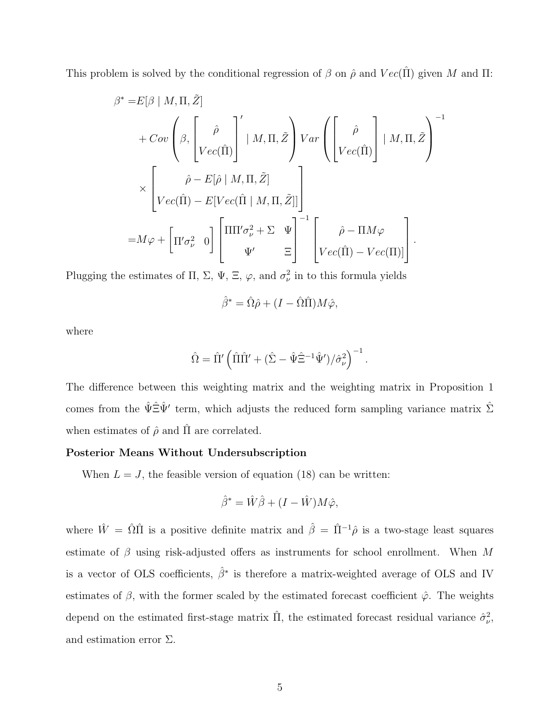This problem is solved by the conditional regression of  $\beta$  on  $\hat{\rho}$  and  $Vec(\hat{\Pi})$  given M and  $\Pi$ :

$$
\beta^* = E[\beta | M, \Pi, \tilde{Z}] \n+ Cov\left(\beta, \begin{bmatrix} \hat{\rho} \\ Vec(\hat{\Pi}) \end{bmatrix}^{\prime} | M, \Pi, \tilde{Z} \right) Var\left(\begin{bmatrix} \hat{\rho} \\ Vec(\hat{\Pi}) \end{bmatrix} | M, \Pi, \tilde{Z} \right)^{-1} \n\times \begin{bmatrix} \hat{\rho} - E[\hat{\rho} | M, \Pi, \tilde{Z}] \\ Vec(\hat{\Pi}) - E[Vec(\hat{\Pi} | M, \Pi, \tilde{Z}]] \end{bmatrix} \n= M\varphi + \begin{bmatrix} \Pi'\sigma_{\nu}^2 & 0 \end{bmatrix} \begin{bmatrix} \Pi\Pi'\sigma_{\nu}^2 + \Sigma & \Psi \\ \Psi' & \Xi \end{bmatrix}^{-1} \begin{bmatrix} \hat{\rho} - \Pi M\varphi \\ Vec(\hat{\Pi}) - Vec(\Pi) \end{bmatrix}.
$$

Plugging the estimates of  $\Pi$ ,  $\Sigma$ ,  $\Psi$ ,  $\Xi$ ,  $\varphi$ , and  $\sigma_{\nu}^{2}$  in to this formula yields

$$
\hat{\beta}^* = \hat{\Omega}\hat{\rho} + (I - \hat{\Omega}\hat{\Pi})M\hat{\varphi},
$$

where

$$
\hat{\Omega} = \hat{\Pi}' \left( \hat{\Pi} \hat{\Pi}' + (\hat{\Sigma} - \hat{\Psi} \hat{\Xi}^{-1} \hat{\Psi}') / \hat{\sigma}_{\nu}^2 \right)^{-1}.
$$

The difference between this weighting matrix and the weighting matrix in Proposition [1](#page-21-1) comes from the  $\hat{\Psi} \hat{\Xi} \hat{\Psi}'$  term, which adjusts the reduced form sampling variance matrix  $\hat{\Sigma}$ when estimates of  $\hat{\rho}$  and  $\Pi$  are correlated.

#### Posterior Means Without Undersubscription

When  $L = J$ , the feasible version of equation [\(18\)](#page-21-0) can be written:

$$
\hat{\beta}^* = \hat{W}\hat{\beta} + (I - \hat{W})M\hat{\varphi},
$$

where  $\hat{W} = \hat{\Omega}\hat{\Pi}$  is a positive definite matrix and  $\hat{\beta} = \hat{\Pi}^{-1}\hat{\rho}$  is a two-stage least squares estimate of  $\beta$  using risk-adjusted offers as instruments for school enrollment. When M is a vector of OLS coefficients,  $\hat{\beta}^*$  is therefore a matrix-weighted average of OLS and IV estimates of  $\beta$ , with the former scaled by the estimated forecast coefficient  $\hat{\varphi}$ . The weights depend on the estimated first-stage matrix  $\hat{\Pi}$ , the estimated forecast residual variance  $\hat{\sigma}_{\nu}^2$ , and estimation error  $\Sigma$ .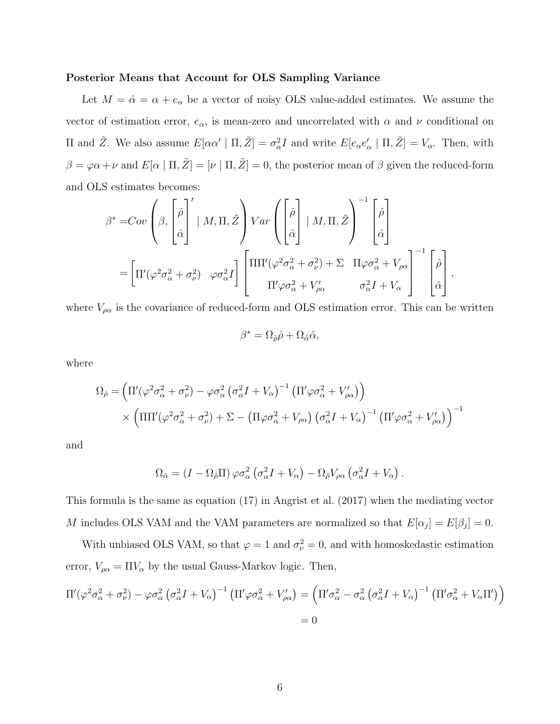#### Posterior Means that Account for OLS Sampling Variance

Let  $M = \hat{\alpha} = \alpha + e_{\alpha}$  be a vector of noisy OLS value-added estimates. We assume the vector of estimation error,  $e_{\alpha}$ , is mean-zero and uncorrelated with  $\alpha$  and  $\nu$  conditional on II and  $\tilde{Z}$ . We also assume  $E[\alpha \alpha' | \Pi, \tilde{Z}] = \sigma_{\alpha}^2 I$  and write  $E[e_{\alpha} e_{\alpha}' | \Pi, \tilde{Z}] = V_{\alpha}$ . Then, with  $\beta = \varphi \alpha + \nu$  and  $E[\alpha | \Pi, \tilde{Z}] = [\nu | \Pi, \tilde{Z}] = 0$ , the posterior mean of  $\beta$  given the reduced-form and OLS estimates becomes:

$$
\beta^* = Cov \left( \beta, \begin{bmatrix} \hat{\rho} \\ \hat{\alpha} \end{bmatrix}' \mid M, \Pi, \tilde{Z} \right) Var \left( \begin{bmatrix} \hat{\rho} \\ \hat{\alpha} \end{bmatrix} \mid M, \Pi, \tilde{Z} \right)^{-1} \begin{bmatrix} \hat{\rho} \\ \hat{\alpha} \end{bmatrix}
$$

$$
= \left[ \Pi'(\varphi^2 \sigma_\alpha^2 + \sigma_\nu^2) \quad \varphi \sigma_\alpha^2 I \right] \left[ \Pi \Pi'(\varphi^2 \sigma_\alpha^2 + \sigma_\nu^2) + \Sigma \quad \Pi \varphi \sigma_\alpha^2 + V_{\rho \alpha} \right]^{-1} \begin{bmatrix} \hat{\rho} \\ \hat{\alpha} \end{bmatrix},
$$

where  $V_{\rho\alpha}$  is the covariance of reduced-form and OLS estimation error. This can be written

$$
\beta^* = \Omega_{\hat{\rho}} \hat{\rho} + \Omega_{\hat{\alpha}} \hat{\alpha},
$$

where

$$
\Omega_{\hat{\rho}} = \left( \Pi'(\varphi^2 \sigma_{\alpha}^2 + \sigma_{\nu}^2) - \varphi \sigma_{\alpha}^2 (\sigma_{\alpha}^2 I + V_{\alpha})^{-1} \left( \Pi' \varphi \sigma_{\alpha}^2 + V'_{\rho \alpha} \right) \right) \times \left( \Pi \Pi'(\varphi^2 \sigma_{\alpha}^2 + \sigma_{\nu}^2) + \Sigma - \left( \Pi \varphi \sigma_{\alpha}^2 + V_{\rho \alpha} \right) \left( \sigma_{\alpha}^2 I + V_{\alpha} \right)^{-1} \left( \Pi' \varphi \sigma_{\alpha}^2 + V'_{\rho \alpha} \right) \right)^{-1}
$$

and

$$
\Omega_{\hat{\alpha}} = (I - \Omega_{\hat{\rho}} \Pi) \varphi \sigma_{\alpha}^{2} (\sigma_{\alpha}^{2} I + V_{\alpha}) - \Omega_{\hat{\rho}} V_{\rho \alpha} (\sigma_{\alpha}^{2} I + V_{\alpha}).
$$

This formula is the same as equation (17) in [Angrist et al. \(2017\)](#page-36-0) when the mediating vector M includes OLS VAM and the VAM parameters are normalized so that  $E[\alpha_j] = E[\beta_j] = 0$ .

With unbiased OLS VAM, so that  $\varphi = 1$  and  $\sigma_{\nu}^2 = 0$ , and with homoskedastic estimation error,  $V_{\rho\alpha}=\Pi V_\alpha$  by the usual Gauss-Markov logic. Then,

$$
\Pi'(\varphi^2 \sigma_\alpha^2 + \sigma_\nu^2) - \varphi \sigma_\alpha^2 (\sigma_\alpha^2 I + V_\alpha)^{-1} (\Pi' \varphi \sigma_\alpha^2 + V_{\rho \alpha}') = \left( \Pi' \sigma_\alpha^2 - \sigma_\alpha^2 (\sigma_\alpha^2 I + V_\alpha)^{-1} (\Pi' \sigma_\alpha^2 + V_\alpha \Pi') \right)
$$
  
= 0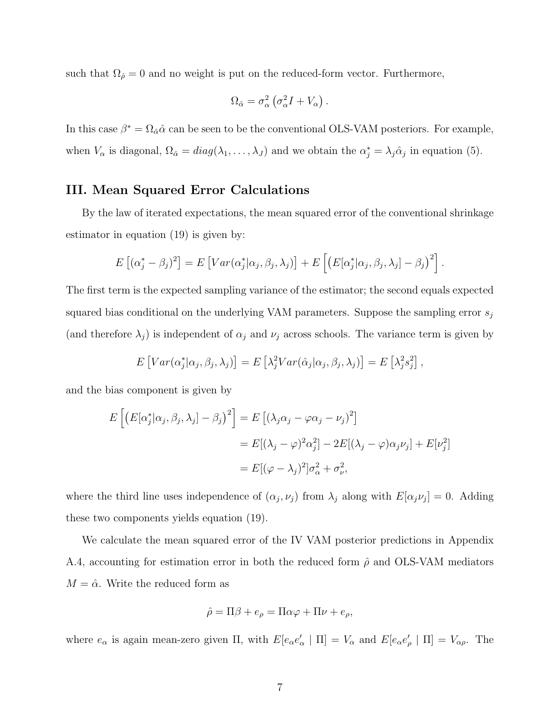such that  $\Omega_{\hat{\rho}} = 0$  and no weight is put on the reduced-form vector. Furthermore,

$$
\Omega_{\hat{\alpha}} = \sigma_{\alpha}^2 \left( \sigma_{\alpha}^2 I + V_{\alpha} \right).
$$

In this case  $\beta^* = \Omega_{\hat{\alpha}}\hat{\alpha}$  can be seen to be the conventional OLS-VAM posteriors. For example, when  $V_{\alpha}$  is diagonal,  $\Omega_{\hat{\alpha}} = diag(\lambda_1, \ldots, \lambda_J)$  and we obtain the  $\alpha_j^* = \lambda_j \hat{\alpha}_j$  in equation [\(5\)](#page-12-0).

# III. Mean Squared Error Calculations

By the law of iterated expectations, the mean squared error of the conventional shrinkage estimator in equation [\(19\)](#page-31-0) is given by:

$$
E [( \alpha_j^* - \beta_j)^2] = E [Var(\alpha_j^* | \alpha_j, \beta_j, \lambda_j)] + E [ (E[\alpha_j^* | \alpha_j, \beta_j, \lambda_j] - \beta_j)^2].
$$

The first term is the expected sampling variance of the estimator; the second equals expected squared bias conditional on the underlying VAM parameters. Suppose the sampling error  $s_i$ (and therefore  $\lambda_j$ ) is independent of  $\alpha_j$  and  $\nu_j$  across schools. The variance term is given by

$$
E[Var(\alpha_j^*|\alpha_j, \beta_j, \lambda_j)] = E\left[\lambda_j^2 Var(\hat{\alpha}_j|\alpha_j, \beta_j, \lambda_j)\right] = E\left[\lambda_j^2 s_j^2\right],
$$

and the bias component is given by

$$
E\left[\left(E[\alpha_j^*|\alpha_j, \beta_j, \lambda_j] - \beta_j\right)^2\right] = E\left[\left(\lambda_j \alpha_j - \varphi \alpha_j - \nu_j\right)^2\right]
$$
  

$$
= E\left[\left(\lambda_j - \varphi\right)^2 \alpha_j^2\right] - 2E\left[\left(\lambda_j - \varphi\right) \alpha_j \nu_j\right] + E[\nu_j^2]
$$
  

$$
= E\left[\left(\varphi - \lambda_j\right)^2\right] \sigma_\alpha^2 + \sigma_\nu^2,
$$

where the third line uses independence of  $(\alpha_j, \nu_j)$  from  $\lambda_j$  along with  $E[\alpha_j \nu_j] = 0$ . Adding these two components yields equation [\(19\)](#page-31-0).

We calculate the mean squared error of the IV VAM posterior predictions in Appendix [A.4,](#page-51-0) accounting for estimation error in both the reduced form  $\hat{\rho}$  and OLS-VAM mediators  $M = \hat{\alpha}$ . Write the reduced form as

$$
\hat{\rho} = \Pi \beta + e_{\rho} = \Pi \alpha \varphi + \Pi \nu + e_{\rho},
$$

where  $e_{\alpha}$  is again mean-zero given  $\Pi$ , with  $E[e_{\alpha}e_{\alpha}' | \Pi] = V_{\alpha}$  and  $E[e_{\alpha}e_{\rho}' | \Pi] = V_{\alpha\rho}$ . The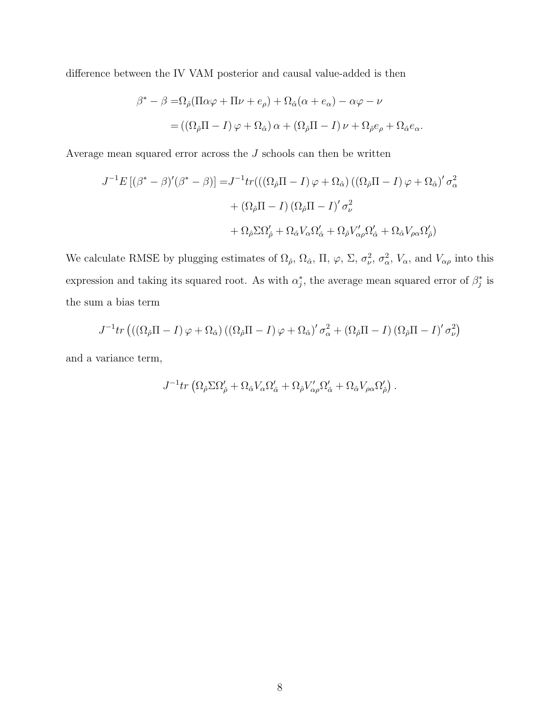difference between the IV VAM posterior and causal value-added is then

$$
\beta^* - \beta = \Omega_{\hat{\rho}} (\Pi \alpha \varphi + \Pi \nu + e_{\rho}) + \Omega_{\hat{\alpha}} (\alpha + e_{\alpha}) - \alpha \varphi - \nu
$$
  
= 
$$
((\Omega_{\hat{\rho}} \Pi - I) \varphi + \Omega_{\hat{\alpha}}) \alpha + (\Omega_{\hat{\rho}} \Pi - I) \nu + \Omega_{\hat{\rho}} e_{\rho} + \Omega_{\hat{\alpha}} e_{\alpha}.
$$

Average mean squared error across the  $J$  schools can then be written

$$
J^{-1}E[(\beta^* - \beta)'(\beta^* - \beta)] = J^{-1}tr(((\Omega_{\hat{\rho}}\Pi - I)\varphi + \Omega_{\hat{\alpha}})((\Omega_{\hat{\rho}}\Pi - I)\varphi + \Omega_{\hat{\alpha}})' \sigma_{\alpha}^2
$$

$$
+ (\Omega_{\hat{\rho}}\Pi - I)(\Omega_{\hat{\rho}}\Pi - I)' \sigma_{\nu}^2
$$

$$
+ \Omega_{\hat{\rho}}\Sigma\Omega_{\hat{\rho}}' + \Omega_{\hat{\alpha}}V_{\alpha}\Omega_{\hat{\alpha}}' + \Omega_{\hat{\rho}}V_{\alpha\rho}'\Omega_{\hat{\alpha}}' + \Omega_{\hat{\alpha}}V_{\rho\alpha}\Omega_{\hat{\rho}}')
$$

We calculate RMSE by plugging estimates of  $\Omega_{\hat{\rho}}, \Omega_{\hat{\alpha}}, \Pi, \varphi, \Sigma, \sigma_{\nu}^2, \sigma_{\alpha}^2, V_{\alpha}$ , and  $V_{\alpha\rho}$  into this expression and taking its squared root. As with  $\alpha_j^*$ , the average mean squared error of  $\beta_j^*$  is the sum a bias term

$$
J^{-1}tr\left(\left(\left(\Omega_{\hat{\rho}}\Pi - I\right)\varphi + \Omega_{\hat{\alpha}}\right)\left(\left(\Omega_{\hat{\rho}}\Pi - I\right)\varphi + \Omega_{\hat{\alpha}}\right)' \sigma_{\alpha}^2 + \left(\Omega_{\hat{\rho}}\Pi - I\right)\left(\Omega_{\hat{\rho}}\Pi - I\right)' \sigma_{\nu}^2\right)
$$

and a variance term,

$$
J^{-1} \text{tr} \left( \Omega_{\hat{\rho}} \Sigma \Omega'_{\hat{\rho}} + \Omega_{\hat{\alpha}} V_{\alpha} \Omega'_{\hat{\alpha}} + \Omega_{\hat{\rho}} V'_{\alpha \rho} \Omega'_{\hat{\alpha}} + \Omega_{\hat{\alpha}} V_{\rho \alpha} \Omega'_{\hat{\rho}} \right).
$$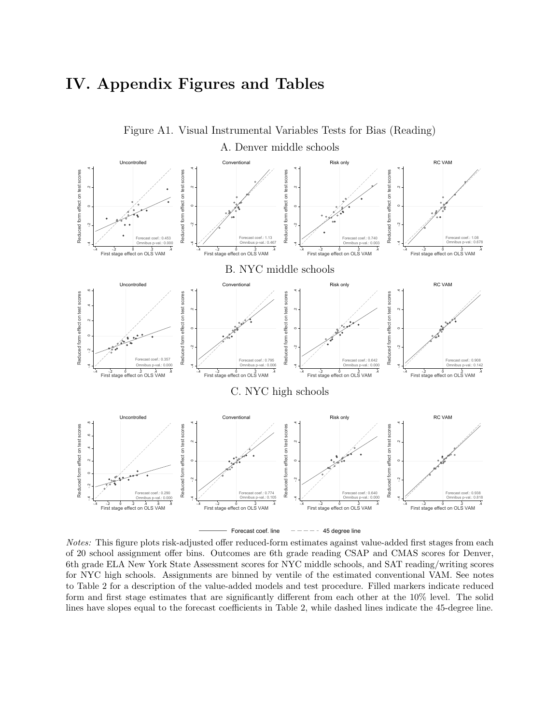# IV. Appendix Figures and Tables

<span id="page-56-0"></span>

6th grade ELA New York State Assessment scores for NYC middle schools, and SAT reading/writing scores Notes: This figure plots risk-adjusted offer reduced-form estimates against value-added first stages from each of 20 school assignment offer bins. Outcomes are 6th grade reading CSAP and CMAS scores for Denver, for NYC high schools. Assignments are binned by ventile of the estimated conventional VAM. See notes to Table [2](#page-44-0) for a description of the value-added models and test procedure. Filled markers indicate reduced form and first stage estimates that are significantly different from each other at the 10% level. The solid lines have slopes equal to the forecast coefficients in Table [2,](#page-44-0) while dashed lines indicate the 45-degree line.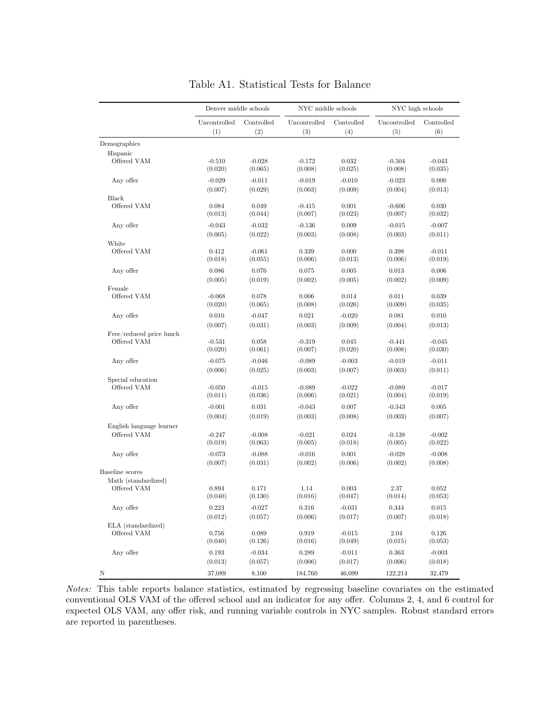<span id="page-57-0"></span>

|                                         | Denver middle schools |                     | NYC middle schools  |                   | NYC high schools    |                     |  |
|-----------------------------------------|-----------------------|---------------------|---------------------|-------------------|---------------------|---------------------|--|
|                                         | Uncontrolled<br>(1)   | Controlled<br>(2)   | Uncontrolled<br>(3) | Controlled<br>(4) | Uncontrolled<br>(5) | Controlled<br>(6)   |  |
| Demographics                            |                       |                     |                     |                   |                     |                     |  |
| Hispanic                                |                       |                     |                     |                   |                     |                     |  |
| Offered VAM                             | $-0.510$<br>(0.020)   | $-0.028$<br>(0.065) | $-0.172$<br>(0.008) | 0.032<br>(0.025)  | $-0.504$<br>(0.008) | $-0.043$<br>(0.035) |  |
| Any offer                               | $-0.029$              | $-0.011$            | $-0.019$            | $-0.010$          | $-0.023$            | 0.000               |  |
|                                         | (0.007)               | (0.029)             | (0.003)             | (0.009)           | (0.004)             | (0.013)             |  |
| Black                                   |                       |                     |                     |                   |                     |                     |  |
| Offered VAM                             | 0.084<br>(0.013)      | 0.049<br>(0.044)    | $-0.415$<br>(0.007) | 0.001<br>(0.023)  | $-0.606$<br>(0.007) | 0.030<br>(0.032)    |  |
| Any offer                               | $-0.043$              | $-0.032$            | $-0.136$            | 0.009             | $-0.015$            | $-0.007$            |  |
|                                         | (0.005)               | (0.022)             | (0.003)             | (0.008)           | (0.003)             | (0.011)             |  |
| White                                   |                       |                     |                     |                   |                     |                     |  |
| Offered VAM                             | 0.412<br>(0.018)      | $-0.061$<br>(0.055) | 0.339<br>(0.006)    | 0.000<br>(0.013)  | 0.398<br>(0.006)    | $-0.011$<br>(0.019) |  |
| Any offer                               | 0.086                 | 0.076               | 0.075               | 0.005             | 0.013               | 0.006               |  |
|                                         | (0.005)               | (0.019)             | (0.002)             | (0.005)           | (0.002)             | (0.009)             |  |
| Female                                  |                       |                     |                     |                   |                     |                     |  |
| Offered VAM                             | $-0.068$<br>(0.020)   | 0.078<br>(0.065)    | 0.006<br>(0.008)    | 0.014<br>(0.026)  | 0.011<br>(0.009)    | 0.039<br>(0.035)    |  |
|                                         |                       |                     |                     |                   |                     |                     |  |
| Any offer                               | 0.010                 | $-0.047$            | 0.021               | $-0.020$          | 0.081               | 0.010               |  |
|                                         | (0.007)               | (0.031)             | (0.003)             | (0.009)           | (0.004)             | (0.013)             |  |
| Free/reduced price lunch<br>Offered VAM | $-0.531$              | 0.058               | $-0.319$            | 0.045             | $-0.441$            | $-0.045$            |  |
|                                         | (0.020)               | (0.061)             | (0.007)             | (0.020)           | (0.008)             | (0.030)             |  |
| Any offer                               | $-0.075$              | $-0.046$            | $-0.089$            | $-0.003$          | $-0.019$            | $-0.011$            |  |
|                                         | (0.006)               | (0.025)             | (0.003)             | (0.007)           | (0.003)             | (0.011)             |  |
| Special education                       |                       |                     |                     |                   |                     |                     |  |
| Offered VAM                             | $-0.050$              | $-0.015$            | $-0.089$            | $-0.022$          | $-0.089$            | $-0.017$            |  |
|                                         | (0.011)               | (0.036)             | (0.006)             | (0.021)           | (0.004)             | (0.019)             |  |
| Any offer                               | $-0.001$              | 0.031               | $-0.043$            | 0.007             | $-0.343$            | 0.005               |  |
|                                         | (0.004)               | (0.019)             | (0.003)             | (0.008)           | (0.003)             | (0.007)             |  |
| English language learner                |                       |                     |                     |                   |                     |                     |  |
| Offered VAM                             | $-0.247$              | $-0.008$            | $-0.021$            | 0.024             | $-0.138$            | $-0.002$            |  |
|                                         | (0.019)               | (0.063)             | (0.005)             | (0.018)           | (0.005)             | (0.022)             |  |
| Any offer                               | $-0.073$              | $-0.088$            | $-0.016$            | 0.001             | $-0.028$            | $-0.008$            |  |
|                                         | (0.007)               | (0.031)             | (0.002)             | (0.006)           | (0.002)             | (0.008)             |  |
| Baseline scores                         |                       |                     |                     |                   |                     |                     |  |
| Math (standardized)<br>Offered VAM      | 0.894                 | 0.171               | 1.14                | 0.003             | 2.37                | 0.052               |  |
|                                         | (0.040)               | (0.130)             | (0.016)             | (0.047)           | (0.014)             | (0.053)             |  |
| Any offer                               | 0.223                 | $-0.027$            | 0.316               | $-0.031$          | 0.344               | 0.015               |  |
|                                         | (0.012)               | (0.057)             | (0.006)             | (0.017)           | (0.007)             | (0.018)             |  |
| ELA (standardized)                      |                       |                     |                     |                   |                     |                     |  |
| Offered VAM                             | 0.756                 | 0.089               | 0.919               | $-0.015$          | 2.04                | 0.126               |  |
|                                         | (0.040)               | (0.126)             | (0.016)             | (0.049)           | (0.015)             | (0.053)             |  |
| Any offer                               | 0.193                 | $-0.034$            | 0.289               | $-0.011$          | 0.363               | $-0.003$            |  |
|                                         | (0.013)               | (0.057)             | (0.006)             | (0.017)           | (0.006)             | (0.018)             |  |
| Ν                                       | 37,089                | 8,100               | 184,760             | 46,099            | 122,214             | 32,479              |  |

# Table A1. Statistical Tests for Balance

Notes: This table reports balance statistics, estimated by regressing baseline covariates on the estimated conventional OLS VAM of the Notes: This table reports balance statistics, estimated by regressing baseline covariates on the estimated conventional OLS VAM of the offered school and an indicator for any offer. Columns 2, 4, and 6 control for expected OLS VAM, any offer risk, and running variable controls in NYC samples. Robust standard errors are reported in parentheses.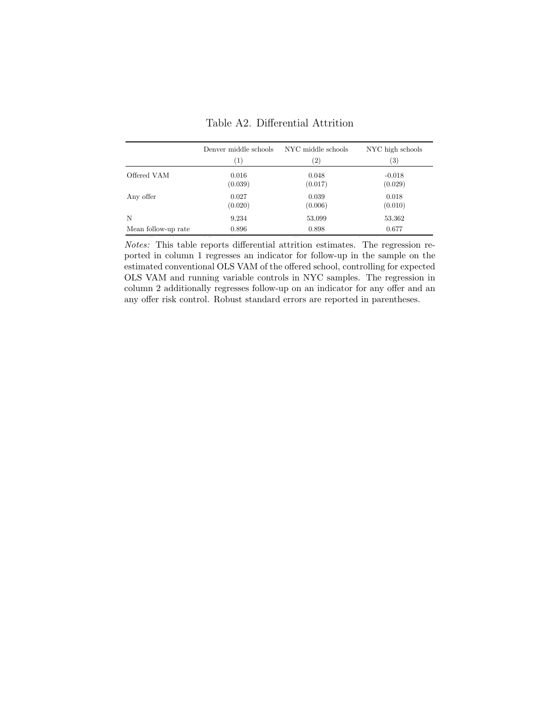<span id="page-58-0"></span>

|                     | Denver middle schools | NYC middle schools    | NYC high schools  |
|---------------------|-----------------------|-----------------------|-------------------|
|                     | $^{(1)}$              | $^{\left( 2\right) }$ | $\left( 3\right)$ |
| Offered VAM         | 0.016                 | 0.048                 | $-0.018$          |
|                     | (0.039)               | (0.017)               | (0.029)           |
| Any offer           | 0.027                 | 0.039                 | 0.018             |
|                     | (0.020)               | (0.006)               | (0.010)           |
| N                   | 9,234                 | 53,099                | 53,362            |
| Mean follow-up rate | 0.896                 | 0.898                 | 0.677             |

Table A2. Differential Attrition

 $N$  at  $T$  reports differential attribution regression regression reported in column 1 regresses  $T$ Notes: This table reports differential attrition estimates. The regression reported in column 1 regresses an indicator for follow-up in the sample on the estimated conventional OLS VAM of the offered school, controlling for expected OLS VAM and running variable controls in NYC samples. The regression in column 2 additionally regresses follow-up on an indicator for any offer and an any offer risk control. Robust standard errors are reported in parentheses.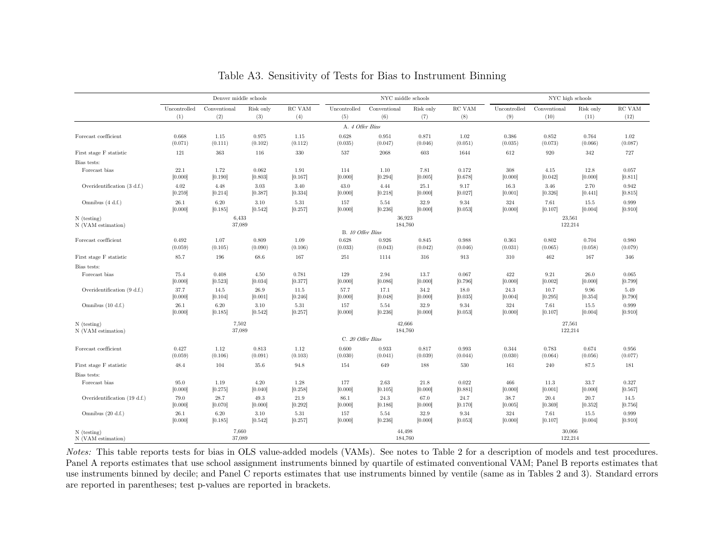|                                     |                  | Denver middle schools |                  |                  |                  | NYC middle schools |                  |                  | NYC high schools |                   |                  |                  |
|-------------------------------------|------------------|-----------------------|------------------|------------------|------------------|--------------------|------------------|------------------|------------------|-------------------|------------------|------------------|
|                                     | Uncontrolled     | Conventional          | Risk only        | RC VAM           | Uncontrolled     | Conventional       | Risk only        | RC VAM           | Uncontrolled     | Conventional      | Risk only        | $\rm RC~VAM$     |
|                                     | (1)              | (2)                   | (3)              | (4)              | (5)              | (6)                | (7)              | (8)              | (9)              | (10)              | (11)             | (12)             |
|                                     |                  |                       |                  |                  | A. 4 Offer Bins  |                    |                  |                  |                  |                   |                  |                  |
| Forecast coefficient                | 0.668<br>(0.071) | 1.15<br>(0.111)       | 0.975<br>(0.102) | 1.15<br>(0.112)  | 0.628<br>(0.035) | 0.951<br>(0.047)   | 0.871<br>(0.046) | 1.02<br>(0.051)  | 0.386<br>(0.035) | 0.852<br>(0.073)  | 0.764<br>(0.066) | 1.02<br>(0.087)  |
| First stage F statistic             | 121              | 363                   | 116              | 330              | 537              | 2068               | 603              | 1644             | 612              | 920               | 342              | 727              |
| Bias tests:                         |                  |                       |                  |                  |                  |                    |                  |                  |                  |                   |                  |                  |
| Forecast bias                       | 22.1<br>[0.000]  | 1.72<br>[0.190]       | 0.062<br>[0.803] | 1.91<br>[0.167]  | 114<br>[0.000]   | 1.10<br>[0.294]    | 7.81<br>[0.005]  | 0.172<br>[0.678] | 308<br>[0.000]   | 4.15<br>[0.042]   | 12.8<br>[0.000]  | 0.057<br>[0.811] |
| Overidentification (3 d.f.)         | 4.02<br>[0.259]  | 4.48<br>[0.214]       | 3.03<br>[0.387]  | 3.40<br>[0.334]  | 43.0<br>[0.000]  | 4.44<br>[0.218]    | 25.1<br>[0.000]  | 9.17<br>[0.027]  | 16.3<br>[0.001]  | 3.46<br>[0.326]   | 2.70<br>[0.441]  | 0.942<br>[0.815] |
| Omnibus (4 d.f.)                    | 26.1<br>[0.000]  | 6.20<br>[0.185]       | 3.10<br>[0.542]  | 5.31<br>[0.257]  | 157<br>[0.000]   | 5.54<br>[0.236]    | 32.9<br>[0.000]  | 9.34<br>[0.053]  | 324<br>[0.000]   | 7.61<br>[0.107]   | 15.5<br>[0.004]  | 0.999<br>[0.910] |
| $N$ (testing)<br>N (VAM estimation) |                  | 6,433<br>37,089       |                  |                  |                  | 36,923<br>184,760  |                  |                  |                  | 23,561<br>122,214 |                  |                  |
|                                     |                  |                       |                  |                  | B. 10 Offer Bins |                    |                  |                  |                  |                   |                  |                  |
| Forecast coefficient                | 0.492<br>(0.059) | 1.07<br>(0.105)       | 0.809<br>(0.090) | 1.09<br>(0.106)  | 0.628<br>(0.033) | 0.926<br>(0.043)   | 0.845<br>(0.042) | 0.988<br>(0.046) | 0.361<br>(0.031) | 0.802<br>(0.065)  | 0.704<br>(0.058) | 0.980<br>(0.079) |
| First stage F statistic             | 85.7             | 196                   | 68.6             | 167              | 251              | 1114               | 316              | 913              | 310              | 462               | 167              | 346              |
| Bias tests:                         |                  |                       |                  |                  |                  |                    |                  |                  |                  |                   |                  |                  |
| Forecast bias                       | 75.4<br>[0.000]  | 0.408<br>[0.523]      | 4.50<br>[0.034]  | 0.781<br>[0.377] | 129<br>[0.000]   | 2.94<br>[0.086]    | 13.7<br>[0.000]  | 0.067<br>[0.796] | 422<br>[0.000]   | 9.21<br>[0.002]   | 26.0<br>[0.000]  | 0.065<br>[0.799] |
| Overidentification (9 d.f.)         | 37.7<br>[0.000]  | 14.5<br>[0.104]       | 26.9<br>[0.001]  | 11.5<br>[0.246]  | 57.7<br>[0.000]  | 17.1<br>[0.048]    | 34.2<br>[0.000]  | 18.0<br>[0.035]  | 24.3<br>[0.004]  | 10.7<br>[0.295]   | 9.96<br>[0.354]  | 5.49<br>[0.790]  |
| Omnibus $(10 d.f.)$                 | 26.1<br>[0.000]  | 6.20<br>[0.185]       | 3.10<br>[0.542]  | 5.31<br>[0.257]  | 157<br>[0.000]   | 5.54<br>[0.236]    | 32.9<br>[0.000]  | 9.34<br>[0.053]  | 324<br>[0.000]   | 7.61<br>[0.107]   | 15.5<br>[0.004]  | 0.999<br>[0.910] |
| $N$ (testing)                       |                  | 7,502                 |                  |                  |                  | 42,666             |                  |                  |                  | 27,561            |                  |                  |
| N (VAM estimation)                  |                  | 37,089                |                  |                  |                  | 184,760            |                  |                  |                  | 122,214           |                  |                  |
|                                     |                  |                       |                  |                  | C. 20 Offer Bins |                    |                  |                  |                  |                   |                  |                  |
| Forecast coefficient                | 0.427<br>(0.059) | 1.12<br>(0.106)       | 0.813<br>(0.091) | 1.12<br>(0.103)  | 0.600<br>(0.030) | 0.933<br>(0.041)   | 0.817<br>(0.039) | 0.993<br>(0.044) | 0.344<br>(0.030) | 0.783<br>(0.064)  | 0.674<br>(0.056) | 0.956<br>(0.077) |
| First stage F statistic             | 48.4             | 104                   | 35.6             | 94.8             | 154              | 649                | 188              | 530              | 161              | 240               | 87.5             | 181              |
| Bias tests:                         |                  |                       |                  |                  |                  |                    |                  |                  |                  |                   |                  |                  |
| Forecast bias                       | 95.0<br>[0.000]  | 1.19<br>[0.275]       | 4.20<br>[0.040]  | 1.28<br>[0.258]  | 177<br>[0.000]   | 2.63<br>[0.105]    | 21.8<br>[0.000]  | 0.022<br>[0.881] | 466<br>[0.000]   | 11.3<br>[0.001]   | 33.7<br>[0.000]  | 0.327<br>[0.567] |
| Overidentification (19 d.f.)        | 79.0<br>[0.000]  | 28.7<br>[0.070]       | 49.3<br>[0.000]  | 21.9<br>[0.292]  | 86.1<br>[0.000]  | 24.3<br>[0.186]    | 67.0<br>[0.000]  | 24.7<br>[0.170]  | 38.7<br>[0.005]  | 20.4<br>[0.369]   | 20.7<br>[0.352]  | 14.5<br>[0.756]  |
| Omnibus $(20 d.f.)$                 | 26.1<br>[0.000]  | 6.20<br>[0.185]       | 3.10<br>[0.542]  | 5.31<br>[0.257]  | 157<br>[0.000]   | 5.54<br>[0.236]    | 32.9<br>[0.000]  | 9.34<br>[0.053]  | 324<br>[0.000]   | 7.61<br>[0.107]   | 15.5<br>[0.004]  | 0.999<br>[0.910] |
| $N$ (testing)<br>N (VAM estimation) |                  | 7,660<br>37,089       |                  |                  |                  | 44,498<br>184,760  |                  |                  |                  | 30,066<br>122,214 |                  |                  |

Table A3. Sensitivity of Tests for Bias to Instrument Binning

<span id="page-59-0"></span>Notes: This table reports tests for bias in OLS value-added models (VAMs). See notes to Table 2 for a description of models and test procedures. Panel A reports estimates that use school assignment instruments binned by quartile of estimated conventional VAM; Panel B reports estimates that use instruments binned by decile; and Panel C reports estimates that use instruments binned by ventile (same as in Tables [2](#page-44-1) and [3\)](#page-45-1). Standard errorsare reported in parentheses; test p-values are reported in brackets.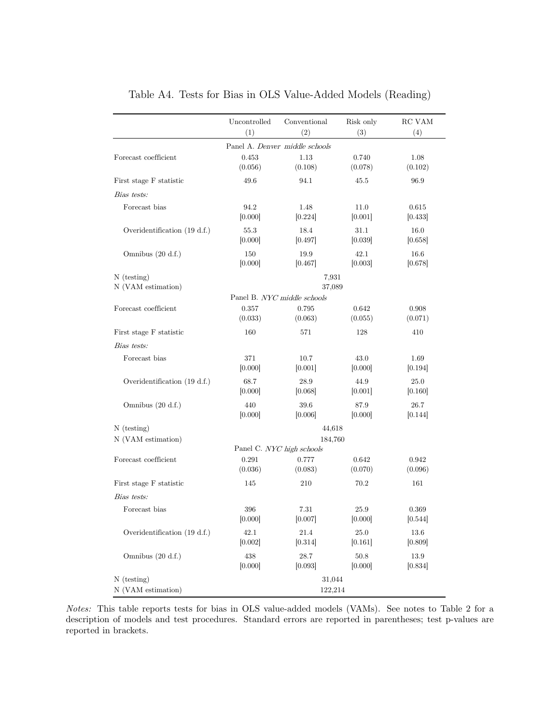<span id="page-60-0"></span>

|                                     | Uncontrolled<br>(1) | Conventional<br>(2)                           | Risk only<br>(3) | RC VAM<br>(4)    |
|-------------------------------------|---------------------|-----------------------------------------------|------------------|------------------|
|                                     |                     | Panel A. Denver middle schools                |                  |                  |
| Forecast coefficient                | 0.453<br>(0.056)    | 1.13<br>(0.108)                               | 0.740<br>(0.078) | 1.08<br>(0.102)  |
| First stage F statistic             | 49.6                | 94.1                                          | 45.5             | 96.9             |
| Bias tests:                         |                     |                                               |                  |                  |
| Forecast bias                       | 94.2<br>[0.000]     | 1.48<br>[0.224]                               | 11.0<br>[0.001]  | 0.615<br>[0.433] |
| Overidentification (19 d.f.)        | 55.3<br>[0.000]     | 18.4<br>[0.497]                               | 31.1<br>[0.039]  | 16.0<br>[0.658]  |
| Omnibus $(20 d.f.)$                 | 150<br>[0.000]      | 19.9<br>[0.467]                               | 42.1<br>[0.003]  | 16.6<br>[0.678]  |
| $N$ (testing)<br>N (VAM estimation) |                     | 7,931<br>37,089                               |                  |                  |
|                                     |                     | Panel B. NYC middle schools                   |                  |                  |
| Forecast coefficient                | 0.357<br>(0.033)    | 0.795<br>(0.063)                              | 0.642<br>(0.055) | 0.908<br>(0.071) |
| First stage F statistic             | 160                 | 571                                           | 128              | 410              |
| Bias tests:                         |                     |                                               |                  |                  |
| Forecast bias                       | 371<br>[0.000]      | 10.7<br>[0.001]                               | 43.0<br>[0.000]  | 1.69<br>[0.194]  |
| Overidentification (19 d.f.)        | 68.7<br>[0.000]     | 28.9<br>[0.068]                               | 44.9<br>[0.001]  | 25.0<br>[0.160]  |
| Omnibus $(20 d.f.)$                 | 440<br>[0.000]      | 39.6<br>[0.006]                               | 87.9<br>[0.000]  | 26.7<br>[0.144]  |
| $N$ (testing)                       |                     | 44,618                                        |                  |                  |
| N (VAM estimation)                  |                     | 184,760                                       |                  |                  |
| Forecast coefficient                | 0.291<br>(0.036)    | Panel C. NYC high schools<br>0.777<br>(0.083) | 0.642<br>(0.070) | 0.942<br>(0.096) |
| First stage F statistic             | 145                 | 210                                           | 70.2             | 161              |
| Bias tests:                         |                     |                                               |                  |                  |
| Forecast bias                       | 396<br>[0.000]      | 7.31<br>[0.007]                               | 25.9<br>[0.000]  | 0.369<br>[0.544] |
| Overidentification $(19 d.f.)$      | 42.1<br>[0.002]     | 21.4<br>[0.314]                               | 25.0<br>[0.161]  | 13.6<br>[0.809]  |
| Omnibus $(20 d.f.)$                 | 438<br>[0.000]      | 28.7<br>[0.093]                               | 50.8<br>[0.000]  | 13.9<br>[0.834]  |
| $N$ (testing)<br>N (VAM estimation) |                     | 31,044<br>122,214                             |                  |                  |

Table A4. Tests for Bias in OLS Value-Added Models (Reading)

Notes: This table reports tests for bias in OLS value-added models (VAMs). See notes to Table [2](#page-44-0) for a description of models and test procedures. Standard errors are reported in parentheses; test p-values are reported in brackets.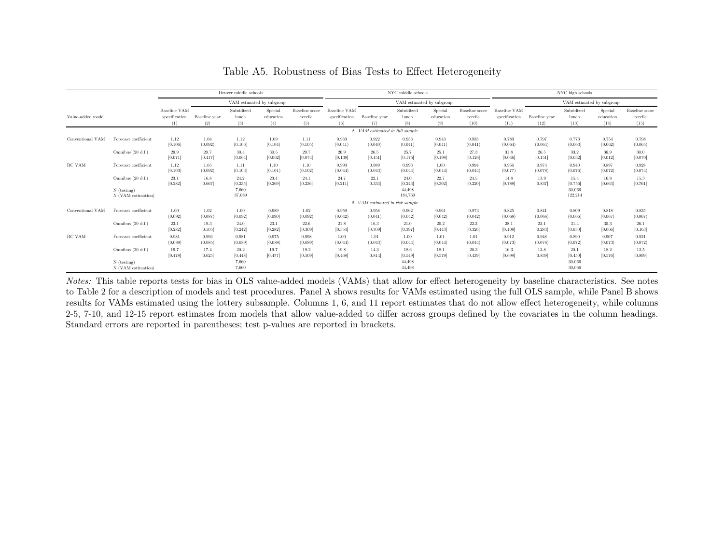|                   |                                                          |                                      |                      | Denver middle schools              |                             |                                  |                                      |                                 | NYC middle schools                   |                             |                                   |                                              |                       | NYC high schools                     |                              |                                   |
|-------------------|----------------------------------------------------------|--------------------------------------|----------------------|------------------------------------|-----------------------------|----------------------------------|--------------------------------------|---------------------------------|--------------------------------------|-----------------------------|-----------------------------------|----------------------------------------------|-----------------------|--------------------------------------|------------------------------|-----------------------------------|
|                   |                                                          |                                      |                      | VAM estimated by subgroup          |                             |                                  |                                      |                                 |                                      | VAM estimated by subgroup   |                                   |                                              |                       | VAM estimated by subgroup            |                              |                                   |
| Value-added model |                                                          | Baseline VAM<br>specification<br>(1) | Baseline year<br>(2) | Subsidized<br>lunch<br>(3)         | Special<br>education<br>(4) | Baseline score<br>tercile<br>(5) | Baseline VAM<br>specification<br>(6) | Baseline year<br>(7)            | Subsidized<br>lunch<br>(8)           | Special<br>education<br>(9) | Baseline score<br>tercile<br>(10) | <b>Baseline VAM</b><br>specification<br>(11) | Baseline year<br>(12) | Subsidized<br>lunch<br>(13)          | Special<br>education<br>(14) | Baseline score<br>tercile<br>(15) |
|                   |                                                          |                                      |                      |                                    |                             |                                  |                                      | A. VAM estimated in full sample |                                      |                             |                                   |                                              |                       |                                      |                              |                                   |
| Conventional VAM  | Forecast coefficient                                     | 1.12<br>(0.106)                      | 1.04<br>(0.092)      | 1.12<br>(0.106)                    | 1.09<br>(0.104)             | 1.11<br>(0.105)                  | 0.933<br>(0.041)                     | 0.922<br>(0.040)                | 0.933<br>(0.041)                     | 0.943<br>(0.041)            | 0.933<br>(0.041)                  | 0.783<br>(0.064)                             | 0.797<br>(0.064)      | 0.773<br>(0.063)                     | 0.754<br>(0.062)             | 0.798<br>(0.065)                  |
|                   | Omnibus (20 d.f.)                                        | 29.9<br>[0.071]                      | 20.7<br>[0.417]      | 30.4<br>[0.064]                    | 30.5<br>[0.062]             | 29.7<br>[0.074]                  | 26.9<br>[0.138]                      | 26.5<br>[0.151]                 | 25.7<br>[0.175]                      | 25.1<br>[0.198]             | 27.3<br>[0.126]                   | 31.8<br>[0.046]                              | 26.5<br>[0.151]       | 33.2<br>[0.032]                      | 36.9<br>[0.012]              | 30.0<br>[0.070]                   |
| RC VAM            | Forecast coefficient                                     | 1.12<br>(0.103)                      | 1.05<br>(0.092)      | 1.11<br>(0.103)                    | 1.10<br>(0.101)             | 1.10<br>(0.102)                  | 0.993<br>(0.044)                     | 0.989<br>(0.043)                | 0.993<br>(0.044)                     | 1.00<br>(0.044)             | 0.994<br>(0.044)                  | 0.956<br>(0.077)                             | 0.974<br>(0.078)      | 0.940<br>(0.076)                     | 0.897<br>(0.072)             | 0.928<br>(0.074)                  |
|                   | Omnibus (20 d.f.)<br>$N$ (testing)<br>N (VAM estimation) | 23.1<br>[0.282]                      | 16.8<br>[0.667]      | 24.2<br>[0.235]<br>7,660<br>37,089 | 23.4<br>[0.269]             | 24.1<br>[0.236]                  | 24.7<br>[0.211]                      | 22.1<br>[0.333]                 | 24.0<br>[0.243]<br>44.498<br>184,760 | 22.7<br>[0.302]             | 24.5<br>[0.220]                   | 14.8<br>[0.788]                              | 13.9<br>[0.837]       | 15.4<br>[0.756]<br>30,066<br>122,214 | 16.8<br>[0.663]              | 15.3<br>[0.761]                   |
|                   |                                                          |                                      |                      |                                    |                             |                                  |                                      | B. VAM estimated in risk sample |                                      |                             |                                   |                                              |                       |                                      |                              |                                   |
| Conventional VAM  | Forecast coefficient                                     | 1.00<br>(0.092)                      | 1.02<br>(0.087)      | 1.00<br>(0.092)                    | 0.989<br>(0.090)            | 1.02<br>(0.092)                  | 0.959<br>(0.042)                     | 0.958<br>(0.041)                | 0.962<br>(0.042)                     | 0.961<br>(0.042)            | 0.973<br>(0.042)                  | 0.825<br>(0.068)                             | 0.841<br>(0.066)      | 0.809<br>(0.066)                     | 0.818<br>(0.067)             | 0.835<br>(0.067)                  |
|                   | Omnibus (20 d.f.)                                        | 23.1<br>[0.282]                      | 19.3<br>[0.505]      | 24.0<br>[0.242]                    | 23.1<br>[0.282]             | 22.6<br>[0.309]                  | 21.8<br>[0.354]                      | 16.3<br>[0.700]                 | 21.0<br>[0.397]                      | 20.2<br>[0.443]             | 22.3<br>[0.326]                   | 28.1<br>[0.108]                              | 23.1<br>[0.283]       | 31.4<br>[0.050]                      | 30.3<br>[0.066]              | 26.1<br>[0.163]                   |
| RC VAM            | Forecast coefficient                                     | 0.981<br>(0.089)                     | 0.993<br>(0.085)     | 0.981<br>(0.089)                   | 0.975<br>(0.088)            | 0.998<br>(0.089)                 | 1.00<br>(0.044)                      | 1.01<br>(0.043)                 | 1.00<br>(0.044)                      | 1.01<br>(0.044)             | 1.01<br>(0.044)                   | 0.912<br>(0.073)                             | 0.948<br>(0.076)      | 0.890<br>(0.072)                     | 0.907<br>(0.073)             | 0.921<br>(0.072)                  |
|                   | Omnibus (20 d.f.)                                        | 19.7<br>[0.478]                      | 17.4<br>[0.625]      | 20.2<br>[0.448]                    | 19.7<br>[0.477]             | 19.2<br>[0.509]                  | 19.8<br>[0.468]                      | 14.3<br>[0.814]                 | 18.6<br>[0.549]                      | 18.1<br>[0.579]             | 20.3<br>[0.439]                   | 16.3<br>[0.698]                              | 13.8<br>[0.839]       | 20.1<br>[0.450]                      | 18.2<br>[0.576]              | 12.5<br>[0.899]                   |
|                   | $N$ (testing)<br>N (VAM estimation)                      |                                      |                      | 7,660<br>7,660                     |                             |                                  |                                      |                                 | 44,498<br>44,498                     |                             |                                   |                                              |                       | 30,066<br>30,066                     |                              |                                   |

## <span id="page-61-0"></span>Table A5. Robustness of Bias Tests to Effect Heterogeneity

Notes: This table reports tests for bias in OLS value-added models (VAMs) that allow for effect heterogeneity by baseline characteristics. See notes to Table [2](#page-44-1) for a description of models and test procedures. Panel A shows results for VAMs estimated using the full OLS sample, while Panel B shows results for VAMs estimated using the lottery subsample. Columns 1, 6, and 11 report estimates that do not allow effect heterogeneity, while columns 2-5, 7-10, and 12-15 report estimates from models that allow value-added to differ across groups defined by the covariates in the column headings.Standard errors are reported in parentheses; test p-values are reported in brackets.